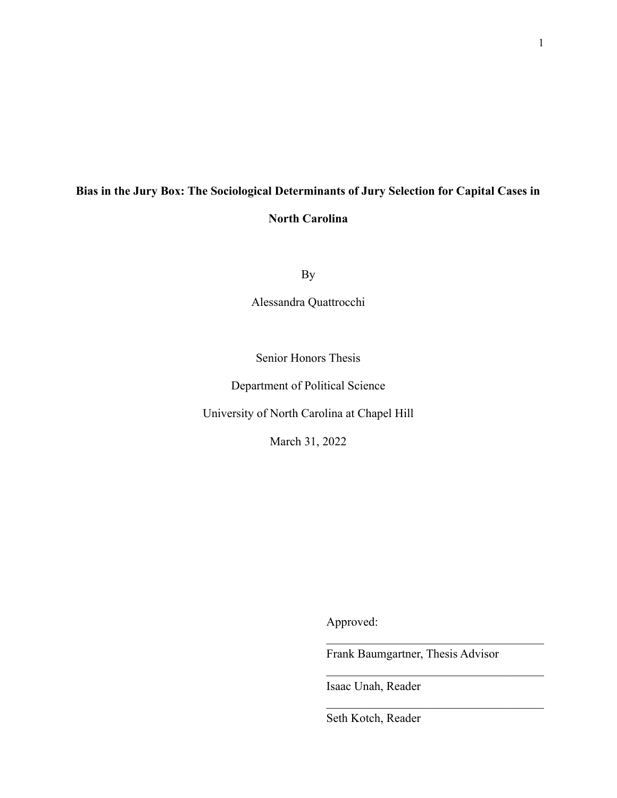# **Bias in the Jury Box: The Sociological Determinants of Jury Selection for Capital Cases in North Carolina**

By

Alessandra Quattrocchi

Senior Honors Thesis

Department of Political Science

University of North Carolina at Chapel Hill

March 31, 2022

Approved:

Frank Baumgartner, Thesis Advisor

 $\mathcal{L}_\text{max}$  , where  $\mathcal{L}_\text{max}$  and  $\mathcal{L}_\text{max}$  and  $\mathcal{L}_\text{max}$ 

 $\mathcal{L}_\text{max}$  , where  $\mathcal{L}_\text{max}$  and  $\mathcal{L}_\text{max}$  and  $\mathcal{L}_\text{max}$ 

 $\mathcal{L}_\text{max}$ 

Isaac Unah, Reader

Seth Kotch, Reader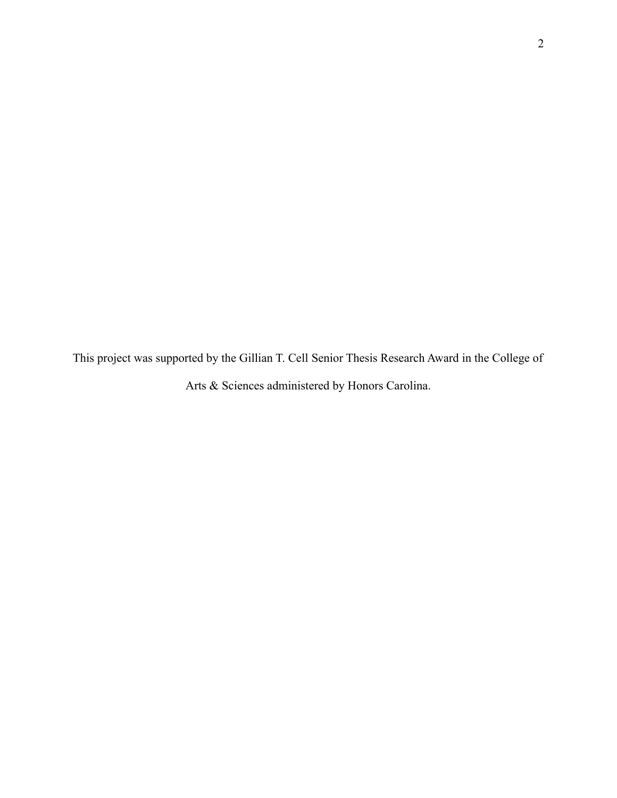This project was supported by the Gillian T. Cell Senior Thesis Research Award in the College of Arts & Sciences administered by Honors Carolina.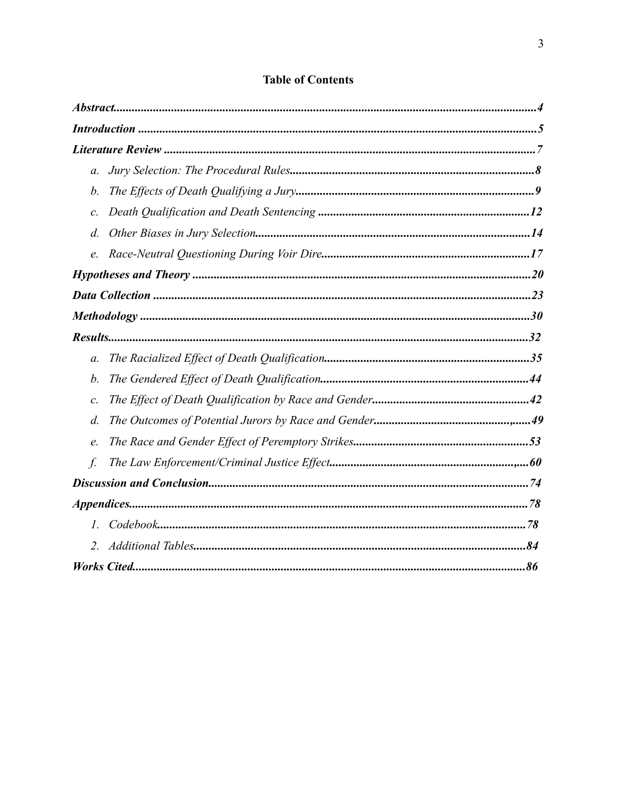| $a$ .            |  |
|------------------|--|
| b.               |  |
| $\mathcal{C}.$   |  |
| $d$ .            |  |
| e.               |  |
|                  |  |
|                  |  |
|                  |  |
|                  |  |
| $\mathfrak{a}$ . |  |
| b.               |  |
| $\mathcal{C}.$   |  |
| $d$ .            |  |
| е.               |  |
| f.               |  |
|                  |  |
|                  |  |
| $I_{\cdot}$      |  |
| 2.               |  |
|                  |  |

# **Table of Contents**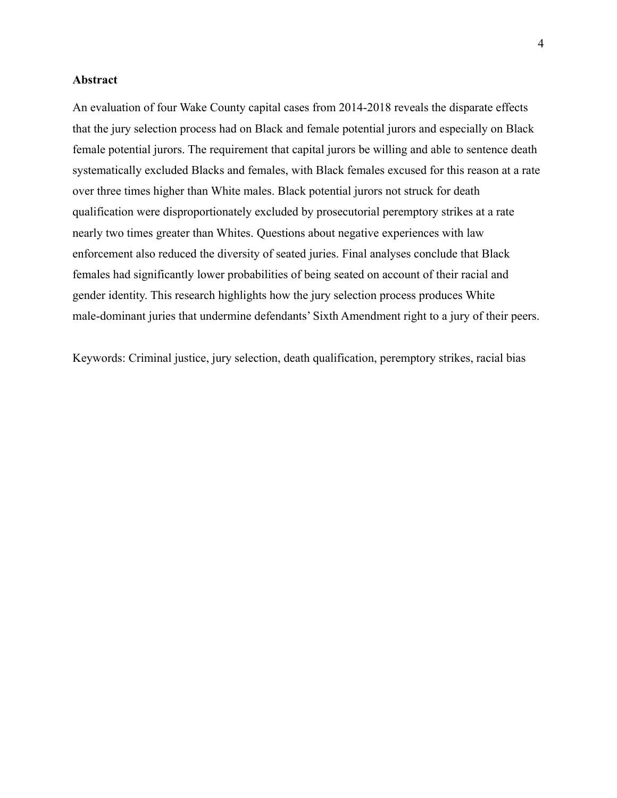# **Abstract**

An evaluation of four Wake County capital cases from 2014-2018 reveals the disparate effects that the jury selection process had on Black and female potential jurors and especially on Black female potential jurors. The requirement that capital jurors be willing and able to sentence death systematically excluded Blacks and females, with Black females excused for this reason at a rate over three times higher than White males. Black potential jurors not struck for death qualification were disproportionately excluded by prosecutorial peremptory strikes at a rate nearly two times greater than Whites. Questions about negative experiences with law enforcement also reduced the diversity of seated juries. Final analyses conclude that Black females had significantly lower probabilities of being seated on account of their racial and gender identity. This research highlights how the jury selection process produces White male-dominant juries that undermine defendants' Sixth Amendment right to a jury of their peers.

Keywords: Criminal justice, jury selection, death qualification, peremptory strikes, racial bias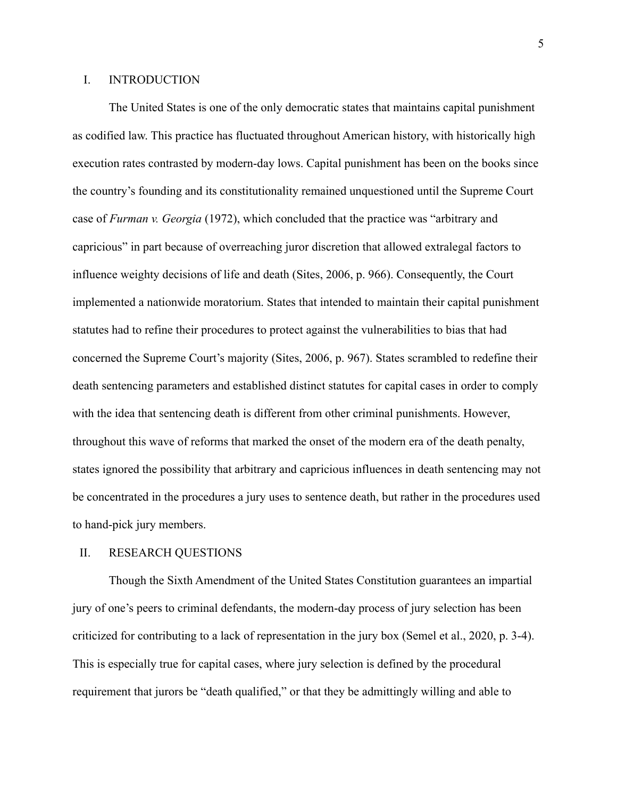# I. INTRODUCTION

The United States is one of the only democratic states that maintains capital punishment as codified law. This practice has fluctuated throughout American history, with historically high execution rates contrasted by modern-day lows. Capital punishment has been on the books since the country's founding and its constitutionality remained unquestioned until the Supreme Court case of *Furman v. Georgia* (1972), which concluded that the practice was "arbitrary and capricious" in part because of overreaching juror discretion that allowed extralegal factors to influence weighty decisions of life and death (Sites, 2006, p. 966). Consequently, the Court implemented a nationwide moratorium. States that intended to maintain their capital punishment statutes had to refine their procedures to protect against the vulnerabilities to bias that had concerned the Supreme Court's majority (Sites, 2006, p. 967). States scrambled to redefine their death sentencing parameters and established distinct statutes for capital cases in order to comply with the idea that sentencing death is different from other criminal punishments. However, throughout this wave of reforms that marked the onset of the modern era of the death penalty, states ignored the possibility that arbitrary and capricious influences in death sentencing may not be concentrated in the procedures a jury uses to sentence death, but rather in the procedures used to hand-pick jury members.

# II. RESEARCH QUESTIONS

Though the Sixth Amendment of the United States Constitution guarantees an impartial jury of one's peers to criminal defendants, the modern-day process of jury selection has been criticized for contributing to a lack of representation in the jury box (Semel et al., 2020, p. 3-4). This is especially true for capital cases, where jury selection is defined by the procedural requirement that jurors be "death qualified," or that they be admittingly willing and able to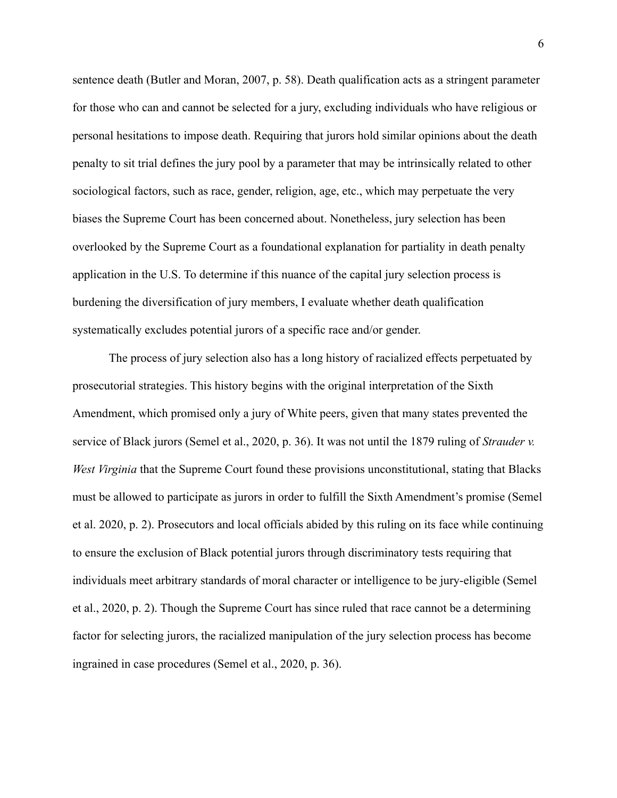sentence death (Butler and Moran, 2007, p. 58). Death qualification acts as a stringent parameter for those who can and cannot be selected for a jury, excluding individuals who have religious or personal hesitations to impose death. Requiring that jurors hold similar opinions about the death penalty to sit trial defines the jury pool by a parameter that may be intrinsically related to other sociological factors, such as race, gender, religion, age, etc., which may perpetuate the very biases the Supreme Court has been concerned about. Nonetheless, jury selection has been overlooked by the Supreme Court as a foundational explanation for partiality in death penalty application in the U.S. To determine if this nuance of the capital jury selection process is burdening the diversification of jury members, I evaluate whether death qualification systematically excludes potential jurors of a specific race and/or gender.

The process of jury selection also has a long history of racialized effects perpetuated by prosecutorial strategies. This history begins with the original interpretation of the Sixth Amendment, which promised only a jury of White peers, given that many states prevented the service of Black jurors (Semel et al., 2020, p. 36). It was not until the 1879 ruling of *Strauder v. West Virginia* that the Supreme Court found these provisions unconstitutional, stating that Blacks must be allowed to participate as jurors in order to fulfill the Sixth Amendment's promise (Semel et al. 2020, p. 2). Prosecutors and local officials abided by this ruling on its face while continuing to ensure the exclusion of Black potential jurors through discriminatory tests requiring that individuals meet arbitrary standards of moral character or intelligence to be jury-eligible (Semel et al., 2020, p. 2). Though the Supreme Court has since ruled that race cannot be a determining factor for selecting jurors, the racialized manipulation of the jury selection process has become ingrained in case procedures (Semel et al., 2020, p. 36).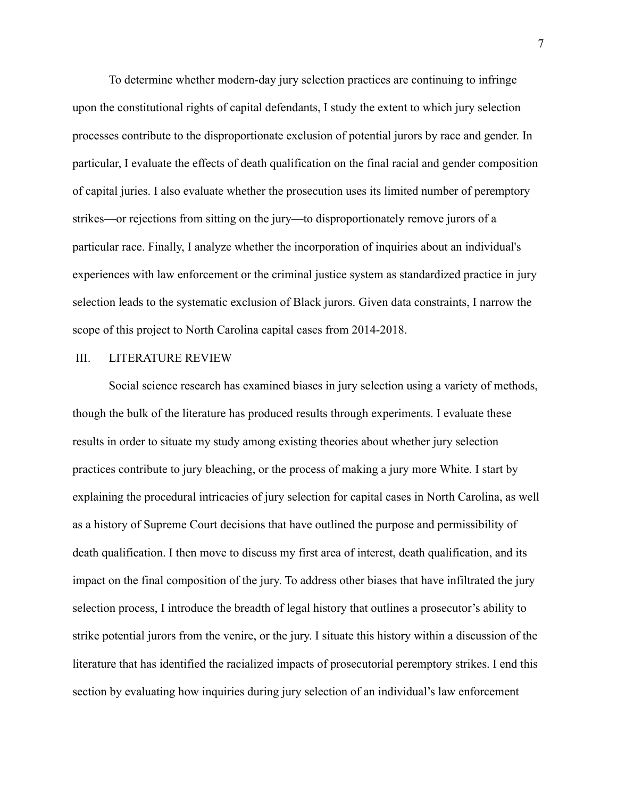To determine whether modern-day jury selection practices are continuing to infringe upon the constitutional rights of capital defendants, I study the extent to which jury selection processes contribute to the disproportionate exclusion of potential jurors by race and gender. In particular, I evaluate the effects of death qualification on the final racial and gender composition of capital juries. I also evaluate whether the prosecution uses its limited number of peremptory strikes—or rejections from sitting on the jury—to disproportionately remove jurors of a particular race. Finally, I analyze whether the incorporation of inquiries about an individual's experiences with law enforcement or the criminal justice system as standardized practice in jury selection leads to the systematic exclusion of Black jurors. Given data constraints, I narrow the scope of this project to North Carolina capital cases from 2014-2018.

#### III. LITERATURE REVIEW

Social science research has examined biases in jury selection using a variety of methods, though the bulk of the literature has produced results through experiments. I evaluate these results in order to situate my study among existing theories about whether jury selection practices contribute to jury bleaching, or the process of making a jury more White. I start by explaining the procedural intricacies of jury selection for capital cases in North Carolina, as well as a history of Supreme Court decisions that have outlined the purpose and permissibility of death qualification. I then move to discuss my first area of interest, death qualification, and its impact on the final composition of the jury. To address other biases that have infiltrated the jury selection process, I introduce the breadth of legal history that outlines a prosecutor's ability to strike potential jurors from the venire, or the jury. I situate this history within a discussion of the literature that has identified the racialized impacts of prosecutorial peremptory strikes. I end this section by evaluating how inquiries during jury selection of an individual's law enforcement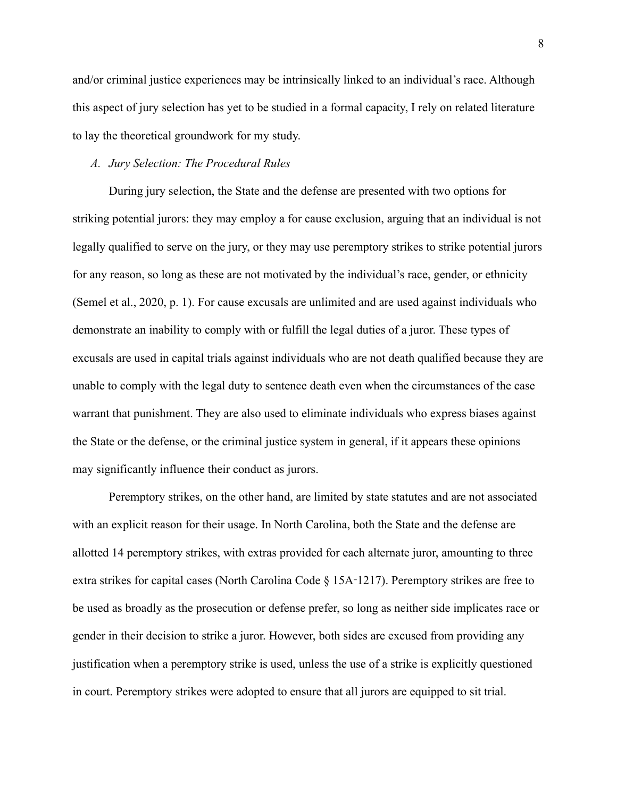and/or criminal justice experiences may be intrinsically linked to an individual's race. Although this aspect of jury selection has yet to be studied in a formal capacity, I rely on related literature to lay the theoretical groundwork for my study.

# *A. Jury Selection: The Procedural Rules*

During jury selection, the State and the defense are presented with two options for striking potential jurors: they may employ a for cause exclusion, arguing that an individual is not legally qualified to serve on the jury, or they may use peremptory strikes to strike potential jurors for any reason, so long as these are not motivated by the individual's race, gender, or ethnicity (Semel et al., 2020, p. 1). For cause excusals are unlimited and are used against individuals who demonstrate an inability to comply with or fulfill the legal duties of a juror. These types of excusals are used in capital trials against individuals who are not death qualified because they are unable to comply with the legal duty to sentence death even when the circumstances of the case warrant that punishment. They are also used to eliminate individuals who express biases against the State or the defense, or the criminal justice system in general, if it appears these opinions may significantly influence their conduct as jurors.

Peremptory strikes, on the other hand, are limited by state statutes and are not associated with an explicit reason for their usage. In North Carolina, both the State and the defense are allotted 14 peremptory strikes, with extras provided for each alternate juror, amounting to three extra strikes for capital cases (North Carolina Code § 15A‑1217). Peremptory strikes are free to be used as broadly as the prosecution or defense prefer, so long as neither side implicates race or gender in their decision to strike a juror. However, both sides are excused from providing any justification when a peremptory strike is used, unless the use of a strike is explicitly questioned in court. Peremptory strikes were adopted to ensure that all jurors are equipped to sit trial.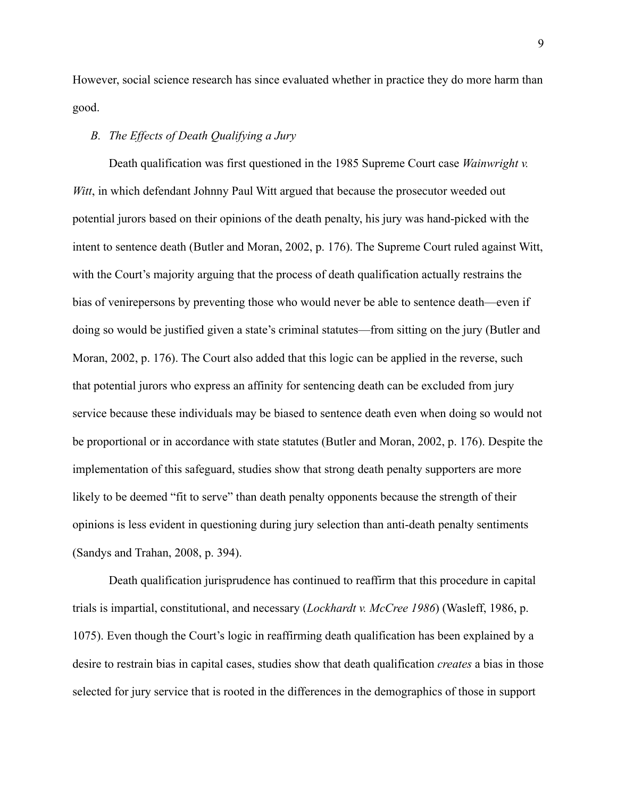However, social science research has since evaluated whether in practice they do more harm than good.

# *B. The Effects of Death Qualifying a Jury*

Death qualification was first questioned in the 1985 Supreme Court case *Wainwright v. Witt*, in which defendant Johnny Paul Witt argued that because the prosecutor weeded out potential jurors based on their opinions of the death penalty, his jury was hand-picked with the intent to sentence death (Butler and Moran, 2002, p. 176). The Supreme Court ruled against Witt, with the Court's majority arguing that the process of death qualification actually restrains the bias of venirepersons by preventing those who would never be able to sentence death—even if doing so would be justified given a state's criminal statutes—from sitting on the jury (Butler and Moran, 2002, p. 176). The Court also added that this logic can be applied in the reverse, such that potential jurors who express an affinity for sentencing death can be excluded from jury service because these individuals may be biased to sentence death even when doing so would not be proportional or in accordance with state statutes (Butler and Moran, 2002, p. 176). Despite the implementation of this safeguard, studies show that strong death penalty supporters are more likely to be deemed "fit to serve" than death penalty opponents because the strength of their opinions is less evident in questioning during jury selection than anti-death penalty sentiments (Sandys and Trahan, 2008, p. 394).

Death qualification jurisprudence has continued to reaffirm that this procedure in capital trials is impartial, constitutional, and necessary (*Lockhardt v. McCree 1986*) (Wasleff, 1986, p. 1075). Even though the Court's logic in reaffirming death qualification has been explained by a desire to restrain bias in capital cases, studies show that death qualification *creates* a bias in those selected for jury service that is rooted in the differences in the demographics of those in support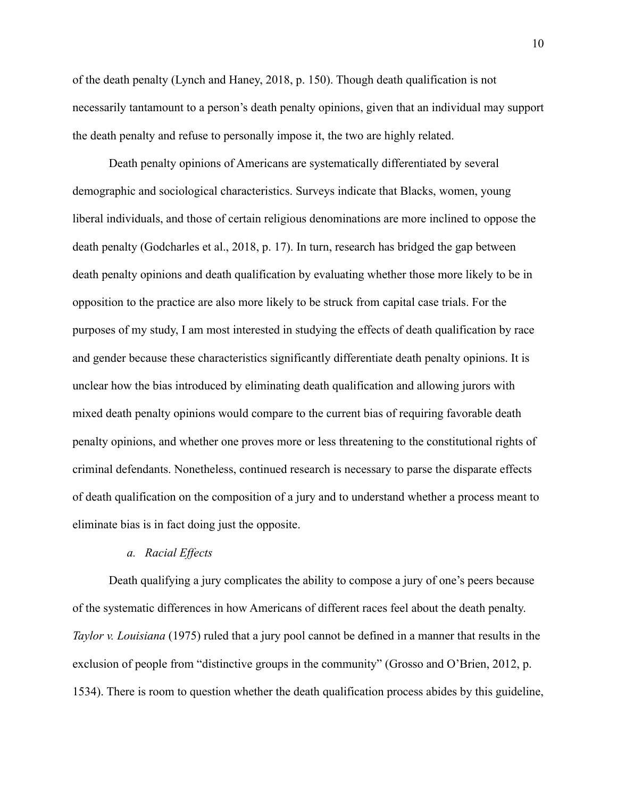of the death penalty (Lynch and Haney, 2018, p. 150). Though death qualification is not necessarily tantamount to a person's death penalty opinions, given that an individual may support the death penalty and refuse to personally impose it, the two are highly related.

Death penalty opinions of Americans are systematically differentiated by several demographic and sociological characteristics. Surveys indicate that Blacks, women, young liberal individuals, and those of certain religious denominations are more inclined to oppose the death penalty (Godcharles et al., 2018, p. 17). In turn, research has bridged the gap between death penalty opinions and death qualification by evaluating whether those more likely to be in opposition to the practice are also more likely to be struck from capital case trials. For the purposes of my study, I am most interested in studying the effects of death qualification by race and gender because these characteristics significantly differentiate death penalty opinions. It is unclear how the bias introduced by eliminating death qualification and allowing jurors with mixed death penalty opinions would compare to the current bias of requiring favorable death penalty opinions, and whether one proves more or less threatening to the constitutional rights of criminal defendants. Nonetheless, continued research is necessary to parse the disparate effects of death qualification on the composition of a jury and to understand whether a process meant to eliminate bias is in fact doing just the opposite.

# *a. Racial Effects*

Death qualifying a jury complicates the ability to compose a jury of one's peers because of the systematic differences in how Americans of different races feel about the death penalty. *Taylor v. Louisiana* (1975) ruled that a jury pool cannot be defined in a manner that results in the exclusion of people from "distinctive groups in the community" (Grosso and O'Brien, 2012, p. 1534). There is room to question whether the death qualification process abides by this guideline,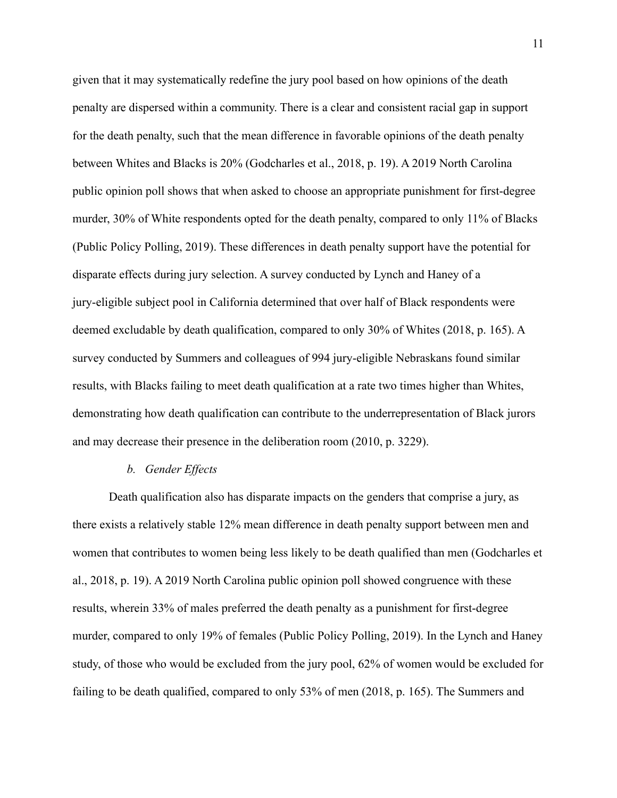given that it may systematically redefine the jury pool based on how opinions of the death penalty are dispersed within a community. There is a clear and consistent racial gap in support for the death penalty, such that the mean difference in favorable opinions of the death penalty between Whites and Blacks is 20% (Godcharles et al., 2018, p. 19). A 2019 North Carolina public opinion poll shows that when asked to choose an appropriate punishment for first-degree murder, 30% of White respondents opted for the death penalty, compared to only 11% of Blacks (Public Policy Polling, 2019). These differences in death penalty support have the potential for disparate effects during jury selection. A survey conducted by Lynch and Haney of a jury-eligible subject pool in California determined that over half of Black respondents were deemed excludable by death qualification, compared to only 30% of Whites (2018, p. 165). A survey conducted by Summers and colleagues of 994 jury-eligible Nebraskans found similar results, with Blacks failing to meet death qualification at a rate two times higher than Whites, demonstrating how death qualification can contribute to the underrepresentation of Black jurors and may decrease their presence in the deliberation room (2010, p. 3229).

#### *b. Gender Effects*

Death qualification also has disparate impacts on the genders that comprise a jury, as there exists a relatively stable 12% mean difference in death penalty support between men and women that contributes to women being less likely to be death qualified than men (Godcharles et al., 2018, p. 19). A 2019 North Carolina public opinion poll showed congruence with these results, wherein 33% of males preferred the death penalty as a punishment for first-degree murder, compared to only 19% of females (Public Policy Polling, 2019). In the Lynch and Haney study, of those who would be excluded from the jury pool, 62% of women would be excluded for failing to be death qualified, compared to only 53% of men (2018, p. 165). The Summers and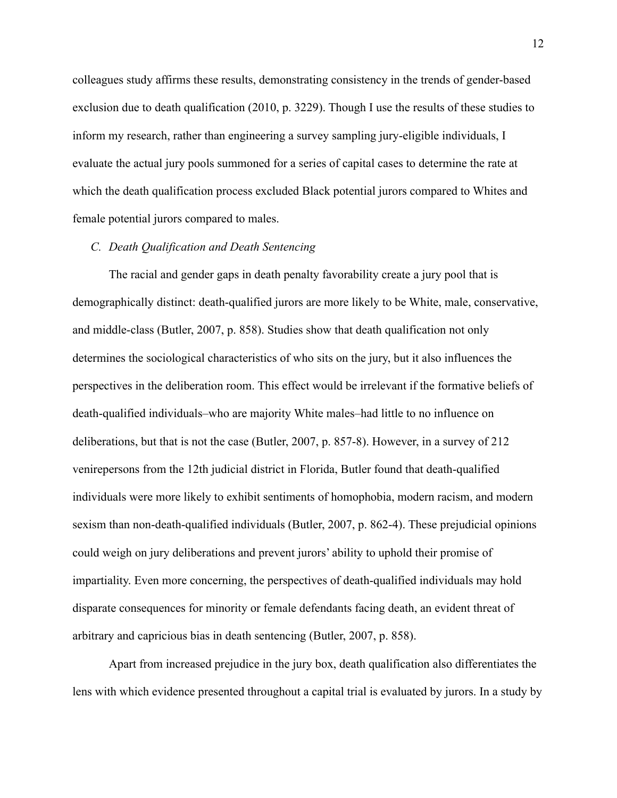colleagues study affirms these results, demonstrating consistency in the trends of gender-based exclusion due to death qualification (2010, p. 3229). Though I use the results of these studies to inform my research, rather than engineering a survey sampling jury-eligible individuals, I evaluate the actual jury pools summoned for a series of capital cases to determine the rate at which the death qualification process excluded Black potential jurors compared to Whites and female potential jurors compared to males.

#### *C. Death Qualification and Death Sentencing*

The racial and gender gaps in death penalty favorability create a jury pool that is demographically distinct: death-qualified jurors are more likely to be White, male, conservative, and middle-class (Butler, 2007, p. 858). Studies show that death qualification not only determines the sociological characteristics of who sits on the jury, but it also influences the perspectives in the deliberation room. This effect would be irrelevant if the formative beliefs of death-qualified individuals–who are majority White males–had little to no influence on deliberations, but that is not the case (Butler, 2007, p. 857-8). However, in a survey of 212 venirepersons from the 12th judicial district in Florida, Butler found that death-qualified individuals were more likely to exhibit sentiments of homophobia, modern racism, and modern sexism than non-death-qualified individuals (Butler, 2007, p. 862-4). These prejudicial opinions could weigh on jury deliberations and prevent jurors' ability to uphold their promise of impartiality. Even more concerning, the perspectives of death-qualified individuals may hold disparate consequences for minority or female defendants facing death, an evident threat of arbitrary and capricious bias in death sentencing (Butler, 2007, p. 858).

Apart from increased prejudice in the jury box, death qualification also differentiates the lens with which evidence presented throughout a capital trial is evaluated by jurors. In a study by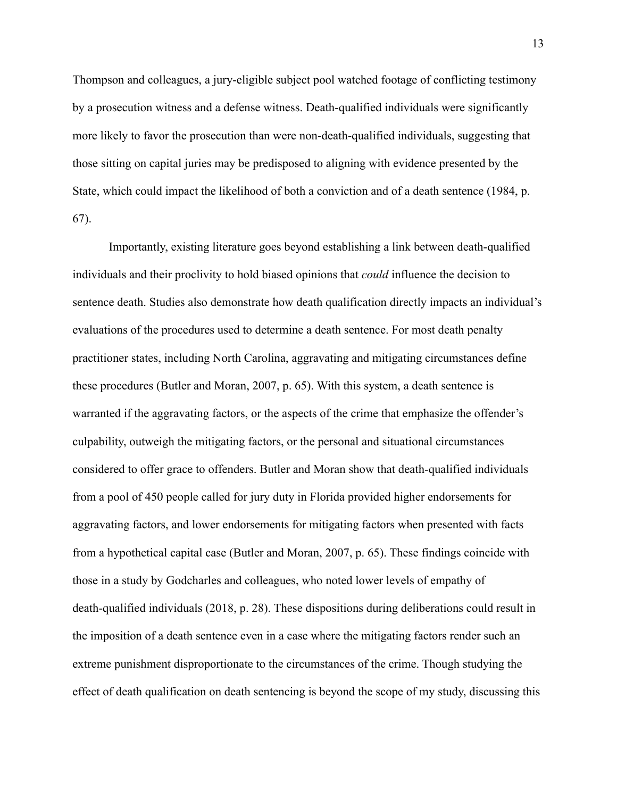Thompson and colleagues, a jury-eligible subject pool watched footage of conflicting testimony by a prosecution witness and a defense witness. Death-qualified individuals were significantly more likely to favor the prosecution than were non-death-qualified individuals, suggesting that those sitting on capital juries may be predisposed to aligning with evidence presented by the State, which could impact the likelihood of both a conviction and of a death sentence (1984, p. 67).

Importantly, existing literature goes beyond establishing a link between death-qualified individuals and their proclivity to hold biased opinions that *could* influence the decision to sentence death. Studies also demonstrate how death qualification directly impacts an individual's evaluations of the procedures used to determine a death sentence. For most death penalty practitioner states, including North Carolina, aggravating and mitigating circumstances define these procedures (Butler and Moran, 2007, p. 65). With this system, a death sentence is warranted if the aggravating factors, or the aspects of the crime that emphasize the offender's culpability, outweigh the mitigating factors, or the personal and situational circumstances considered to offer grace to offenders. Butler and Moran show that death-qualified individuals from a pool of 450 people called for jury duty in Florida provided higher endorsements for aggravating factors, and lower endorsements for mitigating factors when presented with facts from a hypothetical capital case (Butler and Moran, 2007, p. 65). These findings coincide with those in a study by Godcharles and colleagues, who noted lower levels of empathy of death-qualified individuals (2018, p. 28). These dispositions during deliberations could result in the imposition of a death sentence even in a case where the mitigating factors render such an extreme punishment disproportionate to the circumstances of the crime. Though studying the effect of death qualification on death sentencing is beyond the scope of my study, discussing this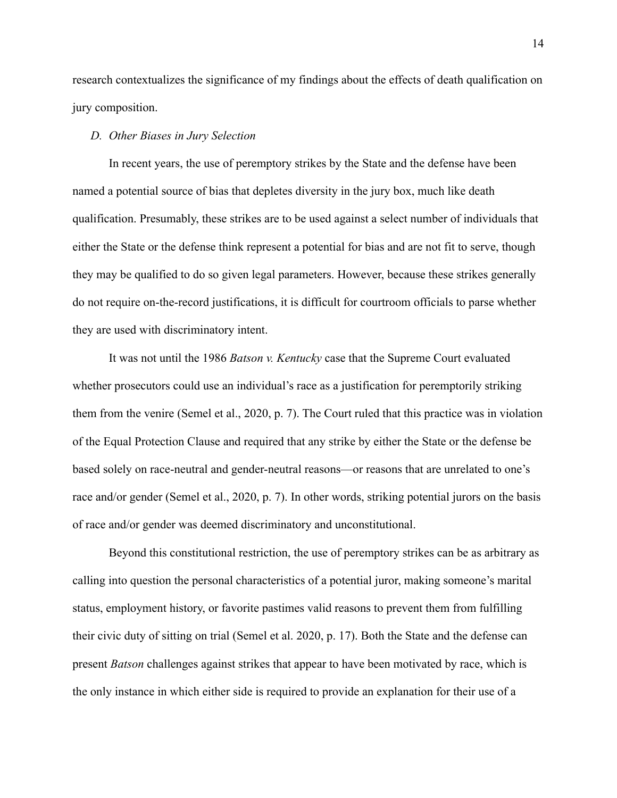research contextualizes the significance of my findings about the effects of death qualification on jury composition.

# *D. Other Biases in Jury Selection*

In recent years, the use of peremptory strikes by the State and the defense have been named a potential source of bias that depletes diversity in the jury box, much like death qualification. Presumably, these strikes are to be used against a select number of individuals that either the State or the defense think represent a potential for bias and are not fit to serve, though they may be qualified to do so given legal parameters. However, because these strikes generally do not require on-the-record justifications, it is difficult for courtroom officials to parse whether they are used with discriminatory intent.

It was not until the 1986 *Batson v. Kentucky* case that the Supreme Court evaluated whether prosecutors could use an individual's race as a justification for peremptorily striking them from the venire (Semel et al., 2020, p. 7). The Court ruled that this practice was in violation of the Equal Protection Clause and required that any strike by either the State or the defense be based solely on race-neutral and gender-neutral reasons—or reasons that are unrelated to one's race and/or gender (Semel et al., 2020, p. 7). In other words, striking potential jurors on the basis of race and/or gender was deemed discriminatory and unconstitutional.

Beyond this constitutional restriction, the use of peremptory strikes can be as arbitrary as calling into question the personal characteristics of a potential juror, making someone's marital status, employment history, or favorite pastimes valid reasons to prevent them from fulfilling their civic duty of sitting on trial (Semel et al. 2020, p. 17). Both the State and the defense can present *Batson* challenges against strikes that appear to have been motivated by race, which is the only instance in which either side is required to provide an explanation for their use of a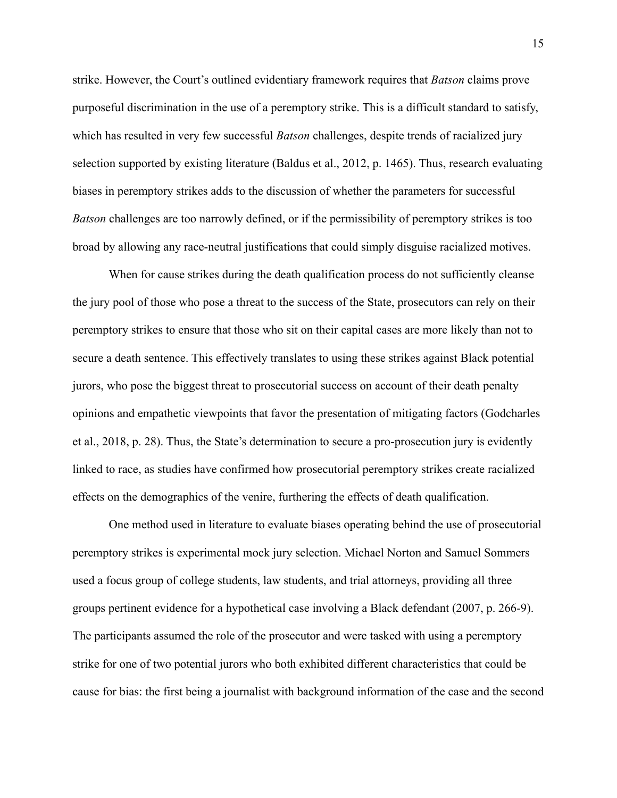strike. However, the Court's outlined evidentiary framework requires that *Batson* claims prove purposeful discrimination in the use of a peremptory strike. This is a difficult standard to satisfy, which has resulted in very few successful *Batson* challenges, despite trends of racialized jury selection supported by existing literature (Baldus et al., 2012, p. 1465). Thus, research evaluating biases in peremptory strikes adds to the discussion of whether the parameters for successful *Batson* challenges are too narrowly defined, or if the permissibility of peremptory strikes is too broad by allowing any race-neutral justifications that could simply disguise racialized motives.

When for cause strikes during the death qualification process do not sufficiently cleanse the jury pool of those who pose a threat to the success of the State, prosecutors can rely on their peremptory strikes to ensure that those who sit on their capital cases are more likely than not to secure a death sentence. This effectively translates to using these strikes against Black potential jurors, who pose the biggest threat to prosecutorial success on account of their death penalty opinions and empathetic viewpoints that favor the presentation of mitigating factors (Godcharles et al., 2018, p. 28). Thus, the State's determination to secure a pro-prosecution jury is evidently linked to race, as studies have confirmed how prosecutorial peremptory strikes create racialized effects on the demographics of the venire, furthering the effects of death qualification.

One method used in literature to evaluate biases operating behind the use of prosecutorial peremptory strikes is experimental mock jury selection. Michael Norton and Samuel Sommers used a focus group of college students, law students, and trial attorneys, providing all three groups pertinent evidence for a hypothetical case involving a Black defendant (2007, p. 266-9). The participants assumed the role of the prosecutor and were tasked with using a peremptory strike for one of two potential jurors who both exhibited different characteristics that could be cause for bias: the first being a journalist with background information of the case and the second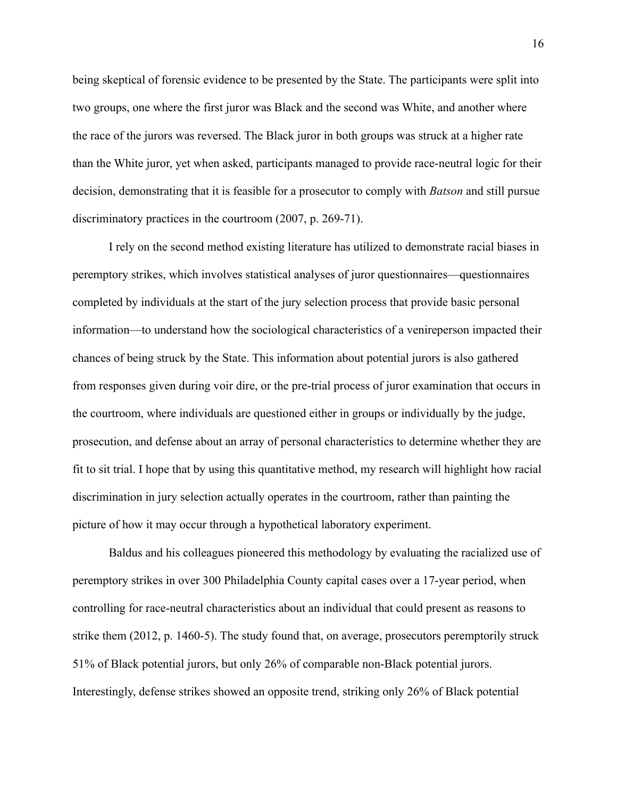being skeptical of forensic evidence to be presented by the State. The participants were split into two groups, one where the first juror was Black and the second was White, and another where the race of the jurors was reversed. The Black juror in both groups was struck at a higher rate than the White juror, yet when asked, participants managed to provide race-neutral logic for their decision, demonstrating that it is feasible for a prosecutor to comply with *Batson* and still pursue discriminatory practices in the courtroom (2007, p. 269-71).

I rely on the second method existing literature has utilized to demonstrate racial biases in peremptory strikes, which involves statistical analyses of juror questionnaires—questionnaires completed by individuals at the start of the jury selection process that provide basic personal information—to understand how the sociological characteristics of a venireperson impacted their chances of being struck by the State. This information about potential jurors is also gathered from responses given during voir dire, or the pre-trial process of juror examination that occurs in the courtroom, where individuals are questioned either in groups or individually by the judge, prosecution, and defense about an array of personal characteristics to determine whether they are fit to sit trial. I hope that by using this quantitative method, my research will highlight how racial discrimination in jury selection actually operates in the courtroom, rather than painting the picture of how it may occur through a hypothetical laboratory experiment.

Baldus and his colleagues pioneered this methodology by evaluating the racialized use of peremptory strikes in over 300 Philadelphia County capital cases over a 17-year period, when controlling for race-neutral characteristics about an individual that could present as reasons to strike them (2012, p. 1460-5). The study found that, on average, prosecutors peremptorily struck 51% of Black potential jurors, but only 26% of comparable non-Black potential jurors. Interestingly, defense strikes showed an opposite trend, striking only 26% of Black potential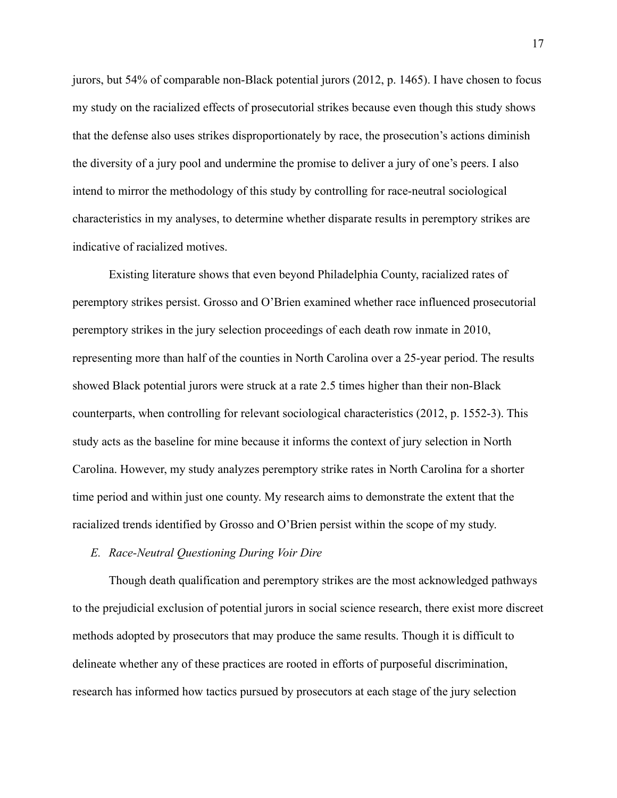jurors, but 54% of comparable non-Black potential jurors (2012, p. 1465). I have chosen to focus my study on the racialized effects of prosecutorial strikes because even though this study shows that the defense also uses strikes disproportionately by race, the prosecution's actions diminish the diversity of a jury pool and undermine the promise to deliver a jury of one's peers. I also intend to mirror the methodology of this study by controlling for race-neutral sociological characteristics in my analyses, to determine whether disparate results in peremptory strikes are indicative of racialized motives.

Existing literature shows that even beyond Philadelphia County, racialized rates of peremptory strikes persist. Grosso and O'Brien examined whether race influenced prosecutorial peremptory strikes in the jury selection proceedings of each death row inmate in 2010, representing more than half of the counties in North Carolina over a 25-year period. The results showed Black potential jurors were struck at a rate 2.5 times higher than their non-Black counterparts, when controlling for relevant sociological characteristics (2012, p. 1552-3). This study acts as the baseline for mine because it informs the context of jury selection in North Carolina. However, my study analyzes peremptory strike rates in North Carolina for a shorter time period and within just one county. My research aims to demonstrate the extent that the racialized trends identified by Grosso and O'Brien persist within the scope of my study.

# *E. Race-Neutral Questioning During Voir Dire*

Though death qualification and peremptory strikes are the most acknowledged pathways to the prejudicial exclusion of potential jurors in social science research, there exist more discreet methods adopted by prosecutors that may produce the same results. Though it is difficult to delineate whether any of these practices are rooted in efforts of purposeful discrimination, research has informed how tactics pursued by prosecutors at each stage of the jury selection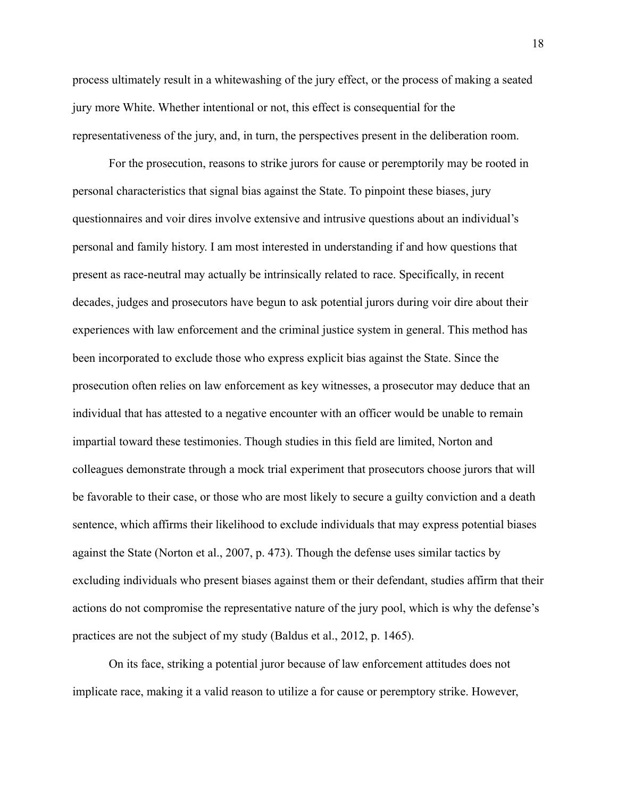process ultimately result in a whitewashing of the jury effect, or the process of making a seated jury more White. Whether intentional or not, this effect is consequential for the representativeness of the jury, and, in turn, the perspectives present in the deliberation room.

For the prosecution, reasons to strike jurors for cause or peremptorily may be rooted in personal characteristics that signal bias against the State. To pinpoint these biases, jury questionnaires and voir dires involve extensive and intrusive questions about an individual's personal and family history. I am most interested in understanding if and how questions that present as race-neutral may actually be intrinsically related to race. Specifically, in recent decades, judges and prosecutors have begun to ask potential jurors during voir dire about their experiences with law enforcement and the criminal justice system in general. This method has been incorporated to exclude those who express explicit bias against the State. Since the prosecution often relies on law enforcement as key witnesses, a prosecutor may deduce that an individual that has attested to a negative encounter with an officer would be unable to remain impartial toward these testimonies. Though studies in this field are limited, Norton and colleagues demonstrate through a mock trial experiment that prosecutors choose jurors that will be favorable to their case, or those who are most likely to secure a guilty conviction and a death sentence, which affirms their likelihood to exclude individuals that may express potential biases against the State (Norton et al., 2007, p. 473). Though the defense uses similar tactics by excluding individuals who present biases against them or their defendant, studies affirm that their actions do not compromise the representative nature of the jury pool, which is why the defense's practices are not the subject of my study (Baldus et al., 2012, p. 1465).

On its face, striking a potential juror because of law enforcement attitudes does not implicate race, making it a valid reason to utilize a for cause or peremptory strike. However,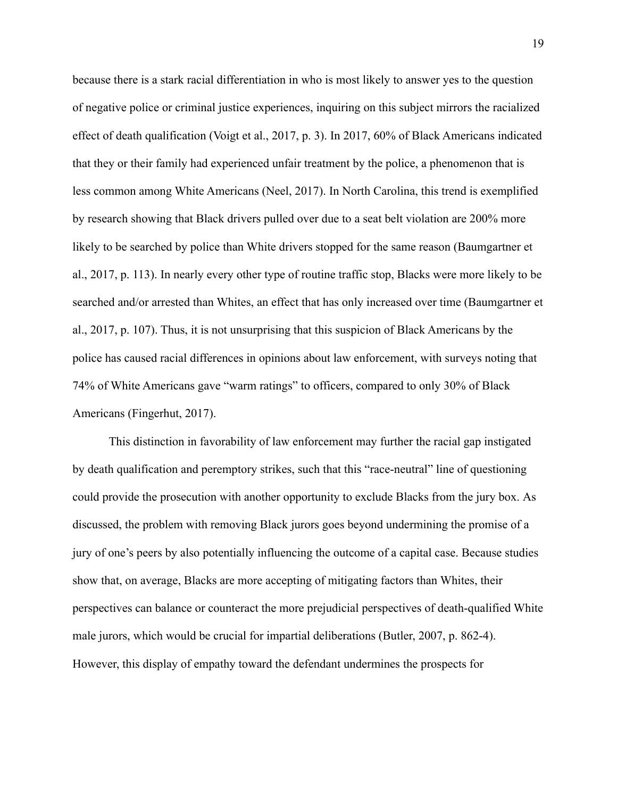because there is a stark racial differentiation in who is most likely to answer yes to the question of negative police or criminal justice experiences, inquiring on this subject mirrors the racialized effect of death qualification (Voigt et al., 2017, p. 3). In 2017, 60% of Black Americans indicated that they or their family had experienced unfair treatment by the police, a phenomenon that is less common among White Americans (Neel, 2017). In North Carolina, this trend is exemplified by research showing that Black drivers pulled over due to a seat belt violation are 200% more likely to be searched by police than White drivers stopped for the same reason (Baumgartner et al., 2017, p. 113). In nearly every other type of routine traffic stop, Blacks were more likely to be searched and/or arrested than Whites, an effect that has only increased over time (Baumgartner et al., 2017, p. 107). Thus, it is not unsurprising that this suspicion of Black Americans by the police has caused racial differences in opinions about law enforcement, with surveys noting that 74% of White Americans gave "warm ratings" to officers, compared to only 30% of Black Americans (Fingerhut, 2017).

This distinction in favorability of law enforcement may further the racial gap instigated by death qualification and peremptory strikes, such that this "race-neutral" line of questioning could provide the prosecution with another opportunity to exclude Blacks from the jury box. As discussed, the problem with removing Black jurors goes beyond undermining the promise of a jury of one's peers by also potentially influencing the outcome of a capital case. Because studies show that, on average, Blacks are more accepting of mitigating factors than Whites, their perspectives can balance or counteract the more prejudicial perspectives of death-qualified White male jurors, which would be crucial for impartial deliberations (Butler, 2007, p. 862-4). However, this display of empathy toward the defendant undermines the prospects for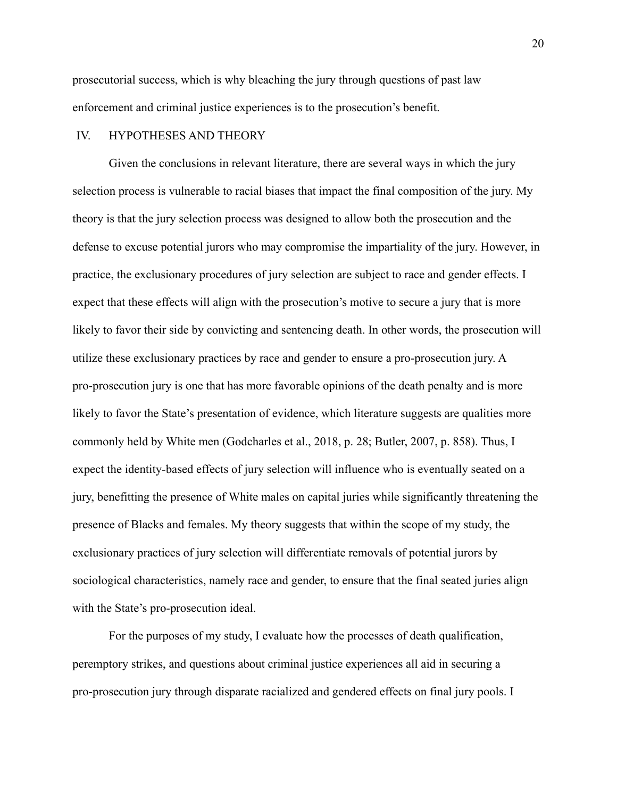prosecutorial success, which is why bleaching the jury through questions of past law enforcement and criminal justice experiences is to the prosecution's benefit.

# IV. HYPOTHESES AND THEORY

Given the conclusions in relevant literature, there are several ways in which the jury selection process is vulnerable to racial biases that impact the final composition of the jury. My theory is that the jury selection process was designed to allow both the prosecution and the defense to excuse potential jurors who may compromise the impartiality of the jury. However, in practice, the exclusionary procedures of jury selection are subject to race and gender effects. I expect that these effects will align with the prosecution's motive to secure a jury that is more likely to favor their side by convicting and sentencing death. In other words, the prosecution will utilize these exclusionary practices by race and gender to ensure a pro-prosecution jury. A pro-prosecution jury is one that has more favorable opinions of the death penalty and is more likely to favor the State's presentation of evidence, which literature suggests are qualities more commonly held by White men (Godcharles et al., 2018, p. 28; Butler, 2007, p. 858). Thus, I expect the identity-based effects of jury selection will influence who is eventually seated on a jury, benefitting the presence of White males on capital juries while significantly threatening the presence of Blacks and females. My theory suggests that within the scope of my study, the exclusionary practices of jury selection will differentiate removals of potential jurors by sociological characteristics, namely race and gender, to ensure that the final seated juries align with the State's pro-prosecution ideal.

For the purposes of my study, I evaluate how the processes of death qualification, peremptory strikes, and questions about criminal justice experiences all aid in securing a pro-prosecution jury through disparate racialized and gendered effects on final jury pools. I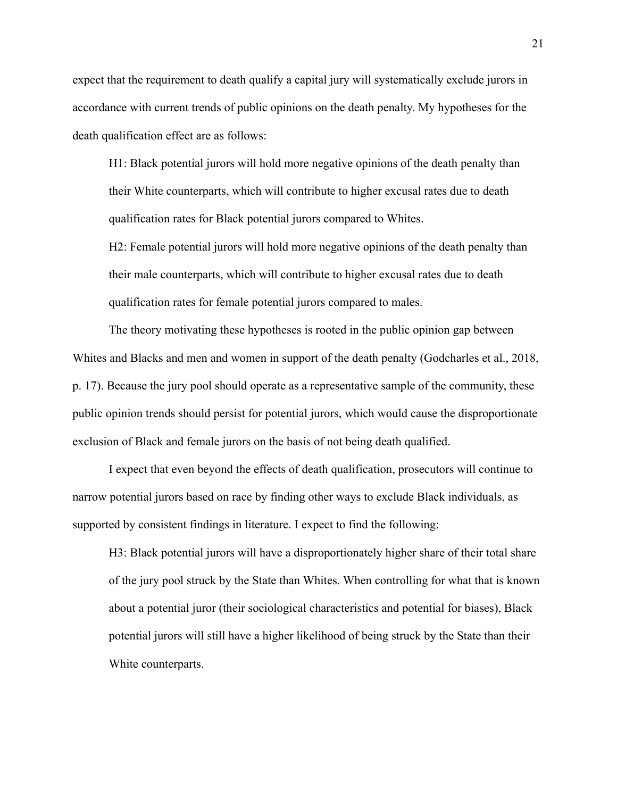expect that the requirement to death qualify a capital jury will systematically exclude jurors in accordance with current trends of public opinions on the death penalty. My hypotheses for the death qualification effect are as follows:

H1: Black potential jurors will hold more negative opinions of the death penalty than their White counterparts, which will contribute to higher excusal rates due to death qualification rates for Black potential jurors compared to Whites.

H2: Female potential jurors will hold more negative opinions of the death penalty than their male counterparts, which will contribute to higher excusal rates due to death qualification rates for female potential jurors compared to males.

The theory motivating these hypotheses is rooted in the public opinion gap between Whites and Blacks and men and women in support of the death penalty (Godcharles et al., 2018, p. 17). Because the jury pool should operate as a representative sample of the community, these public opinion trends should persist for potential jurors, which would cause the disproportionate exclusion of Black and female jurors on the basis of not being death qualified.

I expect that even beyond the effects of death qualification, prosecutors will continue to narrow potential jurors based on race by finding other ways to exclude Black individuals, as supported by consistent findings in literature. I expect to find the following:

H3: Black potential jurors will have a disproportionately higher share of their total share of the jury pool struck by the State than Whites. When controlling for what that is known about a potential juror (their sociological characteristics and potential for biases), Black potential jurors will still have a higher likelihood of being struck by the State than their White counterparts.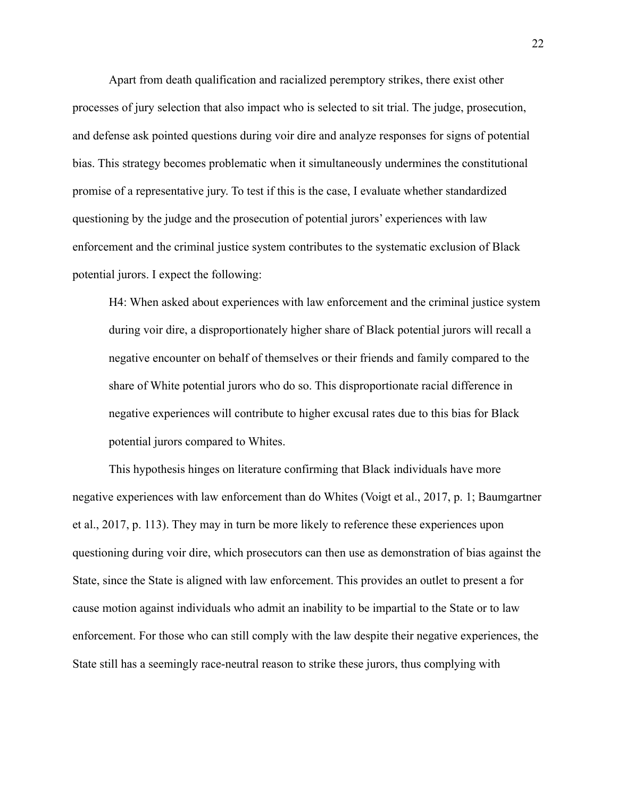Apart from death qualification and racialized peremptory strikes, there exist other processes of jury selection that also impact who is selected to sit trial. The judge, prosecution, and defense ask pointed questions during voir dire and analyze responses for signs of potential bias. This strategy becomes problematic when it simultaneously undermines the constitutional promise of a representative jury. To test if this is the case, I evaluate whether standardized questioning by the judge and the prosecution of potential jurors' experiences with law enforcement and the criminal justice system contributes to the systematic exclusion of Black potential jurors. I expect the following:

H4: When asked about experiences with law enforcement and the criminal justice system during voir dire, a disproportionately higher share of Black potential jurors will recall a negative encounter on behalf of themselves or their friends and family compared to the share of White potential jurors who do so. This disproportionate racial difference in negative experiences will contribute to higher excusal rates due to this bias for Black potential jurors compared to Whites.

This hypothesis hinges on literature confirming that Black individuals have more negative experiences with law enforcement than do Whites (Voigt et al., 2017, p. 1; Baumgartner et al., 2017, p. 113). They may in turn be more likely to reference these experiences upon questioning during voir dire, which prosecutors can then use as demonstration of bias against the State, since the State is aligned with law enforcement. This provides an outlet to present a for cause motion against individuals who admit an inability to be impartial to the State or to law enforcement. For those who can still comply with the law despite their negative experiences, the State still has a seemingly race-neutral reason to strike these jurors, thus complying with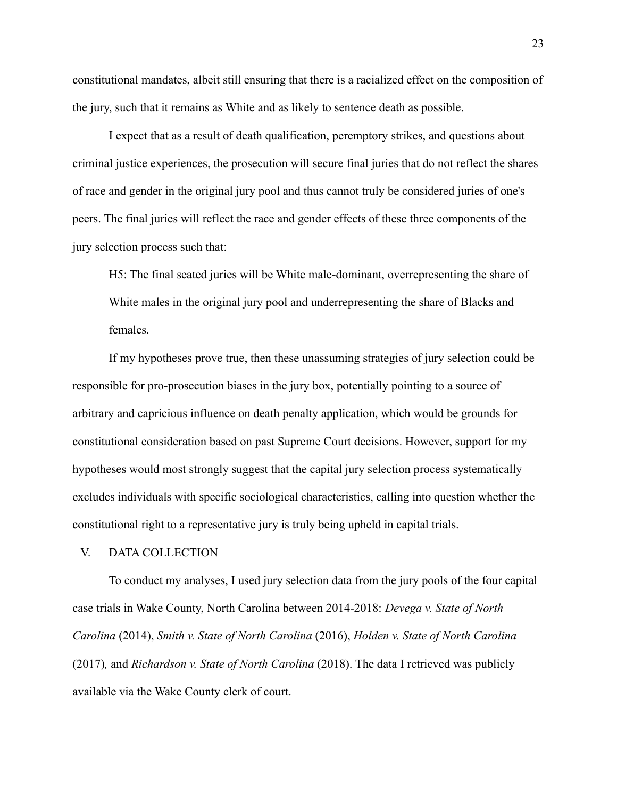constitutional mandates, albeit still ensuring that there is a racialized effect on the composition of the jury, such that it remains as White and as likely to sentence death as possible.

I expect that as a result of death qualification, peremptory strikes, and questions about criminal justice experiences, the prosecution will secure final juries that do not reflect the shares of race and gender in the original jury pool and thus cannot truly be considered juries of one's peers. The final juries will reflect the race and gender effects of these three components of the jury selection process such that:

H5: The final seated juries will be White male-dominant, overrepresenting the share of White males in the original jury pool and underrepresenting the share of Blacks and females.

If my hypotheses prove true, then these unassuming strategies of jury selection could be responsible for pro-prosecution biases in the jury box, potentially pointing to a source of arbitrary and capricious influence on death penalty application, which would be grounds for constitutional consideration based on past Supreme Court decisions. However, support for my hypotheses would most strongly suggest that the capital jury selection process systematically excludes individuals with specific sociological characteristics, calling into question whether the constitutional right to a representative jury is truly being upheld in capital trials.

# V. DATA COLLECTION

To conduct my analyses, I used jury selection data from the jury pools of the four capital case trials in Wake County, North Carolina between 2014-2018: *Devega v. State of North Carolina* (2014), *Smith v. State of North Carolina* (2016), *Holden v. State of North Carolina* (2017)*,* and *Richardson v. State of North Carolina* (2018). The data I retrieved was publicly available via the Wake County clerk of court.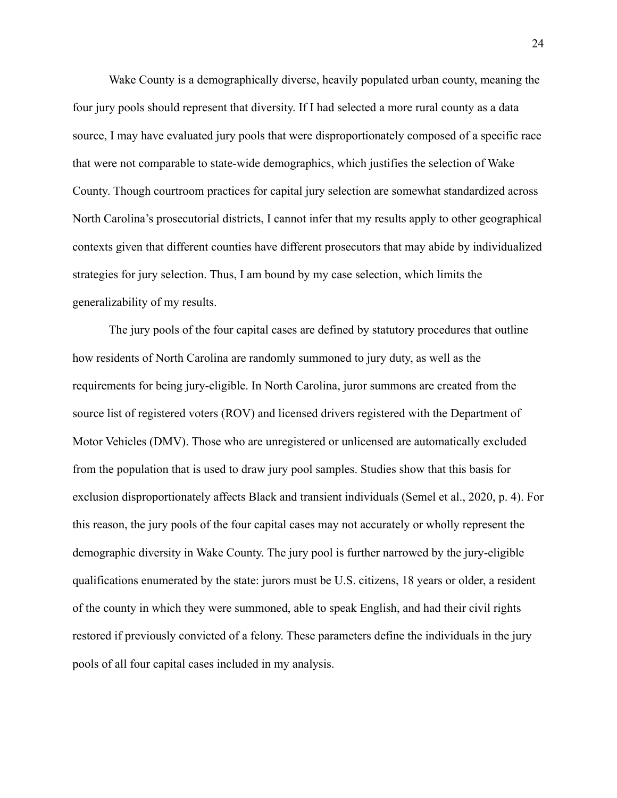Wake County is a demographically diverse, heavily populated urban county, meaning the four jury pools should represent that diversity. If I had selected a more rural county as a data source, I may have evaluated jury pools that were disproportionately composed of a specific race that were not comparable to state-wide demographics, which justifies the selection of Wake County. Though courtroom practices for capital jury selection are somewhat standardized across North Carolina's prosecutorial districts, I cannot infer that my results apply to other geographical contexts given that different counties have different prosecutors that may abide by individualized strategies for jury selection. Thus, I am bound by my case selection, which limits the generalizability of my results.

The jury pools of the four capital cases are defined by statutory procedures that outline how residents of North Carolina are randomly summoned to jury duty, as well as the requirements for being jury-eligible. In North Carolina, juror summons are created from the source list of registered voters (ROV) and licensed drivers registered with the Department of Motor Vehicles (DMV). Those who are unregistered or unlicensed are automatically excluded from the population that is used to draw jury pool samples. Studies show that this basis for exclusion disproportionately affects Black and transient individuals (Semel et al., 2020, p. 4). For this reason, the jury pools of the four capital cases may not accurately or wholly represent the demographic diversity in Wake County. The jury pool is further narrowed by the jury-eligible qualifications enumerated by the state: jurors must be U.S. citizens, 18 years or older, a resident of the county in which they were summoned, able to speak English, and had their civil rights restored if previously convicted of a felony. These parameters define the individuals in the jury pools of all four capital cases included in my analysis.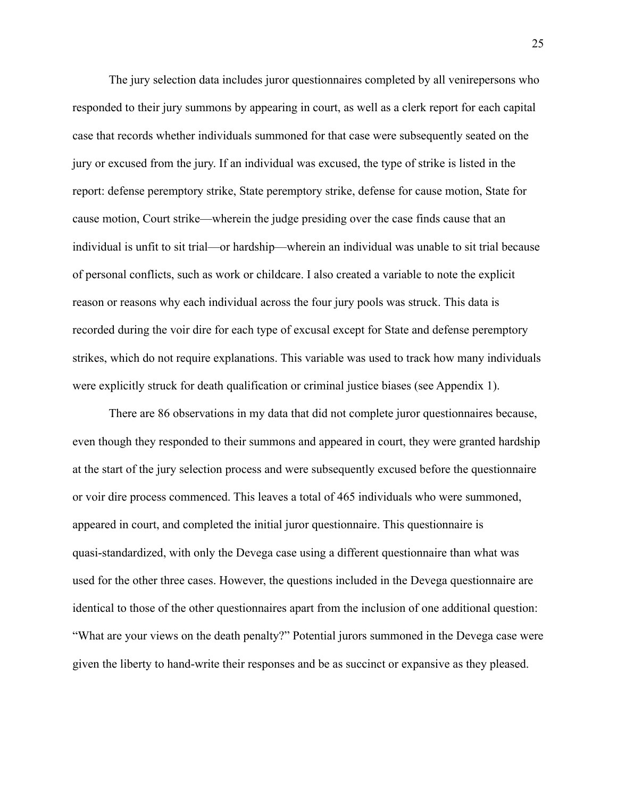The jury selection data includes juror questionnaires completed by all venirepersons who responded to their jury summons by appearing in court, as well as a clerk report for each capital case that records whether individuals summoned for that case were subsequently seated on the jury or excused from the jury. If an individual was excused, the type of strike is listed in the report: defense peremptory strike, State peremptory strike, defense for cause motion, State for cause motion, Court strike—wherein the judge presiding over the case finds cause that an individual is unfit to sit trial—or hardship—wherein an individual was unable to sit trial because of personal conflicts, such as work or childcare. I also created a variable to note the explicit reason or reasons why each individual across the four jury pools was struck. This data is recorded during the voir dire for each type of excusal except for State and defense peremptory strikes, which do not require explanations. This variable was used to track how many individuals were explicitly struck for death qualification or criminal justice biases (see Appendix 1).

There are 86 observations in my data that did not complete juror questionnaires because, even though they responded to their summons and appeared in court, they were granted hardship at the start of the jury selection process and were subsequently excused before the questionnaire or voir dire process commenced. This leaves a total of 465 individuals who were summoned, appeared in court, and completed the initial juror questionnaire. This questionnaire is quasi-standardized, with only the Devega case using a different questionnaire than what was used for the other three cases. However, the questions included in the Devega questionnaire are identical to those of the other questionnaires apart from the inclusion of one additional question: "What are your views on the death penalty?" Potential jurors summoned in the Devega case were given the liberty to hand-write their responses and be as succinct or expansive as they pleased.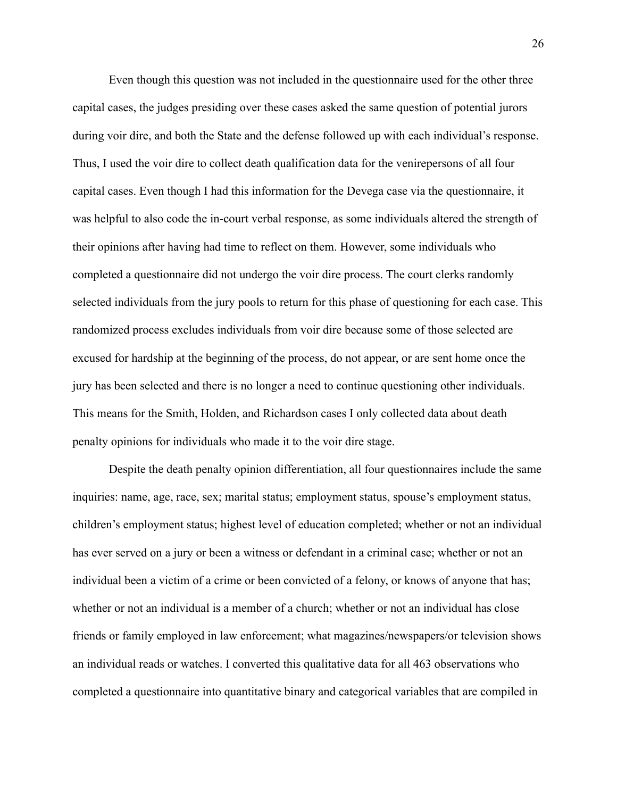Even though this question was not included in the questionnaire used for the other three capital cases, the judges presiding over these cases asked the same question of potential jurors during voir dire, and both the State and the defense followed up with each individual's response. Thus, I used the voir dire to collect death qualification data for the venirepersons of all four capital cases. Even though I had this information for the Devega case via the questionnaire, it was helpful to also code the in-court verbal response, as some individuals altered the strength of their opinions after having had time to reflect on them. However, some individuals who completed a questionnaire did not undergo the voir dire process. The court clerks randomly selected individuals from the jury pools to return for this phase of questioning for each case. This randomized process excludes individuals from voir dire because some of those selected are excused for hardship at the beginning of the process, do not appear, or are sent home once the jury has been selected and there is no longer a need to continue questioning other individuals. This means for the Smith, Holden, and Richardson cases I only collected data about death penalty opinions for individuals who made it to the voir dire stage.

Despite the death penalty opinion differentiation, all four questionnaires include the same inquiries: name, age, race, sex; marital status; employment status, spouse's employment status, children's employment status; highest level of education completed; whether or not an individual has ever served on a jury or been a witness or defendant in a criminal case; whether or not an individual been a victim of a crime or been convicted of a felony, or knows of anyone that has; whether or not an individual is a member of a church; whether or not an individual has close friends or family employed in law enforcement; what magazines/newspapers/or television shows an individual reads or watches. I converted this qualitative data for all 463 observations who completed a questionnaire into quantitative binary and categorical variables that are compiled in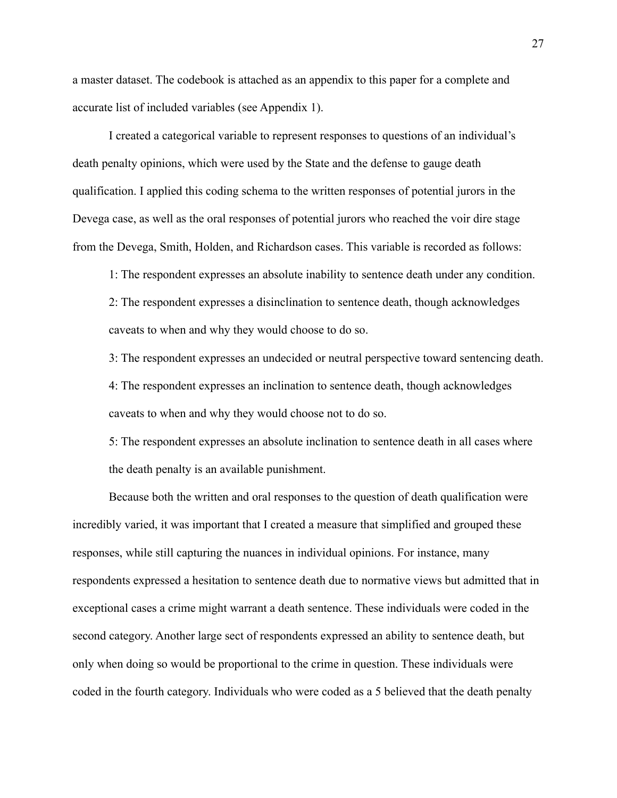a master dataset. The codebook is attached as an appendix to this paper for a complete and accurate list of included variables (see Appendix 1).

I created a categorical variable to represent responses to questions of an individual's death penalty opinions, which were used by the State and the defense to gauge death qualification. I applied this coding schema to the written responses of potential jurors in the Devega case, as well as the oral responses of potential jurors who reached the voir dire stage from the Devega, Smith, Holden, and Richardson cases. This variable is recorded as follows:

1: The respondent expresses an absolute inability to sentence death under any condition. 2: The respondent expresses a disinclination to sentence death, though acknowledges caveats to when and why they would choose to do so.

3: The respondent expresses an undecided or neutral perspective toward sentencing death. 4: The respondent expresses an inclination to sentence death, though acknowledges caveats to when and why they would choose not to do so.

5: The respondent expresses an absolute inclination to sentence death in all cases where the death penalty is an available punishment.

Because both the written and oral responses to the question of death qualification were incredibly varied, it was important that I created a measure that simplified and grouped these responses, while still capturing the nuances in individual opinions. For instance, many respondents expressed a hesitation to sentence death due to normative views but admitted that in exceptional cases a crime might warrant a death sentence. These individuals were coded in the second category. Another large sect of respondents expressed an ability to sentence death, but only when doing so would be proportional to the crime in question. These individuals were coded in the fourth category. Individuals who were coded as a 5 believed that the death penalty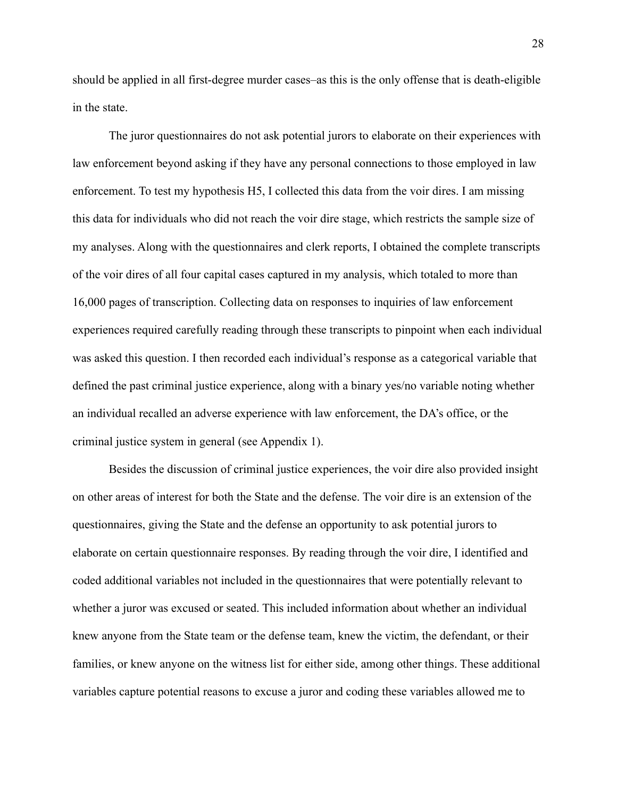should be applied in all first-degree murder cases–as this is the only offense that is death-eligible in the state.

The juror questionnaires do not ask potential jurors to elaborate on their experiences with law enforcement beyond asking if they have any personal connections to those employed in law enforcement. To test my hypothesis H5, I collected this data from the voir dires. I am missing this data for individuals who did not reach the voir dire stage, which restricts the sample size of my analyses. Along with the questionnaires and clerk reports, I obtained the complete transcripts of the voir dires of all four capital cases captured in my analysis, which totaled to more than 16,000 pages of transcription. Collecting data on responses to inquiries of law enforcement experiences required carefully reading through these transcripts to pinpoint when each individual was asked this question. I then recorded each individual's response as a categorical variable that defined the past criminal justice experience, along with a binary yes/no variable noting whether an individual recalled an adverse experience with law enforcement, the DA's office, or the criminal justice system in general (see Appendix 1).

Besides the discussion of criminal justice experiences, the voir dire also provided insight on other areas of interest for both the State and the defense. The voir dire is an extension of the questionnaires, giving the State and the defense an opportunity to ask potential jurors to elaborate on certain questionnaire responses. By reading through the voir dire, I identified and coded additional variables not included in the questionnaires that were potentially relevant to whether a juror was excused or seated. This included information about whether an individual knew anyone from the State team or the defense team, knew the victim, the defendant, or their families, or knew anyone on the witness list for either side, among other things. These additional variables capture potential reasons to excuse a juror and coding these variables allowed me to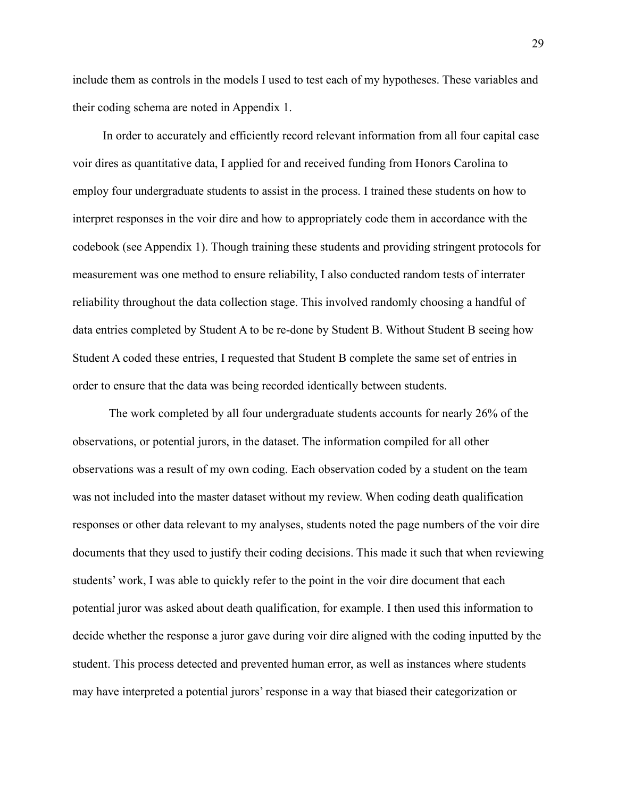include them as controls in the models I used to test each of my hypotheses. These variables and their coding schema are noted in Appendix 1.

In order to accurately and efficiently record relevant information from all four capital case voir dires as quantitative data, I applied for and received funding from Honors Carolina to employ four undergraduate students to assist in the process. I trained these students on how to interpret responses in the voir dire and how to appropriately code them in accordance with the codebook (see Appendix 1). Though training these students and providing stringent protocols for measurement was one method to ensure reliability, I also conducted random tests of interrater reliability throughout the data collection stage. This involved randomly choosing a handful of data entries completed by Student A to be re-done by Student B. Without Student B seeing how Student A coded these entries, I requested that Student B complete the same set of entries in order to ensure that the data was being recorded identically between students.

The work completed by all four undergraduate students accounts for nearly 26% of the observations, or potential jurors, in the dataset. The information compiled for all other observations was a result of my own coding. Each observation coded by a student on the team was not included into the master dataset without my review. When coding death qualification responses or other data relevant to my analyses, students noted the page numbers of the voir dire documents that they used to justify their coding decisions. This made it such that when reviewing students' work, I was able to quickly refer to the point in the voir dire document that each potential juror was asked about death qualification, for example. I then used this information to decide whether the response a juror gave during voir dire aligned with the coding inputted by the student. This process detected and prevented human error, as well as instances where students may have interpreted a potential jurors' response in a way that biased their categorization or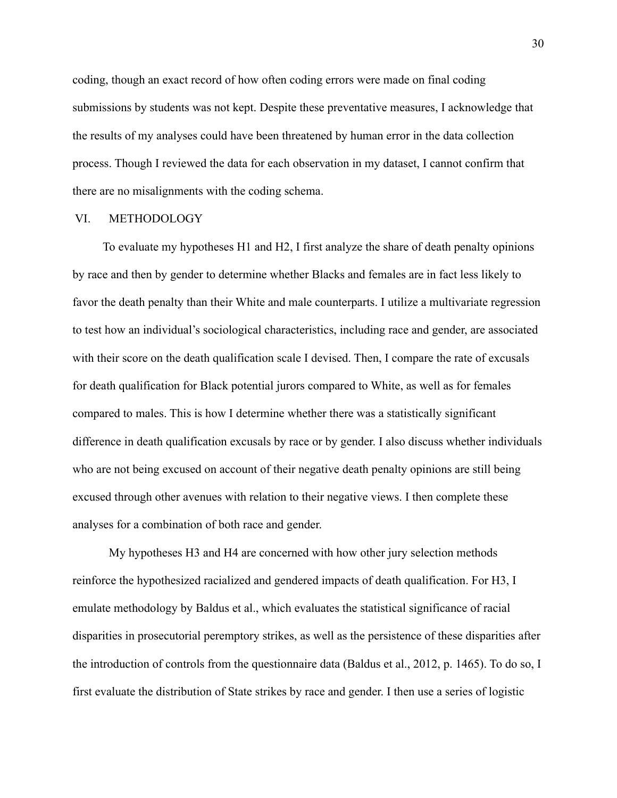coding, though an exact record of how often coding errors were made on final coding submissions by students was not kept. Despite these preventative measures, I acknowledge that the results of my analyses could have been threatened by human error in the data collection process. Though I reviewed the data for each observation in my dataset, I cannot confirm that there are no misalignments with the coding schema.

#### VI. METHODOLOGY

To evaluate my hypotheses H1 and H2, I first analyze the share of death penalty opinions by race and then by gender to determine whether Blacks and females are in fact less likely to favor the death penalty than their White and male counterparts. I utilize a multivariate regression to test how an individual's sociological characteristics, including race and gender, are associated with their score on the death qualification scale I devised. Then, I compare the rate of excusals for death qualification for Black potential jurors compared to White, as well as for females compared to males. This is how I determine whether there was a statistically significant difference in death qualification excusals by race or by gender. I also discuss whether individuals who are not being excused on account of their negative death penalty opinions are still being excused through other avenues with relation to their negative views. I then complete these analyses for a combination of both race and gender.

My hypotheses H3 and H4 are concerned with how other jury selection methods reinforce the hypothesized racialized and gendered impacts of death qualification. For H3, I emulate methodology by Baldus et al., which evaluates the statistical significance of racial disparities in prosecutorial peremptory strikes, as well as the persistence of these disparities after the introduction of controls from the questionnaire data (Baldus et al., 2012, p. 1465). To do so, I first evaluate the distribution of State strikes by race and gender. I then use a series of logistic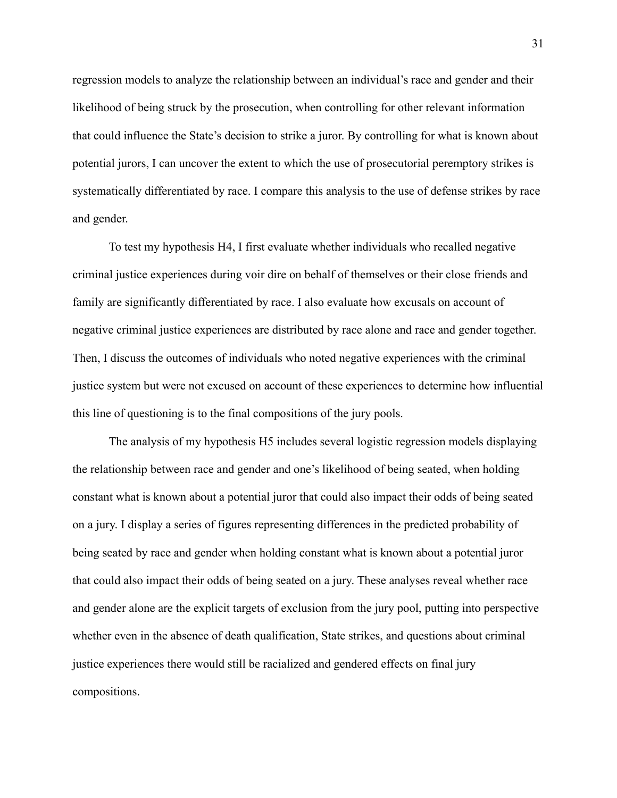regression models to analyze the relationship between an individual's race and gender and their likelihood of being struck by the prosecution, when controlling for other relevant information that could influence the State's decision to strike a juror. By controlling for what is known about potential jurors, I can uncover the extent to which the use of prosecutorial peremptory strikes is systematically differentiated by race. I compare this analysis to the use of defense strikes by race and gender.

To test my hypothesis H4, I first evaluate whether individuals who recalled negative criminal justice experiences during voir dire on behalf of themselves or their close friends and family are significantly differentiated by race. I also evaluate how excusals on account of negative criminal justice experiences are distributed by race alone and race and gender together. Then, I discuss the outcomes of individuals who noted negative experiences with the criminal justice system but were not excused on account of these experiences to determine how influential this line of questioning is to the final compositions of the jury pools.

The analysis of my hypothesis H5 includes several logistic regression models displaying the relationship between race and gender and one's likelihood of being seated, when holding constant what is known about a potential juror that could also impact their odds of being seated on a jury. I display a series of figures representing differences in the predicted probability of being seated by race and gender when holding constant what is known about a potential juror that could also impact their odds of being seated on a jury. These analyses reveal whether race and gender alone are the explicit targets of exclusion from the jury pool, putting into perspective whether even in the absence of death qualification, State strikes, and questions about criminal justice experiences there would still be racialized and gendered effects on final jury compositions.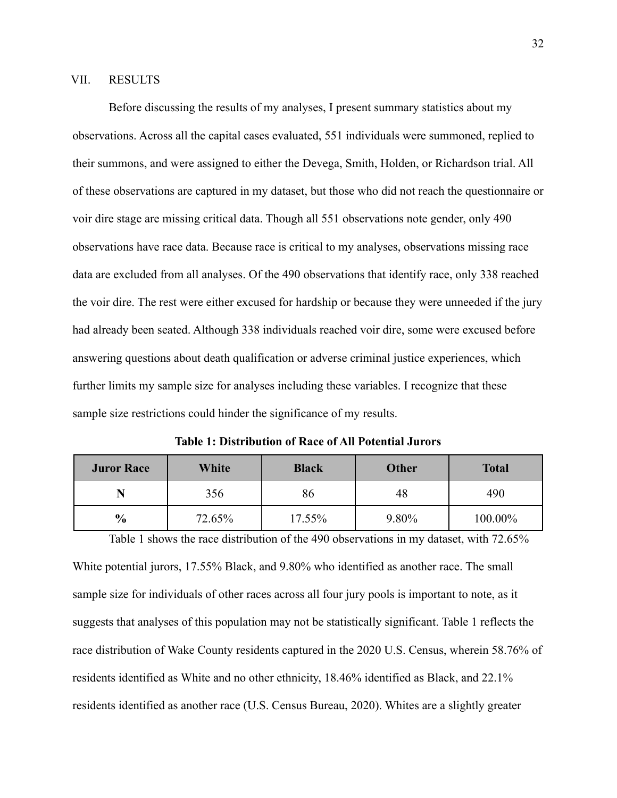#### VII. RESULTS

Before discussing the results of my analyses, I present summary statistics about my observations. Across all the capital cases evaluated, 551 individuals were summoned, replied to their summons, and were assigned to either the Devega, Smith, Holden, or Richardson trial. All of these observations are captured in my dataset, but those who did not reach the questionnaire or voir dire stage are missing critical data. Though all 551 observations note gender, only 490 observations have race data. Because race is critical to my analyses, observations missing race data are excluded from all analyses. Of the 490 observations that identify race, only 338 reached the voir dire. The rest were either excused for hardship or because they were unneeded if the jury had already been seated. Although 338 individuals reached voir dire, some were excused before answering questions about death qualification or adverse criminal justice experiences, which further limits my sample size for analyses including these variables. I recognize that these sample size restrictions could hinder the significance of my results.

**Table 1: Distribution of Race of All Potential Jurors**

| <b>Juror Race</b> | White  | <b>Black</b> | <b>Other</b> | <b>Total</b> |
|-------------------|--------|--------------|--------------|--------------|
|                   | 356    | 86           | 48           | 490          |
| $\frac{6}{9}$     | 72.65% | 17.55%       | 9.80%        | 100.00%      |

Table 1 shows the race distribution of the 490 observations in my dataset, with 72.65% White potential jurors, 17.55% Black, and 9.80% who identified as another race. The small sample size for individuals of other races across all four jury pools is important to note, as it suggests that analyses of this population may not be statistically significant. Table 1 reflects the race distribution of Wake County residents captured in the 2020 U.S. Census, wherein 58.76% of residents identified as White and no other ethnicity, 18.46% identified as Black, and 22.1% residents identified as another race (U.S. Census Bureau, 2020). Whites are a slightly greater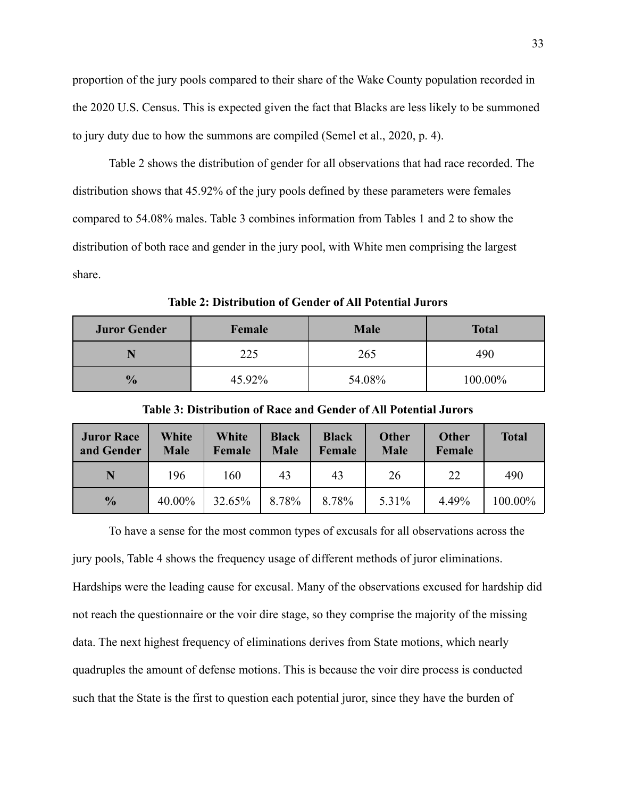proportion of the jury pools compared to their share of the Wake County population recorded in the 2020 U.S. Census. This is expected given the fact that Blacks are less likely to be summoned to jury duty due to how the summons are compiled (Semel et al., 2020, p. 4).

Table 2 shows the distribution of gender for all observations that had race recorded. The distribution shows that 45.92% of the jury pools defined by these parameters were females compared to 54.08% males. Table 3 combines information from Tables 1 and 2 to show the distribution of both race and gender in the jury pool, with White men comprising the largest share.

**Table 2: Distribution of Gender of All Potential Jurors**

| <b>Juror Gender</b> | Female | <b>Male</b> | <b>Total</b> |  |
|---------------------|--------|-------------|--------------|--|
|                     | 225    | 265         | 490          |  |
| $\frac{0}{0}$       | 45.92% | 54.08%      | 100.00%      |  |

| <b>Juror Race</b><br>and Gender | White<br><b>Male</b> | White<br>Female | <b>Black</b><br><b>Male</b> | <b>Black</b><br>Female | <b>Other</b><br><b>Male</b> | <b>Other</b><br>Female | <b>Total</b> |
|---------------------------------|----------------------|-----------------|-----------------------------|------------------------|-----------------------------|------------------------|--------------|
|                                 | 196                  | 160             | 43                          | 43                     | 26                          | 22                     | 490          |
| $\frac{0}{0}$                   | 40.00%               | 32.65%          | 8.78%                       | 8.78%                  | 5.31%                       | 4.49%                  | 100.00%      |

**Table 3: Distribution of Race and Gender of All Potential Jurors**

To have a sense for the most common types of excusals for all observations across the jury pools, Table 4 shows the frequency usage of different methods of juror eliminations. Hardships were the leading cause for excusal. Many of the observations excused for hardship did not reach the questionnaire or the voir dire stage, so they comprise the majority of the missing data. The next highest frequency of eliminations derives from State motions, which nearly quadruples the amount of defense motions. This is because the voir dire process is conducted such that the State is the first to question each potential juror, since they have the burden of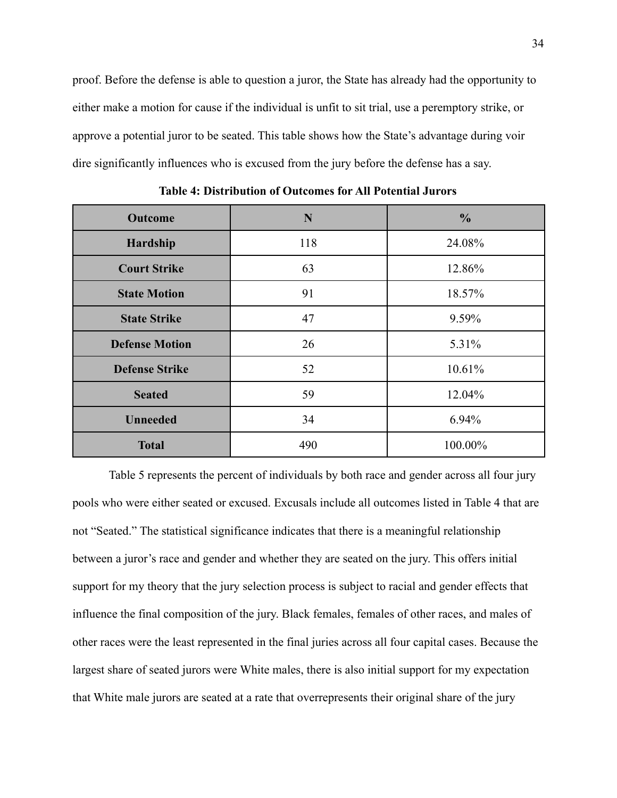proof. Before the defense is able to question a juror, the State has already had the opportunity to either make a motion for cause if the individual is unfit to sit trial, use a peremptory strike, or approve a potential juror to be seated. This table shows how the State's advantage during voir dire significantly influences who is excused from the jury before the defense has a say.

| <b>Outcome</b>        | N   | $\frac{0}{0}$ |
|-----------------------|-----|---------------|
| Hardship              | 118 | 24.08%        |
| <b>Court Strike</b>   | 63  | 12.86%        |
| <b>State Motion</b>   | 91  | 18.57%        |
| <b>State Strike</b>   | 47  | 9.59%         |
| <b>Defense Motion</b> | 26  | 5.31%         |
| <b>Defense Strike</b> | 52  | 10.61%        |
| <b>Seated</b>         | 59  | 12.04%        |
| <b>Unneeded</b>       | 34  | 6.94%         |
| <b>Total</b>          | 490 | 100.00%       |

**Table 4: Distribution of Outcomes for All Potential Jurors**

Table 5 represents the percent of individuals by both race and gender across all four jury pools who were either seated or excused. Excusals include all outcomes listed in Table 4 that are not "Seated." The statistical significance indicates that there is a meaningful relationship between a juror's race and gender and whether they are seated on the jury. This offers initial support for my theory that the jury selection process is subject to racial and gender effects that influence the final composition of the jury. Black females, females of other races, and males of other races were the least represented in the final juries across all four capital cases. Because the largest share of seated jurors were White males, there is also initial support for my expectation that White male jurors are seated at a rate that overrepresents their original share of the jury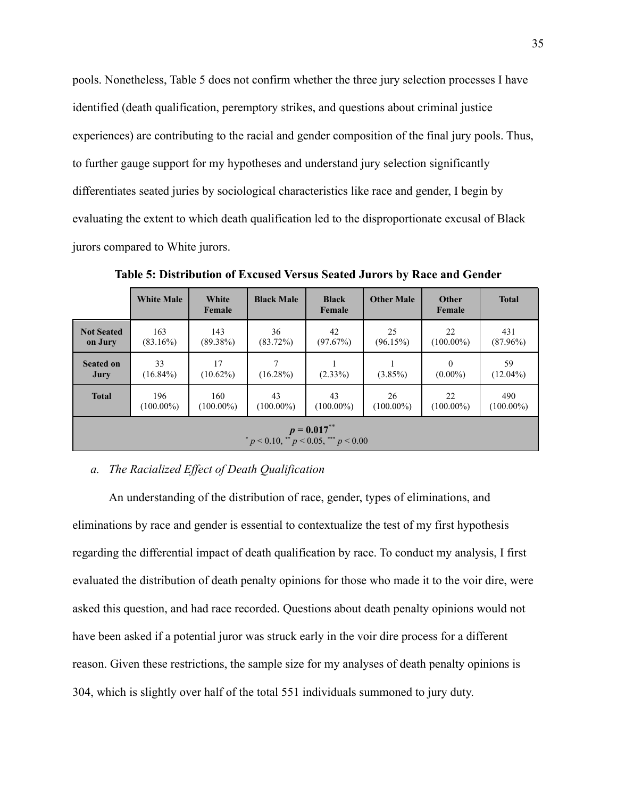pools. Nonetheless, Table 5 does not confirm whether the three jury selection processes I have identified (death qualification, peremptory strikes, and questions about criminal justice experiences) are contributing to the racial and gender composition of the final jury pools. Thus, to further gauge support for my hypotheses and understand jury selection significantly differentiates seated juries by sociological characteristics like race and gender, I begin by evaluating the extent to which death qualification led to the disproportionate excusal of Black jurors compared to White jurors.

|                                                           | <b>White Male</b>   | White<br>Female     | <b>Black Male</b>  | <b>Black</b><br>Female | <b>Other Male</b>  | Other<br>Female        | <b>Total</b>        |
|-----------------------------------------------------------|---------------------|---------------------|--------------------|------------------------|--------------------|------------------------|---------------------|
| <b>Not Seated</b><br>on Jury                              | 163<br>$(83.16\%)$  | 143<br>$(89.38\%)$  | 36<br>$(83.72\%)$  | 42<br>(97.67%)         | 25<br>(96.15%)     | 22<br>$(100.00\%)$     | 431<br>$(87.96\%)$  |
| <b>Seated on</b><br>Jury                                  | 33<br>$(16.84\%)$   | 17<br>$(10.62\%)$   | 7<br>$(16.28\%)$   | $(2.33\%)$             | $(3.85\%)$         | $\Omega$<br>$(0.00\%)$ | 59<br>$(12.04\%)$   |
| <b>Total</b>                                              | 196<br>$(100.00\%)$ | 160<br>$(100.00\%)$ | 43<br>$(100.00\%)$ | 43<br>$(100.00\%)$     | 26<br>$(100.00\%)$ | 22<br>$(100.00\%)$     | 490<br>$(100.00\%)$ |
| $p = 0.017^{**}$<br>* p < 0.10, ** p < 0.05, *** p < 0.00 |                     |                     |                    |                        |                    |                        |                     |

**Table 5: Distribution of Excused Versus Seated Jurors by Race and Gender**

#### *a. The Racialized Effect of Death Qualification*

An understanding of the distribution of race, gender, types of eliminations, and eliminations by race and gender is essential to contextualize the test of my first hypothesis regarding the differential impact of death qualification by race. To conduct my analysis, I first evaluated the distribution of death penalty opinions for those who made it to the voir dire, were asked this question, and had race recorded. Questions about death penalty opinions would not have been asked if a potential juror was struck early in the voir dire process for a different reason. Given these restrictions, the sample size for my analyses of death penalty opinions is 304, which is slightly over half of the total 551 individuals summoned to jury duty.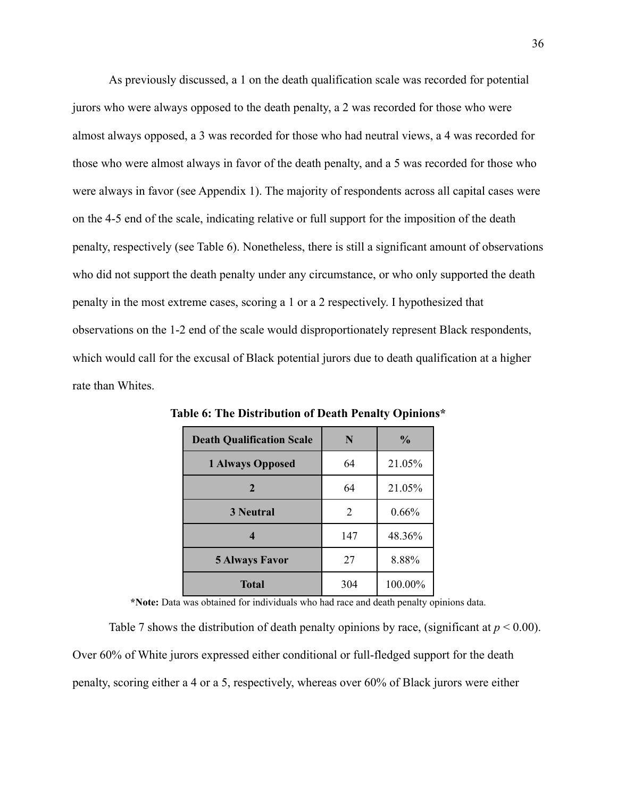As previously discussed, a 1 on the death qualification scale was recorded for potential jurors who were always opposed to the death penalty, a 2 was recorded for those who were almost always opposed, a 3 was recorded for those who had neutral views, a 4 was recorded for those who were almost always in favor of the death penalty, and a 5 was recorded for those who were always in favor (see Appendix 1). The majority of respondents across all capital cases were on the 4-5 end of the scale, indicating relative or full support for the imposition of the death penalty, respectively (see Table 6). Nonetheless, there is still a significant amount of observations who did not support the death penalty under any circumstance, or who only supported the death penalty in the most extreme cases, scoring a 1 or a 2 respectively. I hypothesized that observations on the 1-2 end of the scale would disproportionately represent Black respondents, which would call for the excusal of Black potential jurors due to death qualification at a higher rate than Whites.

| <b>Death Qualification Scale</b> | N              | $\frac{0}{0}$ |
|----------------------------------|----------------|---------------|
| <b>1 Always Opposed</b>          | 64             | 21.05%        |
| 2                                | 64             | 21.05%        |
| <b>3 Neutral</b>                 | $\overline{2}$ | 0.66%         |
|                                  | 147            | 48.36%        |
| <b>5 Always Favor</b>            | 27             | 8.88%         |
| <b>Total</b>                     | 304            | 100.00%       |

**Table 6: The Distribution of Death Penalty Opinions\***

**\*Note:** Data was obtained for individuals who had race and death penalty opinions data.

Table 7 shows the distribution of death penalty opinions by race, (significant at  $p < 0.00$ ). Over 60% of White jurors expressed either conditional or full-fledged support for the death penalty, scoring either a 4 or a 5, respectively, whereas over 60% of Black jurors were either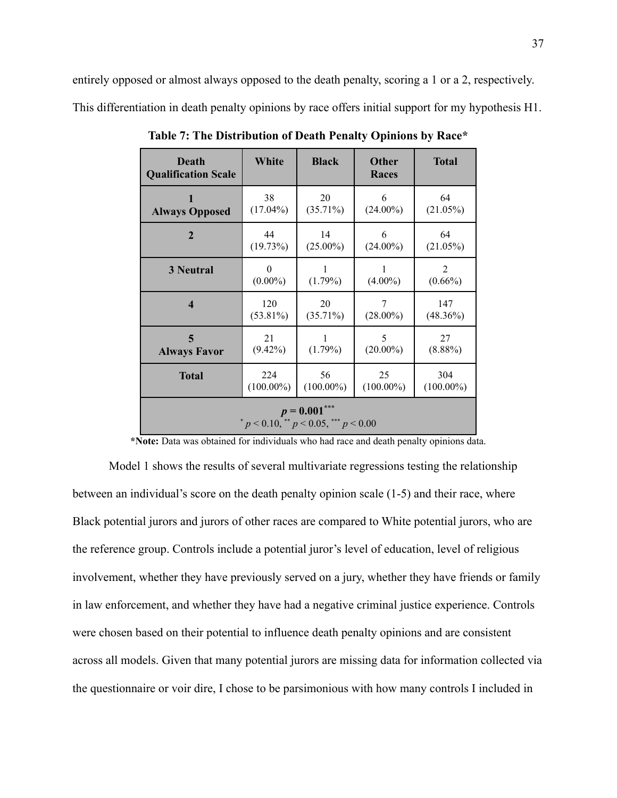entirely opposed or almost always opposed to the death penalty, scoring a 1 or a 2, respectively. This differentiation in death penalty opinions by race offers initial support for my hypothesis H1.

| Death<br><b>Qualification Scale</b>                 | White        | <b>Black</b> | <b>Other</b><br>Races | <b>Total</b> |  |  |  |
|-----------------------------------------------------|--------------|--------------|-----------------------|--------------|--|--|--|
| <b>Always Opposed</b>                               | 38           | 20           | 6                     | 64           |  |  |  |
|                                                     | $(17.04\%)$  | $(35.71\%)$  | $(24.00\%)$           | $(21.05\%)$  |  |  |  |
| $\overline{2}$                                      | 44           | 14           | 6                     | 64           |  |  |  |
|                                                     | (19.73%)     | $(25.00\%)$  | $(24.00\%)$           | $(21.05\%)$  |  |  |  |
| <b>3 Neutral</b>                                    | 0            | 1            | L                     | 2            |  |  |  |
|                                                     | $(0.00\%)$   | $(1.79\%)$   | $(4.00\%)$            | $(0.66\%)$   |  |  |  |
| $\boldsymbol{4}$                                    | 120          | 20           | 7                     | 147          |  |  |  |
|                                                     | $(53.81\%)$  | $(35.71\%)$  | $(28.00\%)$           | $(48.36\%)$  |  |  |  |
| 5                                                   | 21           | 1            | 5                     | 27           |  |  |  |
| <b>Always Favor</b>                                 | $(9.42\%)$   | $(1.79\%)$   | $(20.00\%)$           | $(8.88\%)$   |  |  |  |
| <b>Total</b>                                        | 224          | 56           | 25                    | 304          |  |  |  |
|                                                     | $(100.00\%)$ | $(100.00\%)$ | $(100.00\%)$          | $(100.00\%)$ |  |  |  |
| $p = 0.001$<br>$p < 0.10$ , $p < 0.05$ , $p < 0.00$ |              |              |                       |              |  |  |  |

**Table 7: The Distribution of Death Penalty Opinions by Race\***

**\*Note:** Data was obtained for individuals who had race and death penalty opinions data.

Model 1 shows the results of several multivariate regressions testing the relationship between an individual's score on the death penalty opinion scale (1-5) and their race, where Black potential jurors and jurors of other races are compared to White potential jurors, who are the reference group. Controls include a potential juror's level of education, level of religious involvement, whether they have previously served on a jury, whether they have friends or family in law enforcement, and whether they have had a negative criminal justice experience. Controls were chosen based on their potential to influence death penalty opinions and are consistent across all models. Given that many potential jurors are missing data for information collected via the questionnaire or voir dire, I chose to be parsimonious with how many controls I included in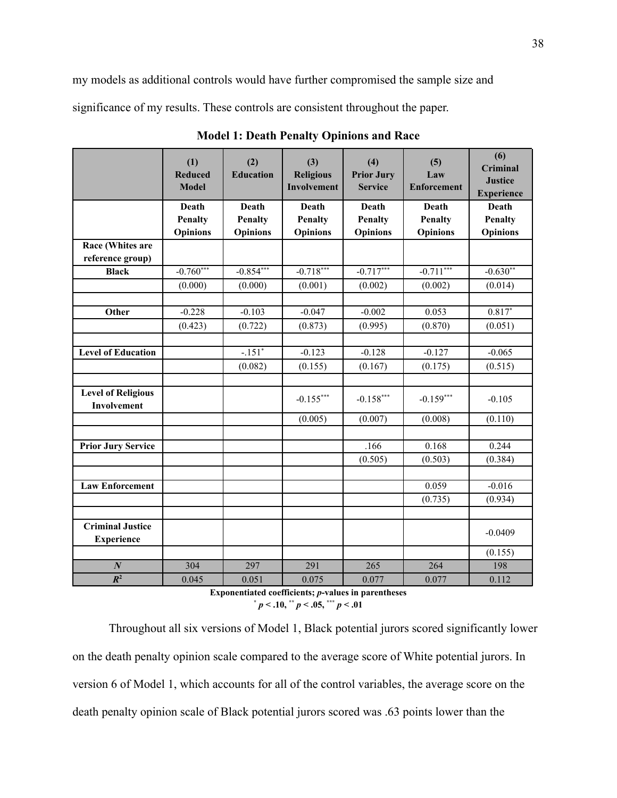my models as additional controls would have further compromised the sample size and significance of my results. These controls are consistent throughout the paper.

|                                              | (1)<br><b>Reduced</b><br><b>Model</b> | (2)<br><b>Education</b>                    | (3)<br><b>Religious</b><br><b>Involvement</b> | (4)<br><b>Prior Jury</b><br><b>Service</b> | (5)<br>Law<br><b>Enforcement</b>           | (6)<br><b>Criminal</b><br><b>Justice</b><br><b>Experience</b> |
|----------------------------------------------|---------------------------------------|--------------------------------------------|-----------------------------------------------|--------------------------------------------|--------------------------------------------|---------------------------------------------------------------|
|                                              | Death<br>Penalty<br><b>Opinions</b>   | Death<br><b>Penalty</b><br><b>Opinions</b> | Death<br><b>Penalty</b><br><b>Opinions</b>    | Death<br>Penalty<br><b>Opinions</b>        | Death<br><b>Penalty</b><br><b>Opinions</b> | Death<br><b>Penalty</b><br><b>Opinions</b>                    |
| Race (Whites are<br>reference group)         |                                       |                                            |                                               |                                            |                                            |                                                               |
| <b>Black</b>                                 | $-0.760***$                           | $-0.854***$                                | $-0.718***$                                   | $-0.717***$                                | $-0.711***$                                | $-0.630**$                                                    |
|                                              | (0.000)                               | (0.000)                                    | (0.001)                                       | (0.002)                                    | (0.002)                                    | (0.014)                                                       |
|                                              |                                       |                                            |                                               |                                            |                                            |                                                               |
| Other                                        | $-0.228$                              | $-0.103$                                   | $-0.047$                                      | $-0.002$                                   | 0.053                                      | $0.817*$                                                      |
|                                              | (0.423)                               | (0.722)                                    | (0.873)                                       | (0.995)                                    | (0.870)                                    | (0.051)                                                       |
|                                              |                                       |                                            |                                               |                                            |                                            |                                                               |
| <b>Level of Education</b>                    |                                       | $-.151*$                                   | $-0.123$                                      | $-0.128$                                   | $-0.127$                                   | $-0.065$                                                      |
|                                              |                                       | (0.082)                                    | (0.155)                                       | (0.167)                                    | (0.175)                                    | (0.515)                                                       |
|                                              |                                       |                                            |                                               |                                            |                                            |                                                               |
| <b>Level of Religious</b><br>Involvement     |                                       |                                            | $-0.155***$                                   | $-0.158***$                                | $-0.159***$                                | $-0.105$                                                      |
|                                              |                                       |                                            | (0.005)                                       | (0.007)                                    | (0.008)                                    | (0.110)                                                       |
|                                              |                                       |                                            |                                               |                                            |                                            |                                                               |
| <b>Prior Jury Service</b>                    |                                       |                                            |                                               | .166                                       | 0.168                                      | 0.244                                                         |
|                                              |                                       |                                            |                                               | (0.505)                                    | (0.503)                                    | (0.384)                                                       |
|                                              |                                       |                                            |                                               |                                            |                                            |                                                               |
| <b>Law Enforcement</b>                       |                                       |                                            |                                               |                                            | 0.059                                      | $-0.016$                                                      |
|                                              |                                       |                                            |                                               |                                            | (0.735)                                    | (0.934)                                                       |
|                                              |                                       |                                            |                                               |                                            |                                            |                                                               |
| <b>Criminal Justice</b><br><b>Experience</b> |                                       |                                            |                                               |                                            |                                            | $-0.0409$                                                     |
|                                              |                                       |                                            |                                               |                                            |                                            | (0.155)                                                       |
| $\boldsymbol{N}$                             | 304                                   | 297                                        | 291                                           | 265                                        | 264                                        | 198                                                           |
| $R^2$                                        | 0.045                                 | 0.051                                      | 0.075                                         | 0.077                                      | 0.077                                      | 0.112                                                         |

**Model 1: Death Penalty Opinions and Race**

**Exponentiated coefficients;** *p***-values in parentheses**  $*$   $p < .10, **$   $p < .05,***$   $p < .01$ 

Throughout all six versions of Model 1, Black potential jurors scored significantly lower on the death penalty opinion scale compared to the average score of White potential jurors. In version 6 of Model 1, which accounts for all of the control variables, the average score on the death penalty opinion scale of Black potential jurors scored was .63 points lower than the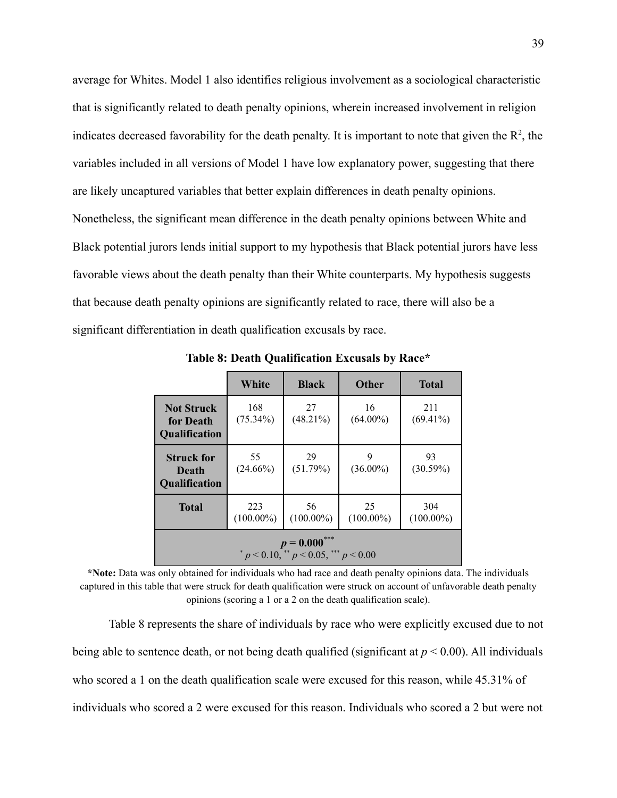average for Whites. Model 1 also identifies religious involvement as a sociological characteristic that is significantly related to death penalty opinions, wherein increased involvement in religion indicates decreased favorability for the death penalty. It is important to note that given the  $\mathbb{R}^2$ , the variables included in all versions of Model 1 have low explanatory power, suggesting that there are likely uncaptured variables that better explain differences in death penalty opinions. Nonetheless, the significant mean difference in the death penalty opinions between White and Black potential jurors lends initial support to my hypothesis that Black potential jurors have less favorable views about the death penalty than their White counterparts. My hypothesis suggests that because death penalty opinions are significantly related to race, there will also be a significant differentiation in death qualification excusals by race.

|                                                     | White               | <b>Black</b>       | <b>Other</b>       | <b>Total</b>        |  |  |  |
|-----------------------------------------------------|---------------------|--------------------|--------------------|---------------------|--|--|--|
| <b>Not Struck</b><br>for Death<br>Qualification     | 168<br>$(75.34\%)$  | 27<br>$(48.21\%)$  | 16<br>$(64.00\%)$  | 211<br>$(69.41\%)$  |  |  |  |
| <b>Struck for</b><br>Death<br>Qualification         | 55<br>$(24.66\%)$   | 29<br>(51.79%)     | 9<br>$(36.00\%)$   | 93<br>(30.59%)      |  |  |  |
| <b>Total</b>                                        | 223<br>$(100.00\%)$ | 56<br>$(100.00\%)$ | 25<br>$(100.00\%)$ | 304<br>$(100.00\%)$ |  |  |  |
| $p = 0.000$<br>$p < 0.10$ , $p < 0.05$ , $p < 0.00$ |                     |                    |                    |                     |  |  |  |

**Table 8: Death Qualification Excusals by Race\***

**\*Note:** Data was only obtained for individuals who had race and death penalty opinions data. The individuals captured in this table that were struck for death qualification were struck on account of unfavorable death penalty opinions (scoring a 1 or a 2 on the death qualification scale).

Table 8 represents the share of individuals by race who were explicitly excused due to not being able to sentence death, or not being death qualified (significant at *p* < 0.00). All individuals who scored a 1 on the death qualification scale were excused for this reason, while 45.31% of individuals who scored a 2 were excused for this reason. Individuals who scored a 2 but were not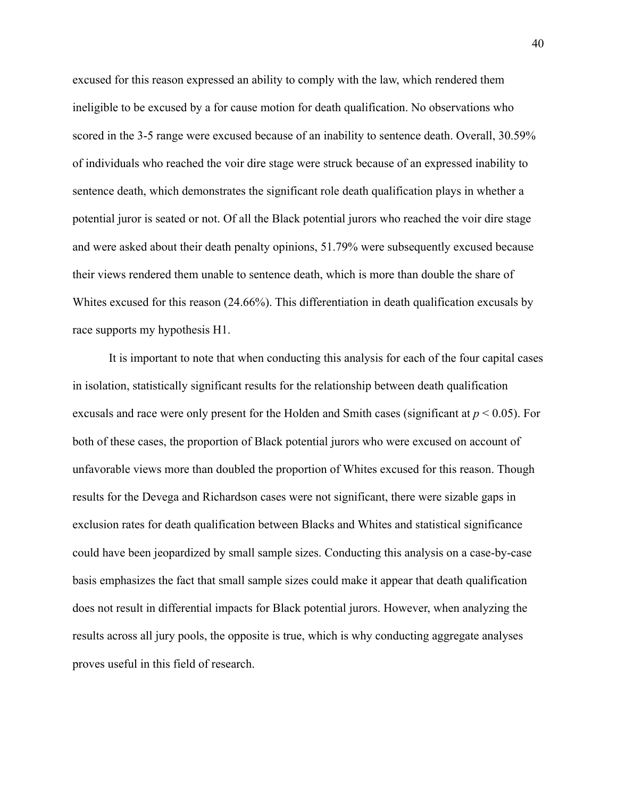excused for this reason expressed an ability to comply with the law, which rendered them ineligible to be excused by a for cause motion for death qualification. No observations who scored in the 3-5 range were excused because of an inability to sentence death. Overall, 30.59% of individuals who reached the voir dire stage were struck because of an expressed inability to sentence death, which demonstrates the significant role death qualification plays in whether a potential juror is seated or not. Of all the Black potential jurors who reached the voir dire stage and were asked about their death penalty opinions, 51.79% were subsequently excused because their views rendered them unable to sentence death, which is more than double the share of Whites excused for this reason (24.66%). This differentiation in death qualification excusals by race supports my hypothesis H1.

It is important to note that when conducting this analysis for each of the four capital cases in isolation, statistically significant results for the relationship between death qualification excusals and race were only present for the Holden and Smith cases (significant at *p* < 0.05). For both of these cases, the proportion of Black potential jurors who were excused on account of unfavorable views more than doubled the proportion of Whites excused for this reason. Though results for the Devega and Richardson cases were not significant, there were sizable gaps in exclusion rates for death qualification between Blacks and Whites and statistical significance could have been jeopardized by small sample sizes. Conducting this analysis on a case-by-case basis emphasizes the fact that small sample sizes could make it appear that death qualification does not result in differential impacts for Black potential jurors. However, when analyzing the results across all jury pools, the opposite is true, which is why conducting aggregate analyses proves useful in this field of research.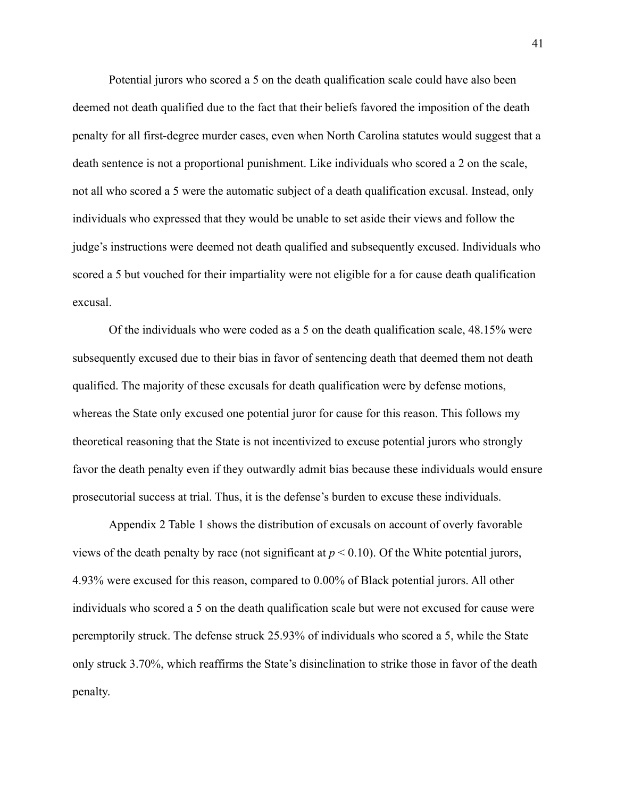Potential jurors who scored a 5 on the death qualification scale could have also been deemed not death qualified due to the fact that their beliefs favored the imposition of the death penalty for all first-degree murder cases, even when North Carolina statutes would suggest that a death sentence is not a proportional punishment. Like individuals who scored a 2 on the scale, not all who scored a 5 were the automatic subject of a death qualification excusal. Instead, only individuals who expressed that they would be unable to set aside their views and follow the judge's instructions were deemed not death qualified and subsequently excused. Individuals who scored a 5 but vouched for their impartiality were not eligible for a for cause death qualification excusal.

Of the individuals who were coded as a 5 on the death qualification scale, 48.15% were subsequently excused due to their bias in favor of sentencing death that deemed them not death qualified. The majority of these excusals for death qualification were by defense motions, whereas the State only excused one potential juror for cause for this reason. This follows my theoretical reasoning that the State is not incentivized to excuse potential jurors who strongly favor the death penalty even if they outwardly admit bias because these individuals would ensure prosecutorial success at trial. Thus, it is the defense's burden to excuse these individuals.

Appendix 2 Table 1 shows the distribution of excusals on account of overly favorable views of the death penalty by race (not significant at  $p < 0.10$ ). Of the White potential jurors, 4.93% were excused for this reason, compared to 0.00% of Black potential jurors. All other individuals who scored a 5 on the death qualification scale but were not excused for cause were peremptorily struck. The defense struck 25.93% of individuals who scored a 5, while the State only struck 3.70%, which reaffirms the State's disinclination to strike those in favor of the death penalty.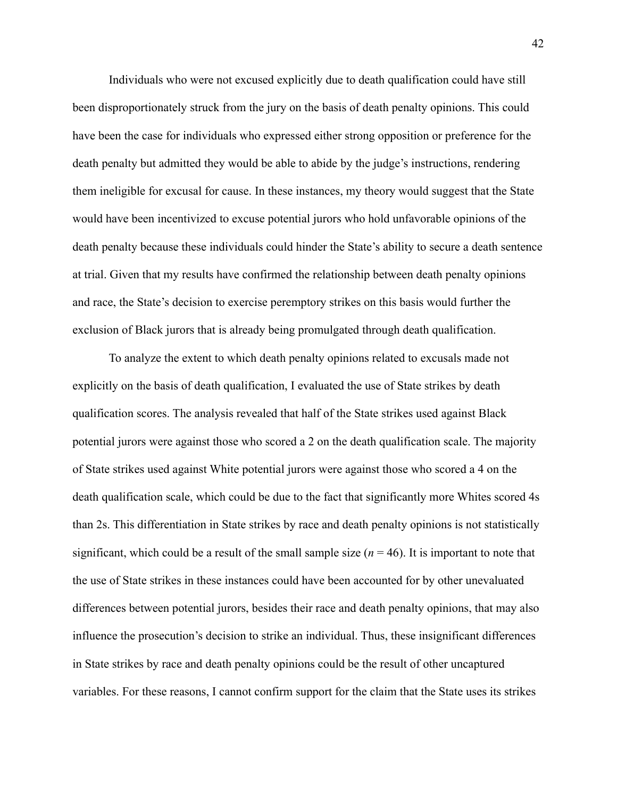Individuals who were not excused explicitly due to death qualification could have still been disproportionately struck from the jury on the basis of death penalty opinions. This could have been the case for individuals who expressed either strong opposition or preference for the death penalty but admitted they would be able to abide by the judge's instructions, rendering them ineligible for excusal for cause. In these instances, my theory would suggest that the State would have been incentivized to excuse potential jurors who hold unfavorable opinions of the death penalty because these individuals could hinder the State's ability to secure a death sentence at trial. Given that my results have confirmed the relationship between death penalty opinions and race, the State's decision to exercise peremptory strikes on this basis would further the exclusion of Black jurors that is already being promulgated through death qualification.

To analyze the extent to which death penalty opinions related to excusals made not explicitly on the basis of death qualification, I evaluated the use of State strikes by death qualification scores. The analysis revealed that half of the State strikes used against Black potential jurors were against those who scored a 2 on the death qualification scale. The majority of State strikes used against White potential jurors were against those who scored a 4 on the death qualification scale, which could be due to the fact that significantly more Whites scored 4s than 2s. This differentiation in State strikes by race and death penalty opinions is not statistically significant, which could be a result of the small sample size  $(n = 46)$ . It is important to note that the use of State strikes in these instances could have been accounted for by other unevaluated differences between potential jurors, besides their race and death penalty opinions, that may also influence the prosecution's decision to strike an individual. Thus, these insignificant differences in State strikes by race and death penalty opinions could be the result of other uncaptured variables. For these reasons, I cannot confirm support for the claim that the State uses its strikes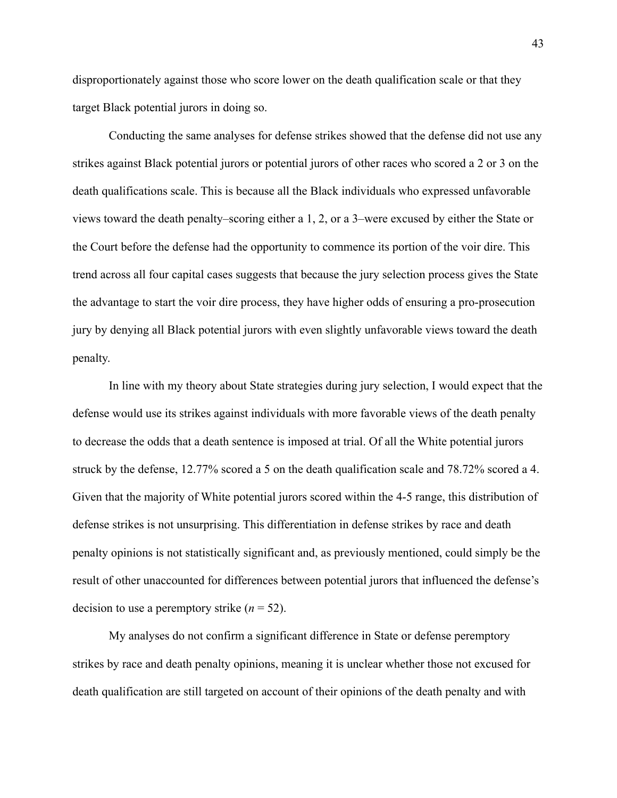disproportionately against those who score lower on the death qualification scale or that they target Black potential jurors in doing so.

Conducting the same analyses for defense strikes showed that the defense did not use any strikes against Black potential jurors or potential jurors of other races who scored a 2 or 3 on the death qualifications scale. This is because all the Black individuals who expressed unfavorable views toward the death penalty–scoring either a 1, 2, or a 3–were excused by either the State or the Court before the defense had the opportunity to commence its portion of the voir dire. This trend across all four capital cases suggests that because the jury selection process gives the State the advantage to start the voir dire process, they have higher odds of ensuring a pro-prosecution jury by denying all Black potential jurors with even slightly unfavorable views toward the death penalty.

In line with my theory about State strategies during jury selection, I would expect that the defense would use its strikes against individuals with more favorable views of the death penalty to decrease the odds that a death sentence is imposed at trial. Of all the White potential jurors struck by the defense, 12.77% scored a 5 on the death qualification scale and 78.72% scored a 4. Given that the majority of White potential jurors scored within the 4-5 range, this distribution of defense strikes is not unsurprising. This differentiation in defense strikes by race and death penalty opinions is not statistically significant and, as previously mentioned, could simply be the result of other unaccounted for differences between potential jurors that influenced the defense's decision to use a peremptory strike  $(n = 52)$ .

My analyses do not confirm a significant difference in State or defense peremptory strikes by race and death penalty opinions, meaning it is unclear whether those not excused for death qualification are still targeted on account of their opinions of the death penalty and with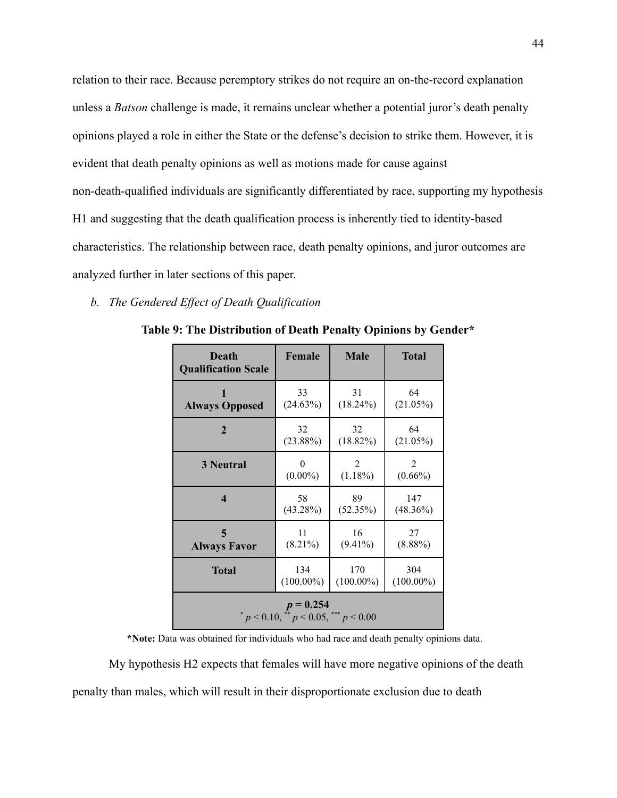relation to their race. Because peremptory strikes do not require an on-the-record explanation unless a *Batson* challenge is made, it remains unclear whether a potential juror's death penalty opinions played a role in either the State or the defense's decision to strike them. However, it is evident that death penalty opinions as well as motions made for cause against non-death-qualified individuals are significantly differentiated by race, supporting my hypothesis H1 and suggesting that the death qualification process is inherently tied to identity-based characteristics. The relationship between race, death penalty opinions, and juror outcomes are analyzed further in later sections of this paper.

## *b. The Gendered Effect of Death Qualification*

| Death<br><b>Qualification Scale</b>                          | Female       | <b>Male</b>  | Total        |  |  |
|--------------------------------------------------------------|--------------|--------------|--------------|--|--|
| 1                                                            | 33           | 31           | 64           |  |  |
| <b>Always Opposed</b>                                        | (24.63%)     | $(18.24\%)$  | $(21.05\%)$  |  |  |
| $\overline{2}$                                               | 32           | 32           | 64           |  |  |
|                                                              | $(23.88\%)$  | $(18.82\%)$  | $(21.05\%)$  |  |  |
| <b>3 Neutral</b>                                             | 0            | 2            | 2            |  |  |
|                                                              | $(0.00\%)$   | $(1.18\%)$   | $(0.66\%)$   |  |  |
| $\boldsymbol{4}$                                             | 58           | 89           | 147          |  |  |
|                                                              | $(43.28\%)$  | (52.35%)     | $(48.36\%)$  |  |  |
| 5                                                            | 11           | 16           | 27           |  |  |
| <b>Always Favor</b>                                          | $(8.21\%)$   | $(9.41\%)$   | $(8.88\%)$   |  |  |
| <b>Total</b>                                                 | 134          | 170          | 304          |  |  |
|                                                              | $(100.00\%)$ | $(100.00\%)$ | $(100.00\%)$ |  |  |
| $p = 0.254$<br>* $p < 0.10$ , ** $p < 0.05$ , *** $p < 0.00$ |              |              |              |  |  |

**Table 9: The Distribution of Death Penalty Opinions by Gender\***

**\*Note:** Data was obtained for individuals who had race and death penalty opinions data.

My hypothesis H2 expects that females will have more negative opinions of the death penalty than males, which will result in their disproportionate exclusion due to death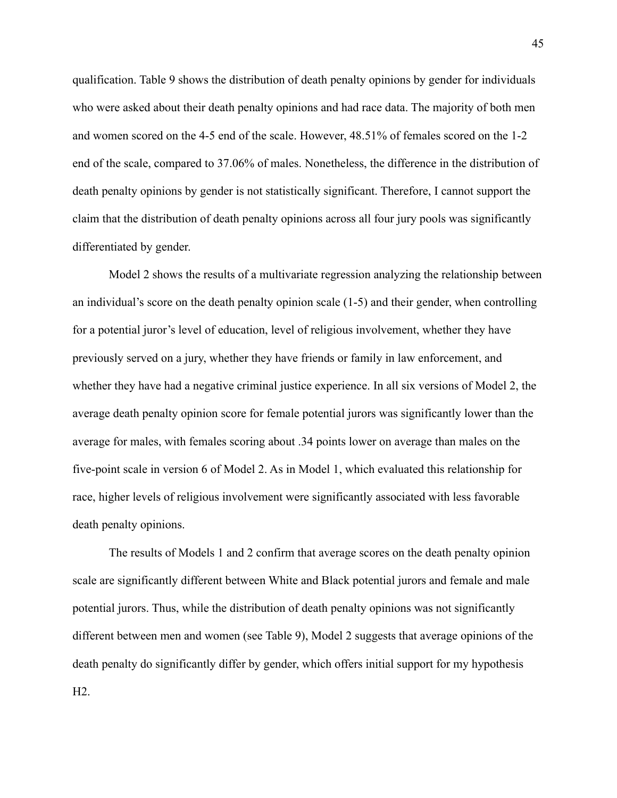qualification. Table 9 shows the distribution of death penalty opinions by gender for individuals who were asked about their death penalty opinions and had race data. The majority of both men and women scored on the 4-5 end of the scale. However, 48.51% of females scored on the 1-2 end of the scale, compared to 37.06% of males. Nonetheless, the difference in the distribution of death penalty opinions by gender is not statistically significant. Therefore, I cannot support the claim that the distribution of death penalty opinions across all four jury pools was significantly differentiated by gender.

Model 2 shows the results of a multivariate regression analyzing the relationship between an individual's score on the death penalty opinion scale (1-5) and their gender, when controlling for a potential juror's level of education, level of religious involvement, whether they have previously served on a jury, whether they have friends or family in law enforcement, and whether they have had a negative criminal justice experience. In all six versions of Model 2, the average death penalty opinion score for female potential jurors was significantly lower than the average for males, with females scoring about .34 points lower on average than males on the five-point scale in version 6 of Model 2. As in Model 1, which evaluated this relationship for race, higher levels of religious involvement were significantly associated with less favorable death penalty opinions.

The results of Models 1 and 2 confirm that average scores on the death penalty opinion scale are significantly different between White and Black potential jurors and female and male potential jurors. Thus, while the distribution of death penalty opinions was not significantly different between men and women (see Table 9), Model 2 suggests that average opinions of the death penalty do significantly differ by gender, which offers initial support for my hypothesis H2.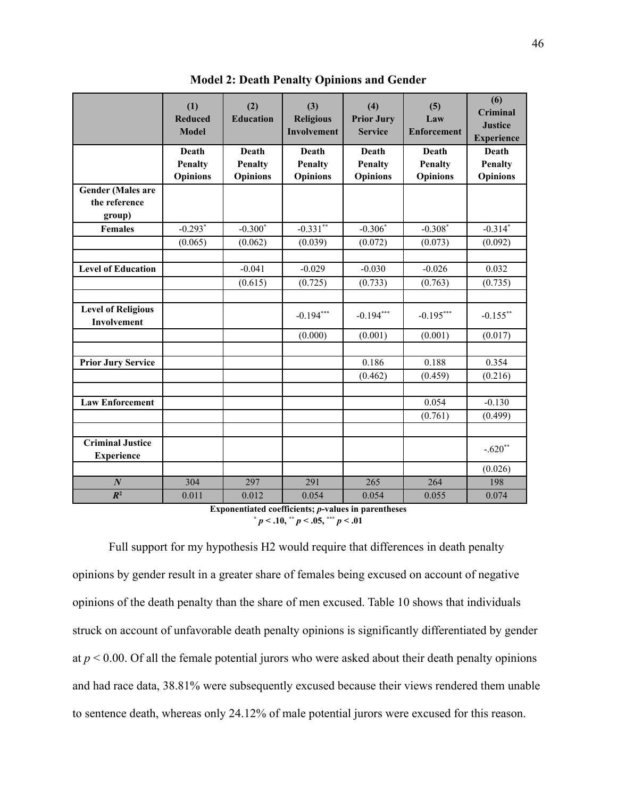|                                              | (1)<br><b>Reduced</b><br><b>Model</b> | (2)<br><b>Education</b> | (3)<br><b>Religious</b><br>Involvement | (4)<br><b>Prior Jury</b><br><b>Service</b> | (5)<br>Law<br><b>Enforcement</b> | (6)<br>Criminal<br><b>Justice</b><br><b>Experience</b> |
|----------------------------------------------|---------------------------------------|-------------------------|----------------------------------------|--------------------------------------------|----------------------------------|--------------------------------------------------------|
|                                              | Death                                 | Death                   | Death                                  | Death                                      | Death                            | Death                                                  |
|                                              | <b>Penalty</b>                        | <b>Penalty</b>          | <b>Penalty</b>                         | <b>Penalty</b>                             | <b>Penalty</b>                   | <b>Penalty</b>                                         |
|                                              | <b>Opinions</b>                       | <b>Opinions</b>         | <b>Opinions</b>                        | <b>Opinions</b>                            | <b>Opinions</b>                  | <b>Opinions</b>                                        |
| <b>Gender (Males are</b>                     |                                       |                         |                                        |                                            |                                  |                                                        |
| the reference                                |                                       |                         |                                        |                                            |                                  |                                                        |
| group)                                       |                                       |                         |                                        |                                            |                                  |                                                        |
| <b>Females</b>                               | $-0.293*$                             | $-0.300*$               | $-0.331**$                             | $-0.306*$                                  | $-0.308*$                        | $-0.314$ <sup>*</sup>                                  |
|                                              | (0.065)                               | (0.062)                 | (0.039)                                | (0.072)                                    | (0.073)                          | (0.092)                                                |
|                                              |                                       |                         |                                        |                                            |                                  |                                                        |
| <b>Level of Education</b>                    |                                       | $-0.041$                | $-0.029$                               | $-0.030$                                   | $-0.026$                         | 0.032                                                  |
|                                              |                                       | (0.615)                 | (0.725)                                | (0.733)                                    | (0.763)                          | (0.735)                                                |
|                                              |                                       |                         |                                        |                                            |                                  |                                                        |
| <b>Level of Religious</b><br>Involvement     |                                       |                         | $-0.194***$                            | $-0.194***$                                | $-0.195***$                      | $-0.155$ **                                            |
|                                              |                                       |                         | (0.000)                                | (0.001)                                    | (0.001)                          | (0.017)                                                |
|                                              |                                       |                         |                                        |                                            |                                  |                                                        |
| <b>Prior Jury Service</b>                    |                                       |                         |                                        | 0.186                                      | 0.188                            | 0.354                                                  |
|                                              |                                       |                         |                                        | (0.462)                                    | (0.459)                          | (0.216)                                                |
|                                              |                                       |                         |                                        |                                            |                                  |                                                        |
| <b>Law Enforcement</b>                       |                                       |                         |                                        |                                            | 0.054                            | $-0.130$                                               |
|                                              |                                       |                         |                                        |                                            | (0.761)                          | (0.499)                                                |
|                                              |                                       |                         |                                        |                                            |                                  |                                                        |
| <b>Criminal Justice</b><br><b>Experience</b> |                                       |                         |                                        |                                            |                                  | $-.620**$                                              |
|                                              |                                       |                         |                                        |                                            |                                  | (0.026)                                                |
| $\boldsymbol{N}$                             | 304                                   | 297                     | 291                                    | 265                                        | 264                              | 198                                                    |
| $R^2$                                        | 0.011                                 | 0.012                   | 0.054                                  | 0.054                                      | 0.055                            | 0.074                                                  |

**Model 2: Death Penalty Opinions and Gender**

**Exponentiated coefficients;** *p***-values in parentheses**  $p < .10$ ,  $\binom{4}{3}$  *p*  $\leq .05$ ,  $\binom{4}{3}$  *p*  $\leq .01$ 

Full support for my hypothesis H2 would require that differences in death penalty opinions by gender result in a greater share of females being excused on account of negative opinions of the death penalty than the share of men excused. Table 10 shows that individuals struck on account of unfavorable death penalty opinions is significantly differentiated by gender at  $p < 0.00$ . Of all the female potential jurors who were asked about their death penalty opinions and had race data, 38.81% were subsequently excused because their views rendered them unable to sentence death, whereas only 24.12% of male potential jurors were excused for this reason.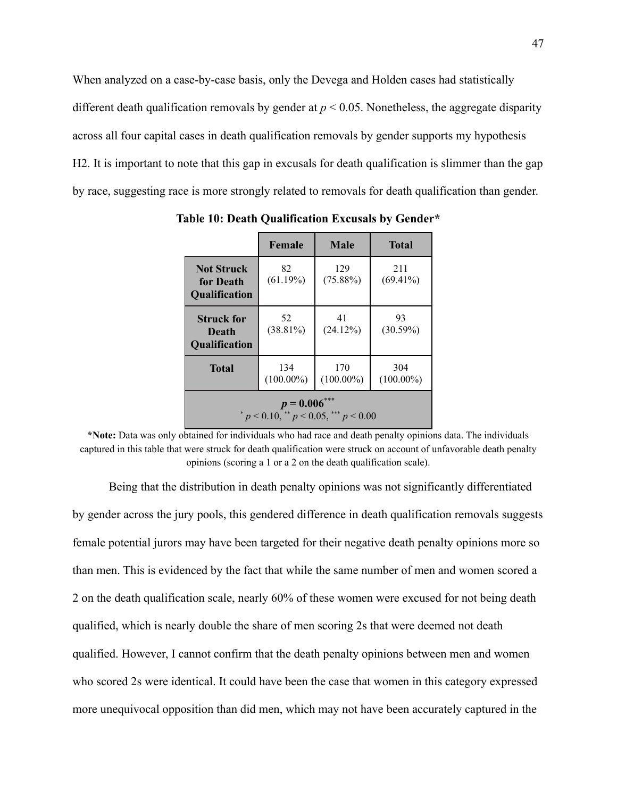When analyzed on a case-by-case basis, only the Devega and Holden cases had statistically different death qualification removals by gender at  $p < 0.05$ . Nonetheless, the aggregate disparity across all four capital cases in death qualification removals by gender supports my hypothesis H2. It is important to note that this gap in excusals for death qualification is slimmer than the gap by race, suggesting race is more strongly related to removals for death qualification than gender.

|                                                         | Female              | Male                | <b>Total</b>        |  |  |  |
|---------------------------------------------------------|---------------------|---------------------|---------------------|--|--|--|
| <b>Not Struck</b><br>for Death<br><b>Qualification</b>  | 82<br>(61.19%)      | 129<br>$(75.88\%)$  | 211<br>$(69.41\%)$  |  |  |  |
| <b>Struck for</b><br>Death<br>Qualification             | 52<br>$(38.81\%)$   | 41<br>(24.12%)      | 93<br>$(30.59\%)$   |  |  |  |
| <b>Total</b>                                            | 134<br>$(100.00\%)$ | 170<br>$(100.00\%)$ | 304<br>$(100.00\%)$ |  |  |  |
| $p = 0.006***$<br>* p < 0.10, ** p < 0.05, *** p < 0.00 |                     |                     |                     |  |  |  |

**Table 10: Death Qualification Excusals by Gender\***

**\*Note:** Data was only obtained for individuals who had race and death penalty opinions data. The individuals captured in this table that were struck for death qualification were struck on account of unfavorable death penalty opinions (scoring a 1 or a 2 on the death qualification scale).

Being that the distribution in death penalty opinions was not significantly differentiated by gender across the jury pools, this gendered difference in death qualification removals suggests female potential jurors may have been targeted for their negative death penalty opinions more so than men. This is evidenced by the fact that while the same number of men and women scored a 2 on the death qualification scale, nearly 60% of these women were excused for not being death qualified, which is nearly double the share of men scoring 2s that were deemed not death qualified. However, I cannot confirm that the death penalty opinions between men and women who scored 2s were identical. It could have been the case that women in this category expressed more unequivocal opposition than did men, which may not have been accurately captured in the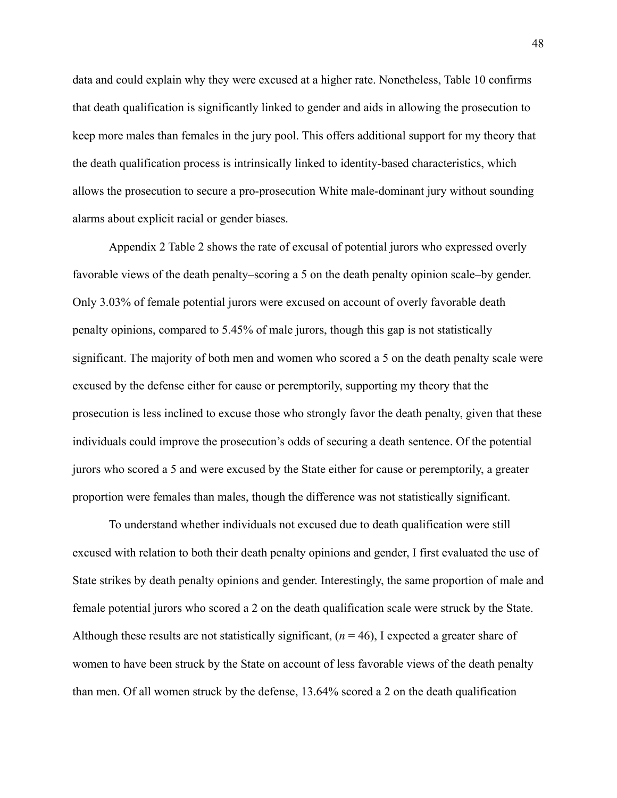data and could explain why they were excused at a higher rate. Nonetheless, Table 10 confirms that death qualification is significantly linked to gender and aids in allowing the prosecution to keep more males than females in the jury pool. This offers additional support for my theory that the death qualification process is intrinsically linked to identity-based characteristics, which allows the prosecution to secure a pro-prosecution White male-dominant jury without sounding alarms about explicit racial or gender biases.

Appendix 2 Table 2 shows the rate of excusal of potential jurors who expressed overly favorable views of the death penalty–scoring a 5 on the death penalty opinion scale–by gender. Only 3.03% of female potential jurors were excused on account of overly favorable death penalty opinions, compared to 5.45% of male jurors, though this gap is not statistically significant. The majority of both men and women who scored a 5 on the death penalty scale were excused by the defense either for cause or peremptorily, supporting my theory that the prosecution is less inclined to excuse those who strongly favor the death penalty, given that these individuals could improve the prosecution's odds of securing a death sentence. Of the potential jurors who scored a 5 and were excused by the State either for cause or peremptorily, a greater proportion were females than males, though the difference was not statistically significant.

To understand whether individuals not excused due to death qualification were still excused with relation to both their death penalty opinions and gender, I first evaluated the use of State strikes by death penalty opinions and gender. Interestingly, the same proportion of male and female potential jurors who scored a 2 on the death qualification scale were struck by the State. Although these results are not statistically significant,  $(n = 46)$ , I expected a greater share of women to have been struck by the State on account of less favorable views of the death penalty than men. Of all women struck by the defense, 13.64% scored a 2 on the death qualification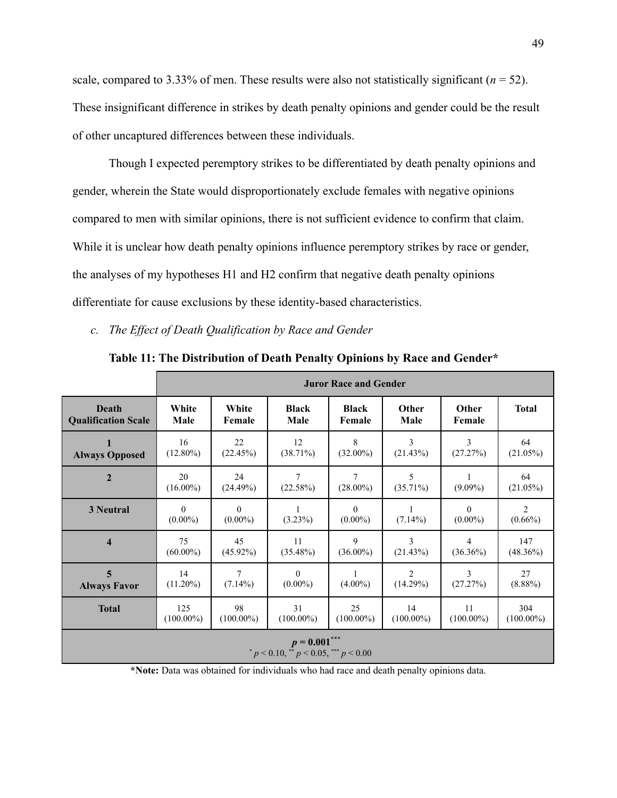scale, compared to 3.33% of men. These results were also not statistically significant  $(n = 52)$ . These insignificant difference in strikes by death penalty opinions and gender could be the result of other uncaptured differences between these individuals.

Though I expected peremptory strikes to be differentiated by death penalty opinions and gender, wherein the State would disproportionately exclude females with negative opinions compared to men with similar opinions, there is not sufficient evidence to confirm that claim. While it is unclear how death penalty opinions influence peremptory strikes by race or gender, the analyses of my hypotheses H1 and H2 confirm that negative death penalty opinions differentiate for cause exclusions by these identity-based characteristics.

*c. The Effect of Death Qualification by Race and Gender*

|                            | <b>Juror Race and Gender</b> |                        |                                                        |                        |                  |                        |                              |
|----------------------------|------------------------------|------------------------|--------------------------------------------------------|------------------------|------------------|------------------------|------------------------------|
| Death                      | White                        | White                  | <b>Black</b>                                           | <b>Black</b>           | Other            | Other                  | <b>Total</b>                 |
| <b>Qualification Scale</b> | Male                         | Female                 | Male                                                   | Female                 | Male             | Female                 |                              |
| <b>Always Opposed</b>      | 16                           | 22                     | 12                                                     | 8                      | 3                | 3                      | 64                           |
|                            | $(12.80\%)$                  | (22.45%)               | $(38.71\%)$                                            | $(32.00\%)$            | (21.43%)         | (27.27%)               | $(21.05\%)$                  |
| $\overline{2}$             | 20<br>$(16.00\%)$            | 24<br>(24.49%)         | 7<br>(22.58%)                                          | 7<br>$(28.00\%)$       | 5<br>$(35.71\%)$ | $(9.09\%)$             | 64<br>$(21.05\%)$            |
| 3 Neutral                  | $\theta$<br>$(0.00\%)$       | $\theta$<br>$(0.00\%)$ | $(3.23\%)$                                             | $\theta$<br>$(0.00\%)$ | $(7.14\%)$       | $\Omega$<br>$(0.00\%)$ | $\overline{c}$<br>$(0.66\%)$ |
| $\overline{\mathbf{4}}$    | 75                           | 45                     | 11                                                     | 9                      | 3                | 4                      | 147                          |
|                            | $(60.00\%)$                  | $(45.92\%)$            | $(35.48\%)$                                            | $(36.00\%)$            | (21.43%)         | $(36.36\%)$            | $(48.36\%)$                  |
| 5                          | 14                           | $\tau$                 | $\theta$                                               | 1                      | $\overline{2}$   | 3                      | 27                           |
| <b>Always Favor</b>        | $(11.20\%)$                  | $(7.14\%)$             | $(0.00\%)$                                             | $(4.00\%)$             | (14.29%)         | (27.27%)               | $(8.88\%)$                   |
| <b>Total</b>               | 125                          | 98                     | 31                                                     | 25                     | 14               | 11                     | 304                          |
|                            | $(100.00\%)$                 | $(100.00\%)$           | $(100.00\%)$                                           | $(100.00\%)$           | $(100.00\%)$     | $(100.00\%)$           | $(100.00\%)$                 |
|                            |                              |                        | $p = 0.001***$<br>$p < 0.10$ , $p < 0.05$ , $p < 0.00$ |                        |                  |                        |                              |

**Table 11: The Distribution of Death Penalty Opinions by Race and Gender\***

**\*Note:** Data was obtained for individuals who had race and death penalty opinions data.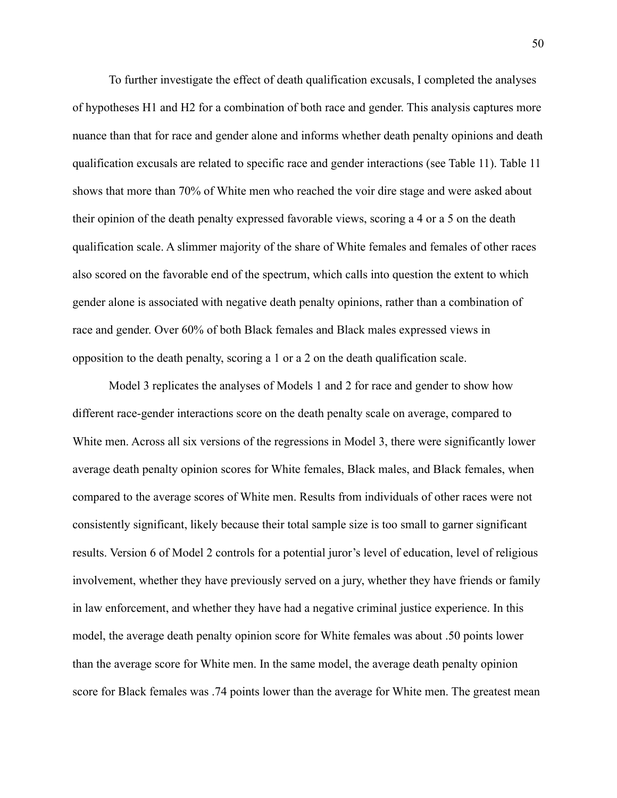To further investigate the effect of death qualification excusals, I completed the analyses of hypotheses H1 and H2 for a combination of both race and gender. This analysis captures more nuance than that for race and gender alone and informs whether death penalty opinions and death qualification excusals are related to specific race and gender interactions (see Table 11). Table 11 shows that more than 70% of White men who reached the voir dire stage and were asked about their opinion of the death penalty expressed favorable views, scoring a 4 or a 5 on the death qualification scale. A slimmer majority of the share of White females and females of other races also scored on the favorable end of the spectrum, which calls into question the extent to which gender alone is associated with negative death penalty opinions, rather than a combination of race and gender. Over 60% of both Black females and Black males expressed views in opposition to the death penalty, scoring a 1 or a 2 on the death qualification scale.

Model 3 replicates the analyses of Models 1 and 2 for race and gender to show how different race-gender interactions score on the death penalty scale on average, compared to White men. Across all six versions of the regressions in Model 3, there were significantly lower average death penalty opinion scores for White females, Black males, and Black females, when compared to the average scores of White men. Results from individuals of other races were not consistently significant, likely because their total sample size is too small to garner significant results. Version 6 of Model 2 controls for a potential juror's level of education, level of religious involvement, whether they have previously served on a jury, whether they have friends or family in law enforcement, and whether they have had a negative criminal justice experience. In this model, the average death penalty opinion score for White females was about .50 points lower than the average score for White men. In the same model, the average death penalty opinion score for Black females was .74 points lower than the average for White men. The greatest mean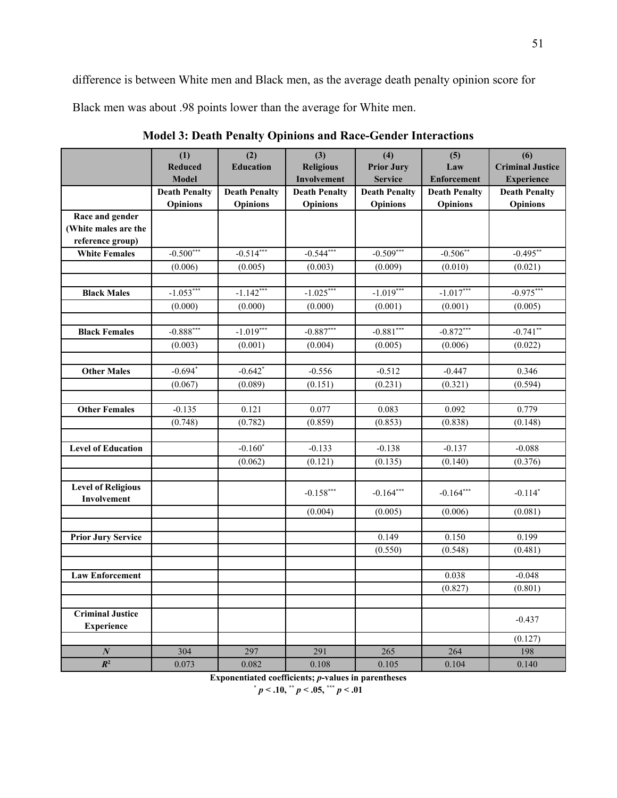difference is between White men and Black men, as the average death penalty opinion score for

Black men was about .98 points lower than the average for White men.

|                           | (1)                  | (2)                  | (3)                  | (4)                  | (5)                  | (6)                     |
|---------------------------|----------------------|----------------------|----------------------|----------------------|----------------------|-------------------------|
|                           | <b>Reduced</b>       | <b>Education</b>     | <b>Religious</b>     | <b>Prior Jury</b>    | Law                  | <b>Criminal Justice</b> |
|                           | <b>Model</b>         |                      | Involvement          | <b>Service</b>       | <b>Enforcement</b>   | <b>Experience</b>       |
|                           | <b>Death Penalty</b> | <b>Death Penalty</b> | <b>Death Penalty</b> | <b>Death Penalty</b> | <b>Death Penalty</b> | <b>Death Penalty</b>    |
|                           | <b>Opinions</b>      | <b>Opinions</b>      | <b>Opinions</b>      | <b>Opinions</b>      | <b>Opinions</b>      | Opinions                |
| Race and gender           |                      |                      |                      |                      |                      |                         |
| (White males are the      |                      |                      |                      |                      |                      |                         |
| reference group)          |                      |                      |                      |                      |                      |                         |
| <b>White Females</b>      | $-0.500***$          | $-0.514***$          | $-0.544***$          | $-0.509***$          | $-0.506**$           | $-0.495**$              |
|                           | (0.006)              | (0.005)              | (0.003)              | (0.009)              | (0.010)              | (0.021)                 |
|                           |                      |                      |                      |                      |                      |                         |
| <b>Black Males</b>        | $-1.053***$          | $-1.142***$          | $-1.025***$          | $-1.019***$          | $-1.017***$          | $-0.975***$             |
|                           | (0.000)              | (0.000)              | (0.000)              | (0.001)              | (0.001)              | (0.005)                 |
|                           |                      |                      |                      |                      |                      |                         |
| <b>Black Females</b>      | $-0.888***$          | $-1.019***$          | $-0.887***$          | $-0.881***$          | $-0.872***$          | $-0.741**$              |
|                           | (0.003)              | (0.001)              | (0.004)              | (0.005)              | (0.006)              | (0.022)                 |
| <b>Other Males</b>        | $-0.694*$            | $-0.642*$            | $-0.556$             | $-0.512$             | $-0.447$             | 0.346                   |
|                           | (0.067)              | (0.089)              | (0.151)              | (0.231)              | (0.321)              | (0.594)                 |
|                           |                      |                      |                      |                      |                      |                         |
| <b>Other Females</b>      | $-0.135$             | 0.121                | 0.077                | 0.083                | 0.092                | 0.779                   |
|                           | (0.748)              | (0.782)              | (0.859)              | (0.853)              | (0.838)              | (0.148)                 |
|                           |                      |                      |                      |                      |                      |                         |
| <b>Level of Education</b> |                      | $-0.160*$            | $-0.133$             | $-0.138$             | $-0.137$             | $-0.088$                |
|                           |                      | (0.062)              | (0.121)              | (0.135)              | (0.140)              | (0.376)                 |
|                           |                      |                      |                      |                      |                      |                         |
| <b>Level of Religious</b> |                      |                      | $-0.158***$          | $-0.164***$          | $-0.164***$          | $-0.114*$               |
| Involvement               |                      |                      |                      |                      |                      |                         |
|                           |                      |                      | (0.004)              | (0.005)              | (0.006)              | (0.081)                 |
|                           |                      |                      |                      |                      |                      |                         |
| <b>Prior Jury Service</b> |                      |                      |                      | 0.149                | 0.150                | 0.199                   |
|                           |                      |                      |                      | (0.550)              | (0.548)              | (0.481)                 |
| <b>Law Enforcement</b>    |                      |                      |                      |                      | 0.038                | $-0.048$                |
|                           |                      |                      |                      |                      | (0.827)              | (0.801)                 |
|                           |                      |                      |                      |                      |                      |                         |
| <b>Criminal Justice</b>   |                      |                      |                      |                      |                      | $-0.437$                |
| <b>Experience</b>         |                      |                      |                      |                      |                      |                         |
|                           |                      |                      |                      |                      |                      | (0.127)                 |
| $\boldsymbol{N}$          | 304                  | 297                  | 291                  | 265                  | 264                  | 198                     |
| $R^2$                     | 0.073                | 0.082                | 0.108                | 0.105                | 0.104                | 0.140                   |

**Model 3: Death Penalty Opinions and Race-Gender Interactions**

**Exponentiated coefficients;** *p***-values in parentheses**

 $*$  *p* **< .10,**  $*$  **<b>***p* **< .05,**  $*$  $*$  **<b>***p* **< .01**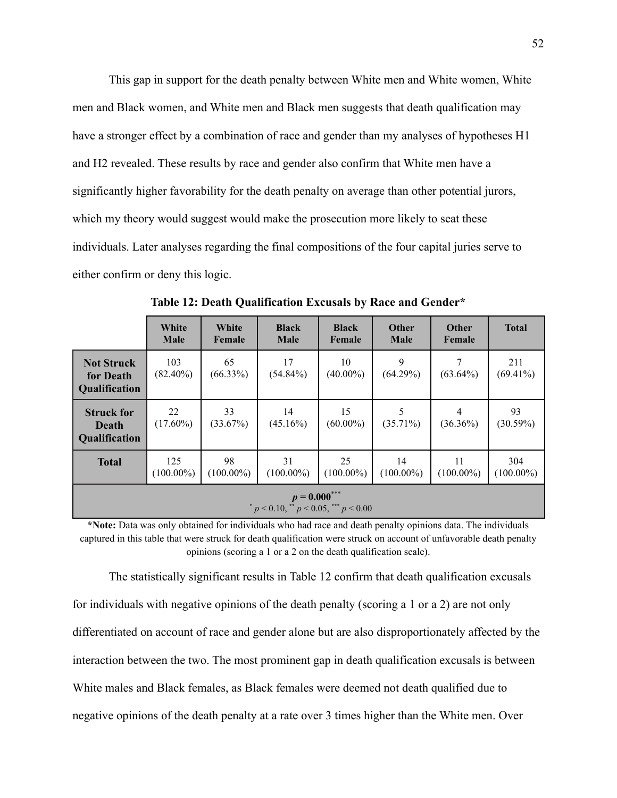This gap in support for the death penalty between White men and White women, White men and Black women, and White men and Black men suggests that death qualification may have a stronger effect by a combination of race and gender than my analyses of hypotheses H1 and H2 revealed. These results by race and gender also confirm that White men have a significantly higher favorability for the death penalty on average than other potential jurors, which my theory would suggest would make the prosecution more likely to seat these individuals. Later analyses regarding the final compositions of the four capital juries serve to either confirm or deny this logic.

|                                                                | White<br><b>Male</b> | White<br>Female    | <b>Black</b><br><b>Male</b> | <b>Black</b><br>Female | <b>Other</b><br><b>Male</b> | <b>Other</b><br>Female | <b>Total</b>        |
|----------------------------------------------------------------|----------------------|--------------------|-----------------------------|------------------------|-----------------------------|------------------------|---------------------|
| <b>Not Struck</b><br>for Death<br><b>Qualification</b>         | 103<br>$(82.40\%)$   | 65<br>$(66.33\%)$  | 17<br>$(54.84\%)$           | 10<br>$(40.00\%)$      | 9<br>(64.29%)               | $(63.64\%)$            | 211<br>$(69.41\%)$  |
| <b>Struck for</b><br>Death<br><b>Qualification</b>             | 22<br>$(17.60\%)$    | 33<br>(33.67%)     | 14<br>$(45.16\%)$           | 15<br>$(60.00\%)$      | $(35.71\%)$                 | 4<br>$(36.36\%)$       | 93<br>$(30.59\%)$   |
| <b>Total</b>                                                   | 125<br>$(100.00\%)$  | 98<br>$(100.00\%)$ | 31<br>$(100.00\%)$          | 25<br>$(100.00\%)$     | 14<br>$(100.00\%)$          | 11<br>$(100.00\%)$     | 304<br>$(100.00\%)$ |
| $p = 0.000$ ***<br>$p < 0.10$ , ** $p < 0.05$ , *** $p < 0.00$ |                      |                    |                             |                        |                             |                        |                     |

**Table 12: Death Qualification Excusals by Race and Gender\***

**\*Note:** Data was only obtained for individuals who had race and death penalty opinions data. The individuals captured in this table that were struck for death qualification were struck on account of unfavorable death penalty opinions (scoring a 1 or a 2 on the death qualification scale).

The statistically significant results in Table 12 confirm that death qualification excusals for individuals with negative opinions of the death penalty (scoring a 1 or a 2) are not only differentiated on account of race and gender alone but are also disproportionately affected by the interaction between the two. The most prominent gap in death qualification excusals is between White males and Black females, as Black females were deemed not death qualified due to negative opinions of the death penalty at a rate over 3 times higher than the White men. Over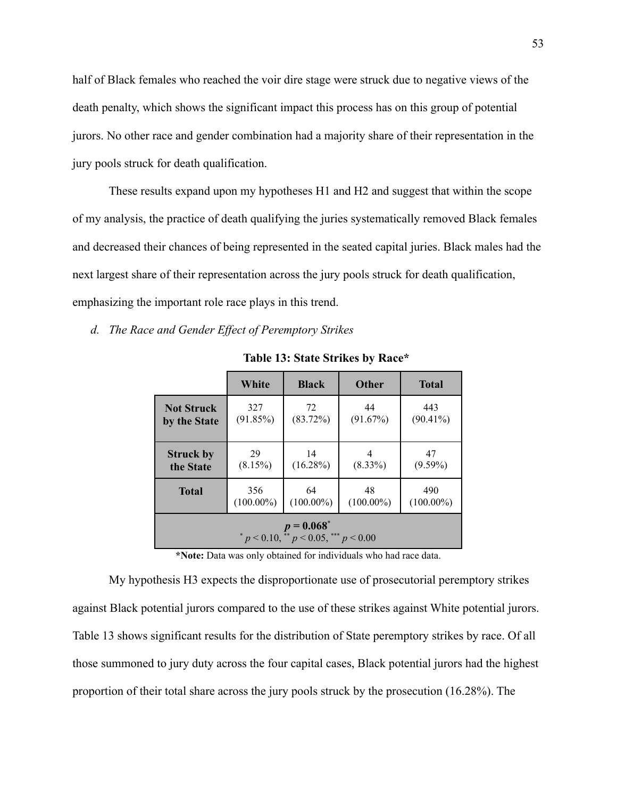half of Black females who reached the voir dire stage were struck due to negative views of the death penalty, which shows the significant impact this process has on this group of potential jurors. No other race and gender combination had a majority share of their representation in the jury pools struck for death qualification.

These results expand upon my hypotheses H1 and H2 and suggest that within the scope of my analysis, the practice of death qualifying the juries systematically removed Black females and decreased their chances of being represented in the seated capital juries. Black males had the next largest share of their representation across the jury pools struck for death qualification, emphasizing the important role race plays in this trend.

*d. The Race and Gender Effect of Peremptory Strikes*

|                                                                | White              | <b>Black</b>        | <b>Other</b>   | <b>Total</b>       |  |  |  |  |
|----------------------------------------------------------------|--------------------|---------------------|----------------|--------------------|--|--|--|--|
| <b>Not Struck</b><br>by the State                              | 327<br>(91.85%)    | 72<br>$(83.72\%)$   | 44<br>(91.67%) | 443<br>$(90.41\%)$ |  |  |  |  |
| <b>Struck by</b><br>the State                                  | 29<br>(8.15%)      | 14<br>$(16.28\%)$   | $(8.33\%)$     | 47<br>$(9.59\%)$   |  |  |  |  |
| <b>Total</b>                                                   | 48<br>$(100.00\%)$ | 490<br>$(100.00\%)$ |                |                    |  |  |  |  |
| $p = 0.068^*$<br>* $p < 0.10$ , ** $p < 0.05$ , *** $p < 0.00$ |                    |                     |                |                    |  |  |  |  |

**Table 13: State Strikes by Race\***

**\*Note:** Data was only obtained for individuals who had race data.

My hypothesis H3 expects the disproportionate use of prosecutorial peremptory strikes against Black potential jurors compared to the use of these strikes against White potential jurors. Table 13 shows significant results for the distribution of State peremptory strikes by race. Of all those summoned to jury duty across the four capital cases, Black potential jurors had the highest proportion of their total share across the jury pools struck by the prosecution (16.28%). The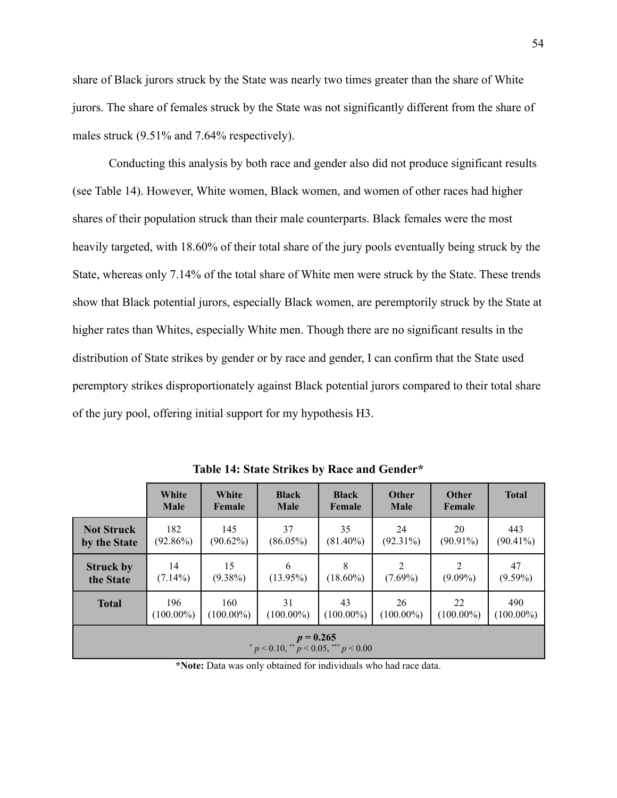share of Black jurors struck by the State was nearly two times greater than the share of White jurors. The share of females struck by the State was not significantly different from the share of males struck (9.51% and 7.64% respectively).

Conducting this analysis by both race and gender also did not produce significant results (see Table 14). However, White women, Black women, and women of other races had higher shares of their population struck than their male counterparts. Black females were the most heavily targeted, with 18.60% of their total share of the jury pools eventually being struck by the State, whereas only 7.14% of the total share of White men were struck by the State. These trends show that Black potential jurors, especially Black women, are peremptorily struck by the State at higher rates than Whites, especially White men. Though there are no significant results in the distribution of State strikes by gender or by race and gender, I can confirm that the State used peremptory strikes disproportionately against Black potential jurors compared to their total share of the jury pool, offering initial support for my hypothesis H3.

|                                                            | White<br><b>Male</b> | White<br>Female | <b>Black</b><br><b>Male</b> | <b>Black</b><br>Female | <b>Other</b><br><b>Male</b> | <b>Other</b><br>Female | <b>Total</b> |
|------------------------------------------------------------|----------------------|-----------------|-----------------------------|------------------------|-----------------------------|------------------------|--------------|
| <b>Not Struck</b>                                          | 182                  | 145             | 37                          | 35                     | 24                          | 20                     | 443          |
| by the State                                               | $(92.86\%)$          | $(90.62\%)$     | $(86.05\%)$                 | $(81.40\%)$            | $(92.31\%)$                 | $(90.91\%)$            | $(90.41\%)$  |
| <b>Struck by</b>                                           | 14                   | 15              | 6                           | 8                      | 2                           | 2                      | 47           |
| the State                                                  | $(7.14\%)$           | $(9.38\%)$      | $(13.95\%)$                 | $(18.60\%)$            | $(7.69\%)$                  | $(9.09\%)$             | $(9.59\%)$   |
| <b>Total</b>                                               | 196                  | 160             | 31                          | 43                     | 26                          | 22                     | 490          |
|                                                            | $(100.00\%)$         | $(100.00\%)$    | $(100.00\%)$                | $(100.00\%)$           | $(100.00\%)$                | $(100.00\%)$           | $(100.00\%)$ |
| $p = 0.265$<br>$p < 0.10$ , ** $p < 0.05$ , *** $p < 0.00$ |                      |                 |                             |                        |                             |                        |              |

**Table 14: State Strikes by Race and Gender\***

**\*Note:** Data was only obtained for individuals who had race data.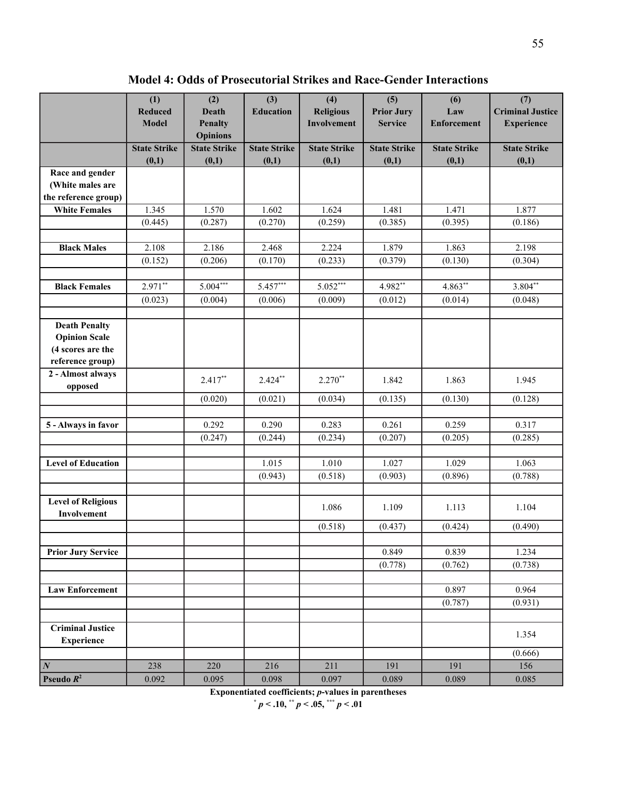**Model 4: Odds of Prosecutorial Strikes and Race-Gender Interactions**

|                                              | (1)<br><b>Reduced</b>        | (2)<br><b>Death</b>               | (3)<br><b>Education</b>      | (4)<br><b>Religious</b>      | (5)<br><b>Prior Jury</b>     | (6)<br>Law                   | (7)<br><b>Criminal Justice</b> |
|----------------------------------------------|------------------------------|-----------------------------------|------------------------------|------------------------------|------------------------------|------------------------------|--------------------------------|
|                                              | <b>Model</b>                 | <b>Penalty</b><br><b>Opinions</b> |                              | Involvement                  | <b>Service</b>               | <b>Enforcement</b>           | <b>Experience</b>              |
|                                              | <b>State Strike</b><br>(0,1) | <b>State Strike</b><br>(0,1)      | <b>State Strike</b><br>(0,1) | <b>State Strike</b><br>(0,1) | <b>State Strike</b><br>(0,1) | <b>State Strike</b><br>(0,1) | <b>State Strike</b><br>(0,1)   |
| Race and gender                              |                              |                                   |                              |                              |                              |                              |                                |
| (White males are                             |                              |                                   |                              |                              |                              |                              |                                |
| the reference group)                         |                              |                                   |                              |                              |                              |                              |                                |
| <b>White Females</b>                         | 1.345                        | 1.570                             | 1.602                        | 1.624                        | 1.481                        | 1.471                        | 1.877                          |
|                                              | (0.445)                      | (0.287)                           | (0.270)                      | (0.259)                      | (0.385)                      | (0.395)                      | (0.186)                        |
| <b>Black Males</b>                           | 2.108                        | 2.186                             | 2.468                        | 2.224                        | 1.879                        | 1.863                        | 2.198                          |
|                                              | (0.152)                      | (0.206)                           | (0.170)                      | (0.233)                      | (0.379)                      | (0.130)                      | (0.304)                        |
|                                              |                              |                                   |                              |                              |                              |                              |                                |
| <b>Black Females</b>                         | $2.971**$                    | $5.004***$                        | $5.457***$                   | $5.052***$                   | 4.982**                      | $4.863**$                    | $3.804**$                      |
|                                              | (0.023)                      | (0.004)                           | (0.006)                      | (0.009)                      | (0.012)                      | (0.014)                      | (0.048)                        |
|                                              |                              |                                   |                              |                              |                              |                              |                                |
| <b>Death Penalty</b>                         |                              |                                   |                              |                              |                              |                              |                                |
| <b>Opinion Scale</b>                         |                              |                                   |                              |                              |                              |                              |                                |
| (4 scores are the                            |                              |                                   |                              |                              |                              |                              |                                |
| reference group)                             |                              |                                   |                              |                              |                              |                              |                                |
| 2 - Almost always                            |                              | $2.417**$                         | $2.424***$                   | $2.270**$                    | 1.842                        | 1.863                        | 1.945                          |
| opposed                                      |                              |                                   |                              |                              |                              |                              |                                |
|                                              |                              | (0.020)                           | (0.021)                      | (0.034)                      | (0.135)                      | (0.130)                      | (0.128)                        |
|                                              |                              |                                   |                              |                              |                              |                              |                                |
| 5 - Always in favor                          |                              | 0.292                             | 0.290                        | 0.283                        | 0.261                        | 0.259                        | 0.317                          |
|                                              |                              | (0.247)                           | (0.244)                      | (0.234)                      | (0.207)                      | (0.205)                      | (0.285)                        |
| <b>Level of Education</b>                    |                              |                                   | 1.015                        | 1.010                        | 1.027                        | 1.029                        | 1.063                          |
|                                              |                              |                                   | (0.943)                      | (0.518)                      | (0.903)                      | (0.896)                      | (0.788)                        |
|                                              |                              |                                   |                              |                              |                              |                              |                                |
| <b>Level of Religious</b>                    |                              |                                   |                              | 1.086                        | 1.109                        | 1.113                        | 1.104                          |
| Involvement                                  |                              |                                   |                              | (0.518)                      | (0.437)                      | (0.424)                      | (0.490)                        |
|                                              |                              |                                   |                              |                              |                              |                              |                                |
| <b>Prior Jury Service</b>                    |                              |                                   |                              |                              | 0.849                        | 0.839                        | 1.234                          |
|                                              |                              |                                   |                              |                              | (0.778)                      | (0.762)                      | (0.738)                        |
|                                              |                              |                                   |                              |                              |                              |                              |                                |
| <b>Law Enforcement</b>                       |                              |                                   |                              |                              |                              | 0.897                        | 0.964                          |
|                                              |                              |                                   |                              |                              |                              | (0.787)                      | (0.931)                        |
|                                              |                              |                                   |                              |                              |                              |                              |                                |
| <b>Criminal Justice</b><br><b>Experience</b> |                              |                                   |                              |                              |                              |                              | 1.354                          |
|                                              |                              |                                   |                              |                              |                              |                              | (0.666)                        |
| $\vert N \vert$                              | 238                          | 220                               | 216                          | 211                          | 191                          | 191                          | 156                            |
| Pseudo $R^2$                                 | 0.092                        | 0.095                             | 0.098                        | 0.097                        | 0.089                        | 0.089                        | 0.085                          |

**Exponentiated coefficients;** *p***-values in parentheses**

**\*** *p* **< .10, \*\*** *p* **< .05, \*\*\*** *p* **< .01**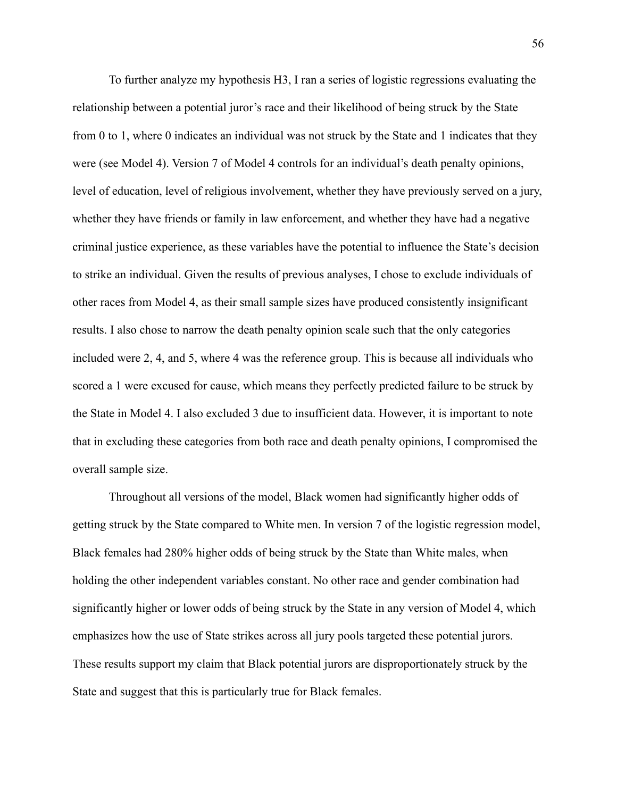To further analyze my hypothesis H3, I ran a series of logistic regressions evaluating the relationship between a potential juror's race and their likelihood of being struck by the State from 0 to 1, where 0 indicates an individual was not struck by the State and 1 indicates that they were (see Model 4). Version 7 of Model 4 controls for an individual's death penalty opinions, level of education, level of religious involvement, whether they have previously served on a jury, whether they have friends or family in law enforcement, and whether they have had a negative criminal justice experience, as these variables have the potential to influence the State's decision to strike an individual. Given the results of previous analyses, I chose to exclude individuals of other races from Model 4, as their small sample sizes have produced consistently insignificant results. I also chose to narrow the death penalty opinion scale such that the only categories included were 2, 4, and 5, where 4 was the reference group. This is because all individuals who scored a 1 were excused for cause, which means they perfectly predicted failure to be struck by the State in Model 4. I also excluded 3 due to insufficient data. However, it is important to note that in excluding these categories from both race and death penalty opinions, I compromised the overall sample size.

Throughout all versions of the model, Black women had significantly higher odds of getting struck by the State compared to White men. In version 7 of the logistic regression model, Black females had 280% higher odds of being struck by the State than White males, when holding the other independent variables constant. No other race and gender combination had significantly higher or lower odds of being struck by the State in any version of Model 4, which emphasizes how the use of State strikes across all jury pools targeted these potential jurors. These results support my claim that Black potential jurors are disproportionately struck by the State and suggest that this is particularly true for Black females.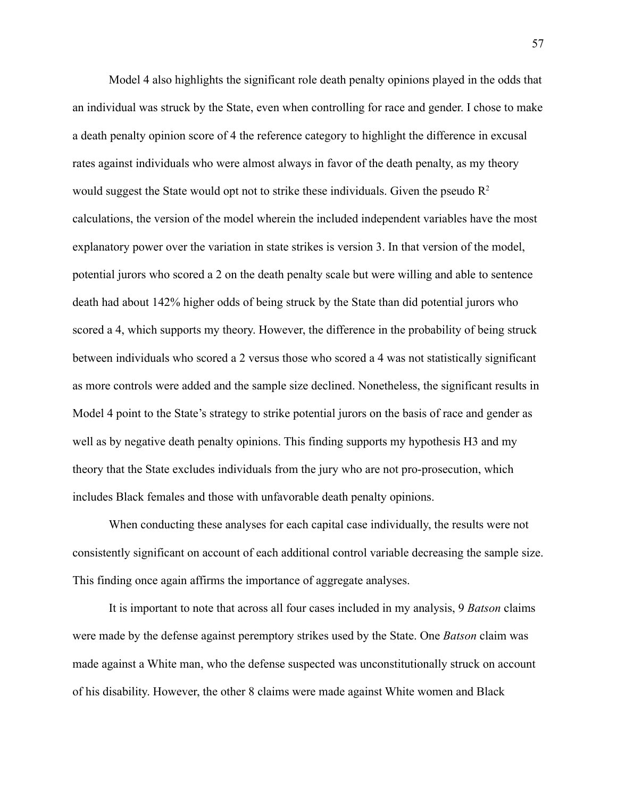Model 4 also highlights the significant role death penalty opinions played in the odds that an individual was struck by the State, even when controlling for race and gender. I chose to make a death penalty opinion score of 4 the reference category to highlight the difference in excusal rates against individuals who were almost always in favor of the death penalty, as my theory would suggest the State would opt not to strike these individuals. Given the pseudo  $R^2$ calculations, the version of the model wherein the included independent variables have the most explanatory power over the variation in state strikes is version 3. In that version of the model, potential jurors who scored a 2 on the death penalty scale but were willing and able to sentence death had about 142% higher odds of being struck by the State than did potential jurors who scored a 4, which supports my theory. However, the difference in the probability of being struck between individuals who scored a 2 versus those who scored a 4 was not statistically significant as more controls were added and the sample size declined. Nonetheless, the significant results in Model 4 point to the State's strategy to strike potential jurors on the basis of race and gender as well as by negative death penalty opinions. This finding supports my hypothesis H3 and my theory that the State excludes individuals from the jury who are not pro-prosecution, which includes Black females and those with unfavorable death penalty opinions.

When conducting these analyses for each capital case individually, the results were not consistently significant on account of each additional control variable decreasing the sample size. This finding once again affirms the importance of aggregate analyses.

It is important to note that across all four cases included in my analysis, 9 *Batson* claims were made by the defense against peremptory strikes used by the State. One *Batson* claim was made against a White man, who the defense suspected was unconstitutionally struck on account of his disability. However, the other 8 claims were made against White women and Black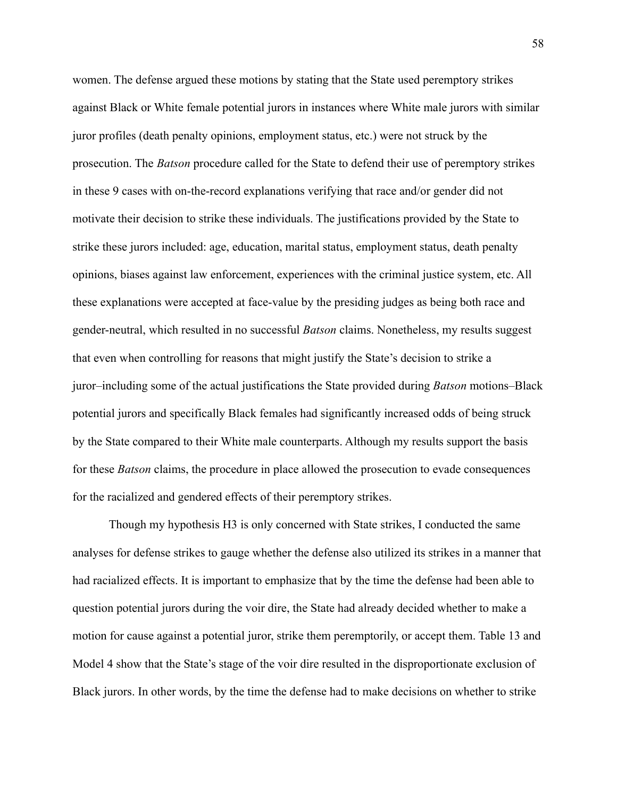women. The defense argued these motions by stating that the State used peremptory strikes against Black or White female potential jurors in instances where White male jurors with similar juror profiles (death penalty opinions, employment status, etc.) were not struck by the prosecution. The *Batson* procedure called for the State to defend their use of peremptory strikes in these 9 cases with on-the-record explanations verifying that race and/or gender did not motivate their decision to strike these individuals. The justifications provided by the State to strike these jurors included: age, education, marital status, employment status, death penalty opinions, biases against law enforcement, experiences with the criminal justice system, etc. All these explanations were accepted at face-value by the presiding judges as being both race and gender-neutral, which resulted in no successful *Batson* claims. Nonetheless, my results suggest that even when controlling for reasons that might justify the State's decision to strike a juror–including some of the actual justifications the State provided during *Batson* motions–Black potential jurors and specifically Black females had significantly increased odds of being struck by the State compared to their White male counterparts. Although my results support the basis for these *Batson* claims, the procedure in place allowed the prosecution to evade consequences for the racialized and gendered effects of their peremptory strikes.

Though my hypothesis H3 is only concerned with State strikes, I conducted the same analyses for defense strikes to gauge whether the defense also utilized its strikes in a manner that had racialized effects. It is important to emphasize that by the time the defense had been able to question potential jurors during the voir dire, the State had already decided whether to make a motion for cause against a potential juror, strike them peremptorily, or accept them. Table 13 and Model 4 show that the State's stage of the voir dire resulted in the disproportionate exclusion of Black jurors. In other words, by the time the defense had to make decisions on whether to strike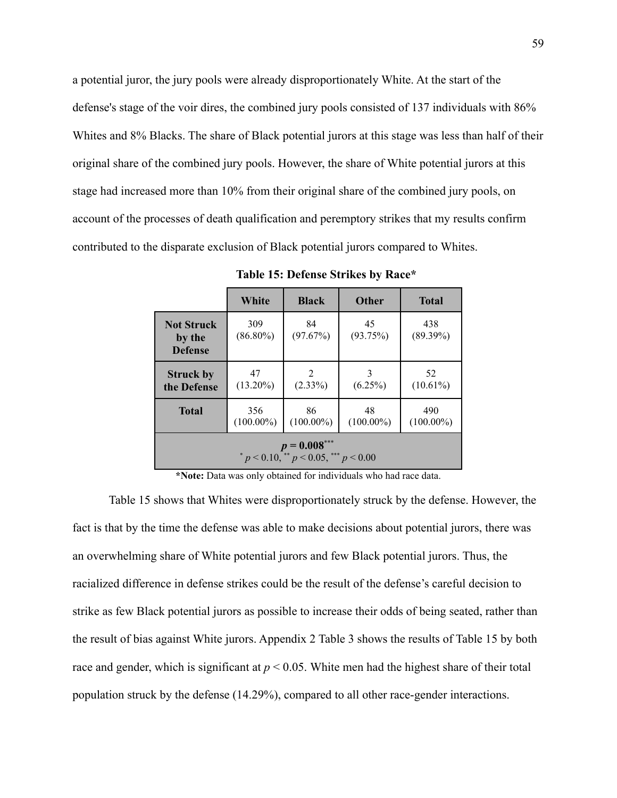a potential juror, the jury pools were already disproportionately White. At the start of the defense's stage of the voir dires, the combined jury pools consisted of 137 individuals with 86% Whites and 8% Blacks. The share of Black potential jurors at this stage was less than half of their original share of the combined jury pools. However, the share of White potential jurors at this stage had increased more than 10% from their original share of the combined jury pools, on account of the processes of death qualification and peremptory strikes that my results confirm contributed to the disparate exclusion of Black potential jurors compared to Whites.

|                                                        | White               | <b>Black</b>       | <b>Other</b>       | <b>Total</b>        |  |  |
|--------------------------------------------------------|---------------------|--------------------|--------------------|---------------------|--|--|
| <b>Not Struck</b><br>by the<br><b>Defense</b>          | 309<br>$(86.80\%)$  | 84<br>(97.67%)     | 45<br>(93.75%)     | 438<br>$(89.39\%)$  |  |  |
| <b>Struck by</b><br>the Defense                        | 47<br>$(13.20\%)$   | 2<br>$(2.33\%)$    | 3<br>$(6.25\%)$    | 52<br>$(10.61\%)$   |  |  |
| <b>Total</b>                                           | 356<br>$(100.00\%)$ | 86<br>$(100.00\%)$ | 48<br>$(100.00\%)$ | 490<br>$(100.00\%)$ |  |  |
| $p = 0.008***$<br>$p < 0.10$ , $p < 0.05$ , $p < 0.00$ |                     |                    |                    |                     |  |  |

**Table 15: Defense Strikes by Race\***

**\*Note:** Data was only obtained for individuals who had race data.

Table 15 shows that Whites were disproportionately struck by the defense. However, the fact is that by the time the defense was able to make decisions about potential jurors, there was an overwhelming share of White potential jurors and few Black potential jurors. Thus, the racialized difference in defense strikes could be the result of the defense's careful decision to strike as few Black potential jurors as possible to increase their odds of being seated, rather than the result of bias against White jurors. Appendix 2 Table 3 shows the results of Table 15 by both race and gender, which is significant at *p* < 0.05. White men had the highest share of their total population struck by the defense (14.29%), compared to all other race-gender interactions.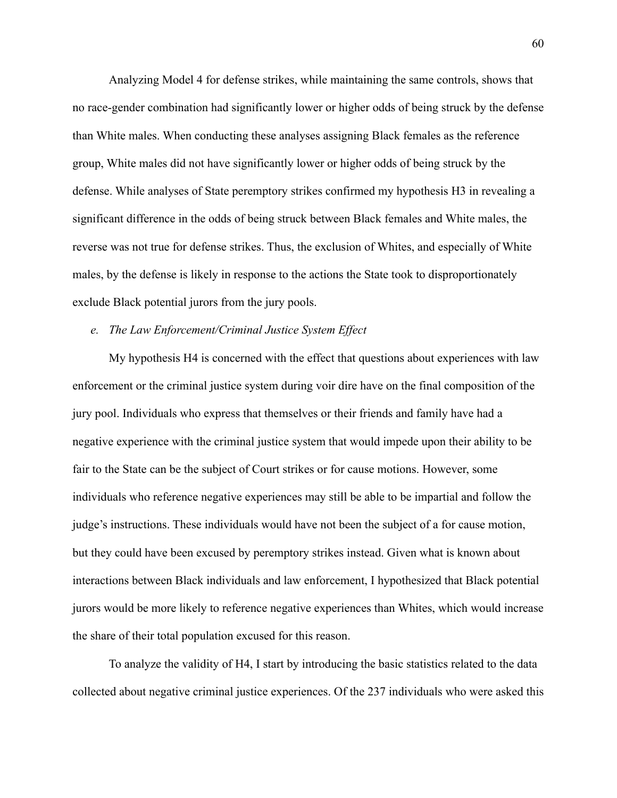Analyzing Model 4 for defense strikes, while maintaining the same controls, shows that no race-gender combination had significantly lower or higher odds of being struck by the defense than White males. When conducting these analyses assigning Black females as the reference group, White males did not have significantly lower or higher odds of being struck by the defense. While analyses of State peremptory strikes confirmed my hypothesis H3 in revealing a significant difference in the odds of being struck between Black females and White males, the reverse was not true for defense strikes. Thus, the exclusion of Whites, and especially of White males, by the defense is likely in response to the actions the State took to disproportionately exclude Black potential jurors from the jury pools.

## *e. The Law Enforcement/Criminal Justice System Effect*

My hypothesis H4 is concerned with the effect that questions about experiences with law enforcement or the criminal justice system during voir dire have on the final composition of the jury pool. Individuals who express that themselves or their friends and family have had a negative experience with the criminal justice system that would impede upon their ability to be fair to the State can be the subject of Court strikes or for cause motions. However, some individuals who reference negative experiences may still be able to be impartial and follow the judge's instructions. These individuals would have not been the subject of a for cause motion, but they could have been excused by peremptory strikes instead. Given what is known about interactions between Black individuals and law enforcement, I hypothesized that Black potential jurors would be more likely to reference negative experiences than Whites, which would increase the share of their total population excused for this reason.

To analyze the validity of H4, I start by introducing the basic statistics related to the data collected about negative criminal justice experiences. Of the 237 individuals who were asked this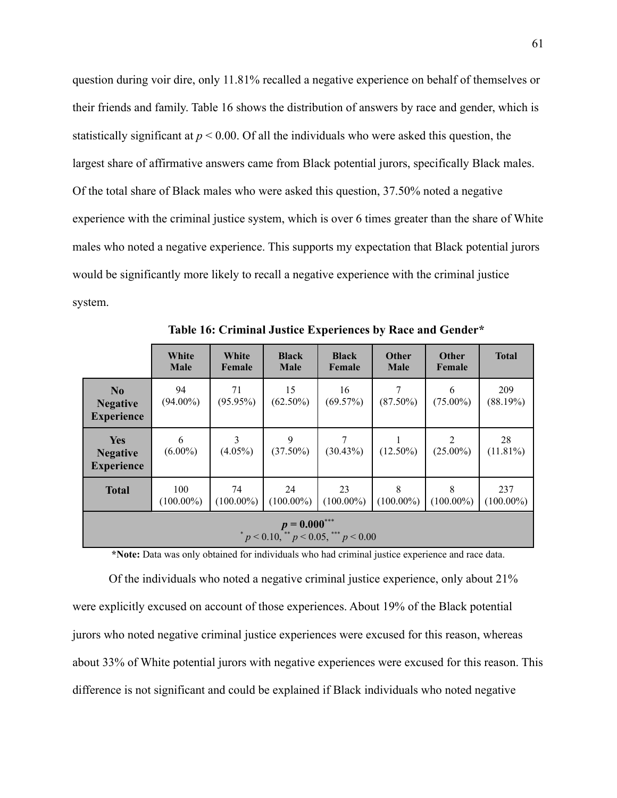question during voir dire, only 11.81% recalled a negative experience on behalf of themselves or their friends and family. Table 16 shows the distribution of answers by race and gender, which is statistically significant at  $p < 0.00$ . Of all the individuals who were asked this question, the largest share of affirmative answers came from Black potential jurors, specifically Black males. Of the total share of Black males who were asked this question, 37.50% noted a negative experience with the criminal justice system, which is over 6 times greater than the share of White males who noted a negative experience. This supports my expectation that Black potential jurors would be significantly more likely to recall a negative experience with the criminal justice system.

|                                                        | White<br><b>Male</b> | White<br>Female    | <b>Black</b><br><b>Male</b> | <b>Black</b><br>Female | Other<br><b>Male</b> | <b>Other</b><br>Female        | <b>Total</b>        |
|--------------------------------------------------------|----------------------|--------------------|-----------------------------|------------------------|----------------------|-------------------------------|---------------------|
| N <sub>0</sub><br><b>Negative</b><br><b>Experience</b> | 94<br>$(94.00\%)$    | 71<br>$(95.95\%)$  | 15<br>$(62.50\%)$           | 16<br>(69.57%)         | 7<br>$(87.50\%)$     | 6<br>$(75.00\%)$              | 209<br>(88.19%)     |
| <b>Yes</b><br><b>Negative</b><br><b>Experience</b>     | 6<br>$(6.00\%)$      | 3<br>$(4.05\%)$    | 9<br>$(37.50\%)$            | (30.43%)               | $(12.50\%)$          | $\overline{2}$<br>$(25.00\%)$ | 28<br>$(11.81\%)$   |
| <b>Total</b>                                           | 100<br>$(100.00\%)$  | 74<br>$(100.00\%)$ | 24<br>$(100.00\%)$          | 23<br>$(100.00\%)$     | 8<br>$(100.00\%)$    | 8<br>$(100.00\%)$             | 237<br>$(100.00\%)$ |
| $p = 0.000***$<br>$p < 0.10$ , $p < 0.05$ , $p < 0.00$ |                      |                    |                             |                        |                      |                               |                     |

**Table 16: Criminal Justice Experiences by Race and Gender\***

**\*Note:** Data was only obtained for individuals who had criminal justice experience and race data.

Of the individuals who noted a negative criminal justice experience, only about 21% were explicitly excused on account of those experiences. About 19% of the Black potential jurors who noted negative criminal justice experiences were excused for this reason, whereas about 33% of White potential jurors with negative experiences were excused for this reason. This difference is not significant and could be explained if Black individuals who noted negative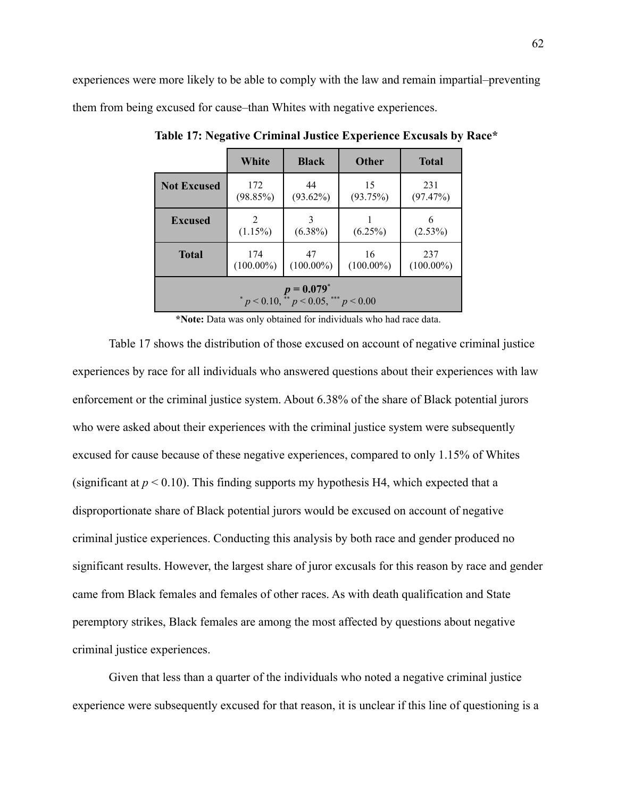experiences were more likely to be able to comply with the law and remain impartial–preventing them from being excused for cause–than Whites with negative experiences.

|                                                              | White               | <b>Black</b>       | <b>Other</b>       | <b>Total</b>        |  |  |
|--------------------------------------------------------------|---------------------|--------------------|--------------------|---------------------|--|--|
| <b>Not Excused</b>                                           | 172<br>(98.85%)     | 44<br>$(93.62\%)$  | 15<br>(93.75%)     | 231<br>(97.47%)     |  |  |
| <b>Excused</b>                                               | 2<br>$(1.15\%)$     | $(6.38\%)$         | $(6.25\%)$         | (2.53%)             |  |  |
| <b>Total</b>                                                 | 174<br>$(100.00\%)$ | 47<br>$(100.00\%)$ | 16<br>$(100.00\%)$ | 237<br>$(100.00\%)$ |  |  |
| $p = 0.079^*$<br>* $p < 0.10,$ ** $p < 0.05,$ *** $p < 0.00$ |                     |                    |                    |                     |  |  |

**Table 17: Negative Criminal Justice Experience Excusals by Race\***

**\*Note:** Data was only obtained for individuals who had race data.

Table 17 shows the distribution of those excused on account of negative criminal justice experiences by race for all individuals who answered questions about their experiences with law enforcement or the criminal justice system. About 6.38% of the share of Black potential jurors who were asked about their experiences with the criminal justice system were subsequently excused for cause because of these negative experiences, compared to only 1.15% of Whites (significant at  $p < 0.10$ ). This finding supports my hypothesis H4, which expected that a disproportionate share of Black potential jurors would be excused on account of negative criminal justice experiences. Conducting this analysis by both race and gender produced no significant results. However, the largest share of juror excusals for this reason by race and gender came from Black females and females of other races. As with death qualification and State peremptory strikes, Black females are among the most affected by questions about negative criminal justice experiences.

Given that less than a quarter of the individuals who noted a negative criminal justice experience were subsequently excused for that reason, it is unclear if this line of questioning is a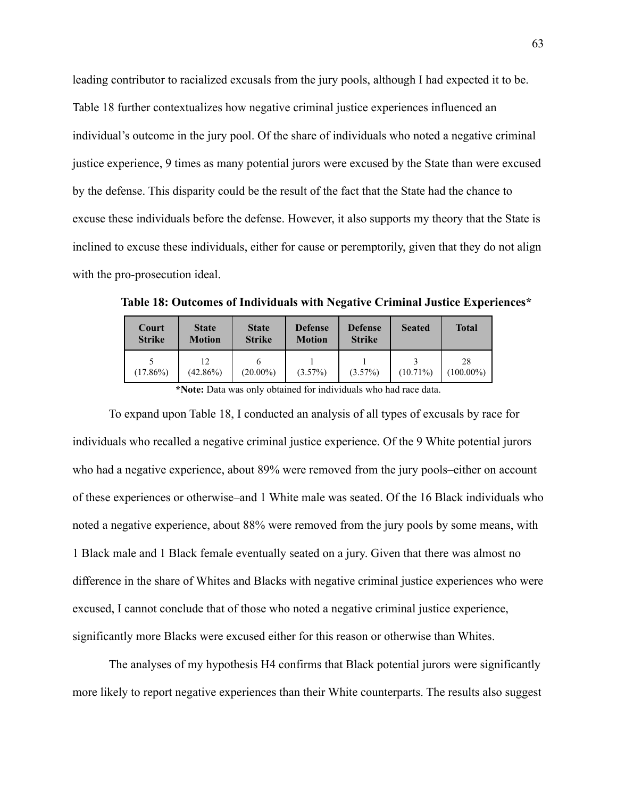leading contributor to racialized excusals from the jury pools, although I had expected it to be. Table 18 further contextualizes how negative criminal justice experiences influenced an individual's outcome in the jury pool. Of the share of individuals who noted a negative criminal justice experience, 9 times as many potential jurors were excused by the State than were excused by the defense. This disparity could be the result of the fact that the State had the chance to excuse these individuals before the defense. However, it also supports my theory that the State is inclined to excuse these individuals, either for cause or peremptorily, given that they do not align with the pro-prosecution ideal.

| Court<br><b>Strike</b> | <b>State</b><br><b>Motion</b> | <b>State</b><br><b>Strike</b> | <b>Defense</b><br><b>Motion</b> | <b>Defense</b><br><b>Strike</b> | <b>Seated</b> | <b>Total</b>       |
|------------------------|-------------------------------|-------------------------------|---------------------------------|---------------------------------|---------------|--------------------|
| $(17.86\%)$            | 12<br>$(42.86\%)$             | $(20.00\%)$                   | $(3.57\%)$                      | $(3.57\%)$                      | $(10.71\%)$   | 28<br>$(100.00\%)$ |

**Table 18: Outcomes of Individuals with Negative Criminal Justice Experiences\***

**\*Note:** Data was only obtained for individuals who had race data.

To expand upon Table 18, I conducted an analysis of all types of excusals by race for individuals who recalled a negative criminal justice experience. Of the 9 White potential jurors who had a negative experience, about 89% were removed from the jury pools–either on account of these experiences or otherwise–and 1 White male was seated. Of the 16 Black individuals who noted a negative experience, about 88% were removed from the jury pools by some means, with 1 Black male and 1 Black female eventually seated on a jury. Given that there was almost no difference in the share of Whites and Blacks with negative criminal justice experiences who were excused, I cannot conclude that of those who noted a negative criminal justice experience, significantly more Blacks were excused either for this reason or otherwise than Whites.

The analyses of my hypothesis H4 confirms that Black potential jurors were significantly more likely to report negative experiences than their White counterparts. The results also suggest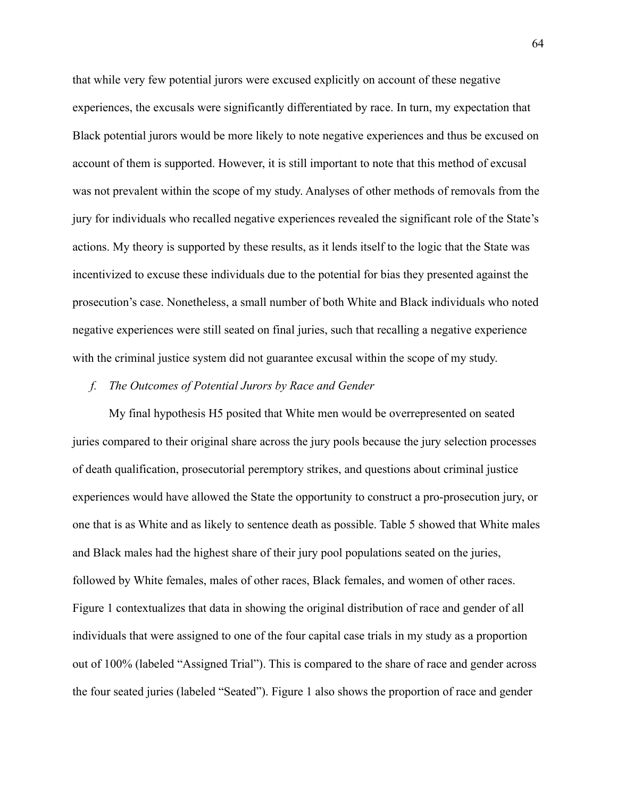that while very few potential jurors were excused explicitly on account of these negative experiences, the excusals were significantly differentiated by race. In turn, my expectation that Black potential jurors would be more likely to note negative experiences and thus be excused on account of them is supported. However, it is still important to note that this method of excusal was not prevalent within the scope of my study. Analyses of other methods of removals from the jury for individuals who recalled negative experiences revealed the significant role of the State's actions. My theory is supported by these results, as it lends itself to the logic that the State was incentivized to excuse these individuals due to the potential for bias they presented against the prosecution's case. Nonetheless, a small number of both White and Black individuals who noted negative experiences were still seated on final juries, such that recalling a negative experience with the criminal justice system did not guarantee excusal within the scope of my study.

## *f. The Outcomes of Potential Jurors by Race and Gender*

My final hypothesis H5 posited that White men would be overrepresented on seated juries compared to their original share across the jury pools because the jury selection processes of death qualification, prosecutorial peremptory strikes, and questions about criminal justice experiences would have allowed the State the opportunity to construct a pro-prosecution jury, or one that is as White and as likely to sentence death as possible. Table 5 showed that White males and Black males had the highest share of their jury pool populations seated on the juries, followed by White females, males of other races, Black females, and women of other races. Figure 1 contextualizes that data in showing the original distribution of race and gender of all individuals that were assigned to one of the four capital case trials in my study as a proportion out of 100% (labeled "Assigned Trial"). This is compared to the share of race and gender across the four seated juries (labeled "Seated"). Figure 1 also shows the proportion of race and gender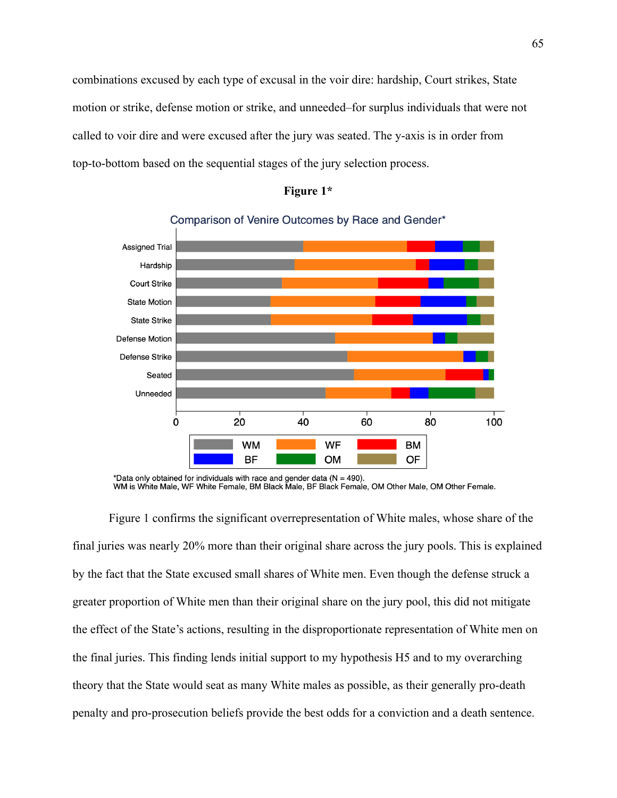combinations excused by each type of excusal in the voir dire: hardship, Court strikes, State motion or strike, defense motion or strike, and unneeded–for surplus individuals that were not called to voir dire and were excused after the jury was seated. The y-axis is in order from top-to-bottom based on the sequential stages of the jury selection process.



## **Figure 1\***

Comparison of Venire Outcomes by Race and Gender\*

\*Data only obtained for individuals with race and gender data ( $N = 490$ ). WM is White Male, WF White Female, BM Black Male, BF Black Female, OM Other Male, OM Other Female.

Figure 1 confirms the significant overrepresentation of White males, whose share of the final juries was nearly 20% more than their original share across the jury pools. This is explained by the fact that the State excused small shares of White men. Even though the defense struck a greater proportion of White men than their original share on the jury pool, this did not mitigate the effect of the State's actions, resulting in the disproportionate representation of White men on the final juries. This finding lends initial support to my hypothesis H5 and to my overarching theory that the State would seat as many White males as possible, as their generally pro-death penalty and pro-prosecution beliefs provide the best odds for a conviction and a death sentence.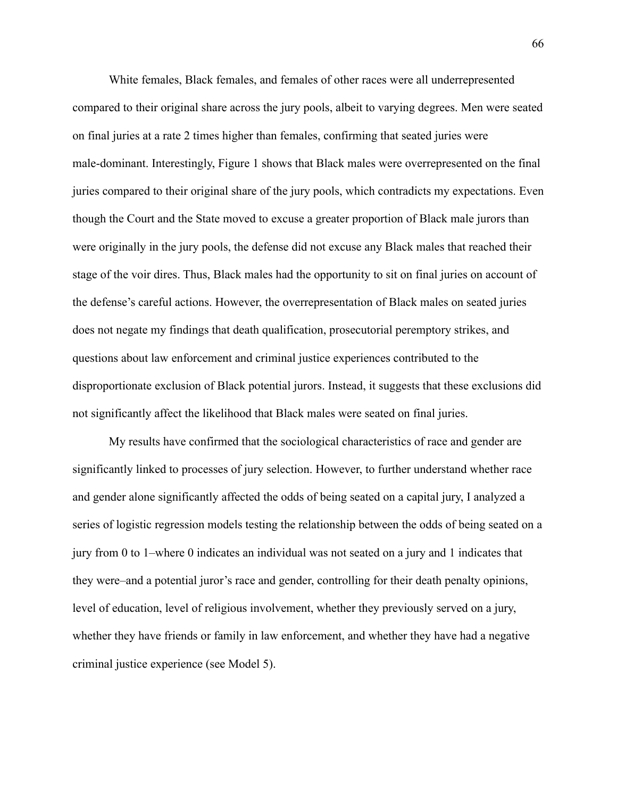White females, Black females, and females of other races were all underrepresented compared to their original share across the jury pools, albeit to varying degrees. Men were seated on final juries at a rate 2 times higher than females, confirming that seated juries were male-dominant. Interestingly, Figure 1 shows that Black males were overrepresented on the final juries compared to their original share of the jury pools, which contradicts my expectations. Even though the Court and the State moved to excuse a greater proportion of Black male jurors than were originally in the jury pools, the defense did not excuse any Black males that reached their stage of the voir dires. Thus, Black males had the opportunity to sit on final juries on account of the defense's careful actions. However, the overrepresentation of Black males on seated juries does not negate my findings that death qualification, prosecutorial peremptory strikes, and questions about law enforcement and criminal justice experiences contributed to the disproportionate exclusion of Black potential jurors. Instead, it suggests that these exclusions did not significantly affect the likelihood that Black males were seated on final juries.

My results have confirmed that the sociological characteristics of race and gender are significantly linked to processes of jury selection. However, to further understand whether race and gender alone significantly affected the odds of being seated on a capital jury, I analyzed a series of logistic regression models testing the relationship between the odds of being seated on a jury from 0 to 1–where 0 indicates an individual was not seated on a jury and 1 indicates that they were–and a potential juror's race and gender, controlling for their death penalty opinions, level of education, level of religious involvement, whether they previously served on a jury, whether they have friends or family in law enforcement, and whether they have had a negative criminal justice experience (see Model 5).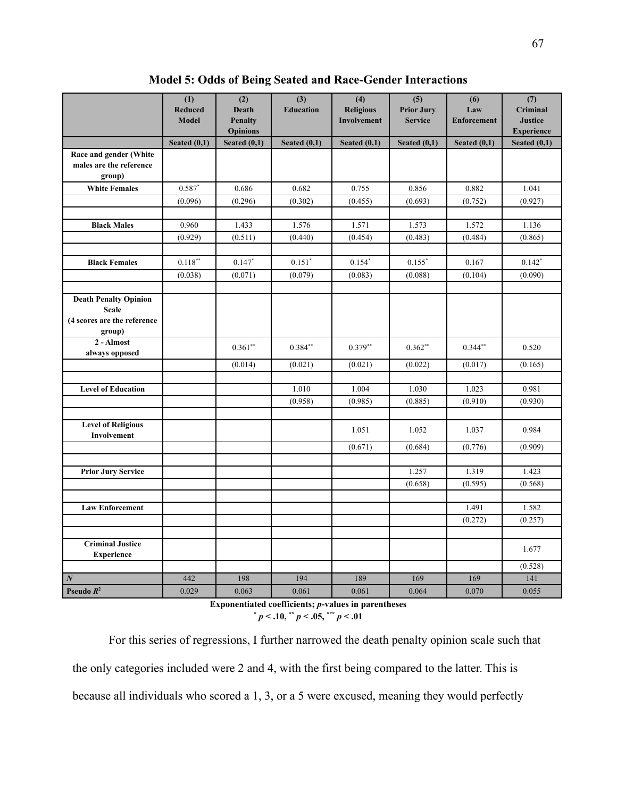|                                              | (1)<br><b>Reduced</b> | (2)<br><b>Death</b>               | $\overline{(3)}$<br><b>Education</b> | (4)<br><b>Religious</b> | (5)<br><b>Prior Jury</b> | (6)<br>Law         | (7)<br>Criminal                     |
|----------------------------------------------|-----------------------|-----------------------------------|--------------------------------------|-------------------------|--------------------------|--------------------|-------------------------------------|
|                                              | <b>Model</b>          | <b>Penalty</b>                    |                                      | Involvement             | <b>Service</b>           | <b>Enforcement</b> | <b>Justice</b>                      |
|                                              | Seated $(0,1)$        | <b>Opinions</b><br>Seated $(0,1)$ | Seated $(0,1)$                       | Seated $(0,1)$          | Seated $(0,1)$           | Seated $(0,1)$     | <b>Experience</b><br>Seated $(0,1)$ |
| Race and gender (White                       |                       |                                   |                                      |                         |                          |                    |                                     |
| males are the reference<br>group)            |                       |                                   |                                      |                         |                          |                    |                                     |
| <b>White Females</b>                         | $0.587*$              | 0.686                             | 0.682                                | 0.755                   | 0.856                    | 0.882              | 1.041                               |
|                                              | (0.096)               | (0.296)                           | (0.302)                              | (0.455)                 | (0.693)                  | (0.752)            | (0.927)                             |
|                                              |                       |                                   |                                      |                         |                          |                    |                                     |
| <b>Black Males</b>                           | 0.960                 | 1.433                             | 1.576                                | 1.571                   | 1.573                    | 1.572              | 1.136                               |
|                                              | (0.929)               | (0.511)                           | (0.440)                              | (0.454)                 | (0.483)                  | (0.484)            | (0.865)                             |
|                                              |                       |                                   |                                      |                         |                          |                    |                                     |
| <b>Black Females</b>                         | $0.118***$            | $0.147*$                          | $0.151*$                             | $0.154*$                | $0.155*$                 | 0.167              | $0.142*$                            |
|                                              | (0.038)               | (0.071)                           | (0.079)                              | (0.083)                 | (0.088)                  | (0.104)            | (0.090)                             |
|                                              |                       |                                   |                                      |                         |                          |                    |                                     |
| <b>Death Penalty Opinion</b>                 |                       |                                   |                                      |                         |                          |                    |                                     |
| <b>Scale</b><br>(4 scores are the reference  |                       |                                   |                                      |                         |                          |                    |                                     |
| group)                                       |                       |                                   |                                      |                         |                          |                    |                                     |
| 2 - Almost                                   |                       |                                   |                                      |                         |                          |                    |                                     |
| always opposed                               |                       | $0.361**$                         | $0.384**$                            | $0.379**$               | $0.362**$                | $0.344**$          | 0.520                               |
|                                              |                       | (0.014)                           | (0.021)                              | (0.021)                 | (0.022)                  | (0.017)            | (0.165)                             |
|                                              |                       |                                   |                                      |                         |                          |                    |                                     |
| <b>Level of Education</b>                    |                       |                                   | 1.010                                | 1.004                   | 1.030                    | 1.023              | 0.981                               |
|                                              |                       |                                   | (0.958)                              | (0.985)                 | (0.885)                  | (0.910)            | (0.930)                             |
|                                              |                       |                                   |                                      |                         |                          |                    |                                     |
| <b>Level of Religious</b><br>Involvement     |                       |                                   |                                      | 1.051                   | 1.052                    | 1.037              | 0.984                               |
|                                              |                       |                                   |                                      | (0.671)                 | (0.684)                  | (0.776)            | (0.909)                             |
|                                              |                       |                                   |                                      |                         |                          |                    |                                     |
| <b>Prior Jury Service</b>                    |                       |                                   |                                      |                         | 1.257                    | 1.319              | 1.423                               |
|                                              |                       |                                   |                                      |                         | (0.658)                  | (0.595)            | (0.568)                             |
| <b>Law Enforcement</b>                       |                       |                                   |                                      |                         |                          | 1.491              | 1.582                               |
|                                              |                       |                                   |                                      |                         |                          | (0.272)            | (0.257)                             |
|                                              |                       |                                   |                                      |                         |                          |                    |                                     |
| <b>Criminal Justice</b><br><b>Experience</b> |                       |                                   |                                      |                         |                          |                    | 1.677                               |
|                                              |                       |                                   |                                      |                         |                          |                    | (0.528)                             |
| $\overline{N}$                               | 442                   | 198                               | 194                                  | 189                     | 169                      | 169                | 141                                 |
| Pseudo $R^2$                                 | 0.029                 | 0.063                             | 0.061                                | 0.061                   | 0.064                    | 0.070              | 0.055                               |

**Model 5: Odds of Being Seated and Race-Gender Interactions**

**Exponentiated coefficients;** *p***-values in parentheses**  $p < .10,$  **\*\***  $p < .05,$  **\*\*\***  $p < .01$ 

For this series of regressions, I further narrowed the death penalty opinion scale such that the only categories included were 2 and 4, with the first being compared to the latter. This is because all individuals who scored a 1, 3, or a 5 were excused, meaning they would perfectly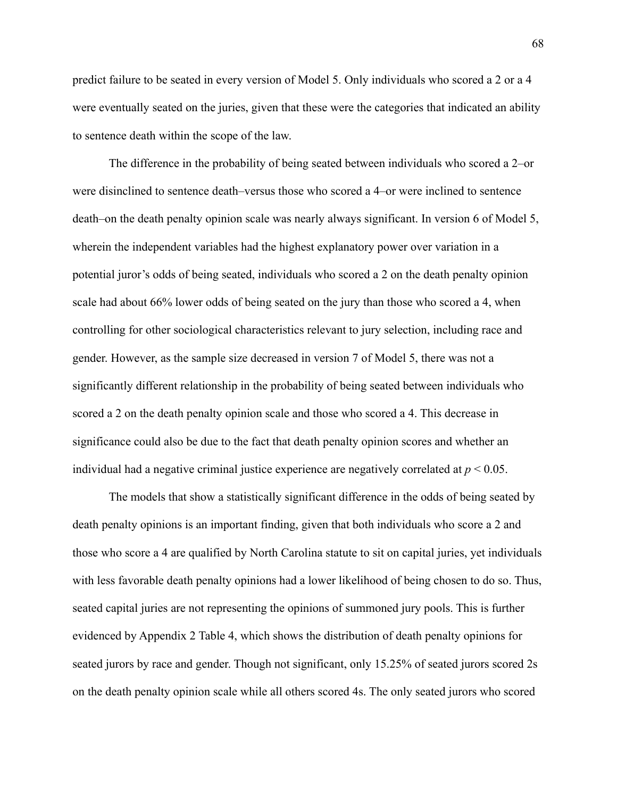predict failure to be seated in every version of Model 5. Only individuals who scored a 2 or a 4 were eventually seated on the juries, given that these were the categories that indicated an ability to sentence death within the scope of the law.

The difference in the probability of being seated between individuals who scored a 2–or were disinclined to sentence death–versus those who scored a 4–or were inclined to sentence death–on the death penalty opinion scale was nearly always significant. In version 6 of Model 5, wherein the independent variables had the highest explanatory power over variation in a potential juror's odds of being seated, individuals who scored a 2 on the death penalty opinion scale had about 66% lower odds of being seated on the jury than those who scored a 4, when controlling for other sociological characteristics relevant to jury selection, including race and gender. However, as the sample size decreased in version 7 of Model 5, there was not a significantly different relationship in the probability of being seated between individuals who scored a 2 on the death penalty opinion scale and those who scored a 4. This decrease in significance could also be due to the fact that death penalty opinion scores and whether an individual had a negative criminal justice experience are negatively correlated at  $p < 0.05$ .

The models that show a statistically significant difference in the odds of being seated by death penalty opinions is an important finding, given that both individuals who score a 2 and those who score a 4 are qualified by North Carolina statute to sit on capital juries, yet individuals with less favorable death penalty opinions had a lower likelihood of being chosen to do so. Thus, seated capital juries are not representing the opinions of summoned jury pools. This is further evidenced by Appendix 2 Table 4, which shows the distribution of death penalty opinions for seated jurors by race and gender. Though not significant, only 15.25% of seated jurors scored 2s on the death penalty opinion scale while all others scored 4s. The only seated jurors who scored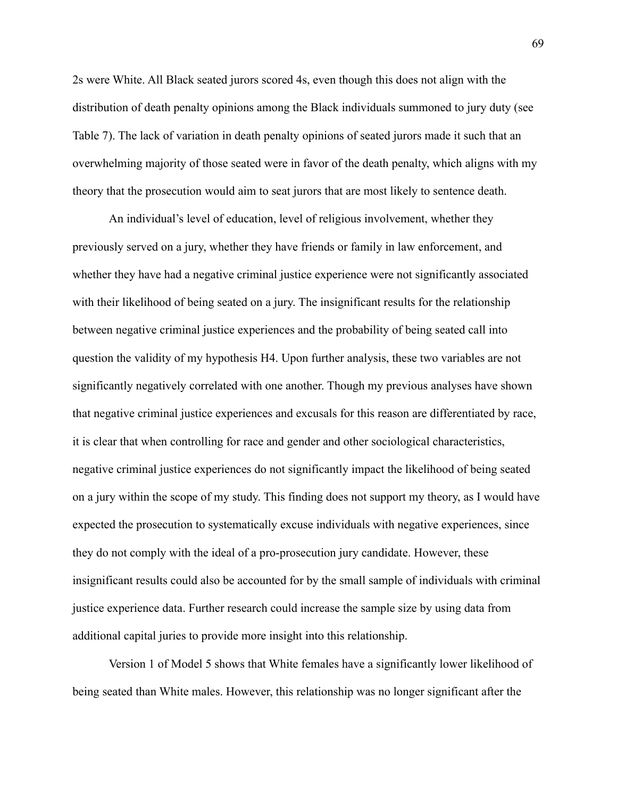2s were White. All Black seated jurors scored 4s, even though this does not align with the distribution of death penalty opinions among the Black individuals summoned to jury duty (see Table 7). The lack of variation in death penalty opinions of seated jurors made it such that an overwhelming majority of those seated were in favor of the death penalty, which aligns with my theory that the prosecution would aim to seat jurors that are most likely to sentence death.

An individual's level of education, level of religious involvement, whether they previously served on a jury, whether they have friends or family in law enforcement, and whether they have had a negative criminal justice experience were not significantly associated with their likelihood of being seated on a jury. The insignificant results for the relationship between negative criminal justice experiences and the probability of being seated call into question the validity of my hypothesis H4. Upon further analysis, these two variables are not significantly negatively correlated with one another. Though my previous analyses have shown that negative criminal justice experiences and excusals for this reason are differentiated by race, it is clear that when controlling for race and gender and other sociological characteristics, negative criminal justice experiences do not significantly impact the likelihood of being seated on a jury within the scope of my study. This finding does not support my theory, as I would have expected the prosecution to systematically excuse individuals with negative experiences, since they do not comply with the ideal of a pro-prosecution jury candidate. However, these insignificant results could also be accounted for by the small sample of individuals with criminal justice experience data. Further research could increase the sample size by using data from additional capital juries to provide more insight into this relationship.

Version 1 of Model 5 shows that White females have a significantly lower likelihood of being seated than White males. However, this relationship was no longer significant after the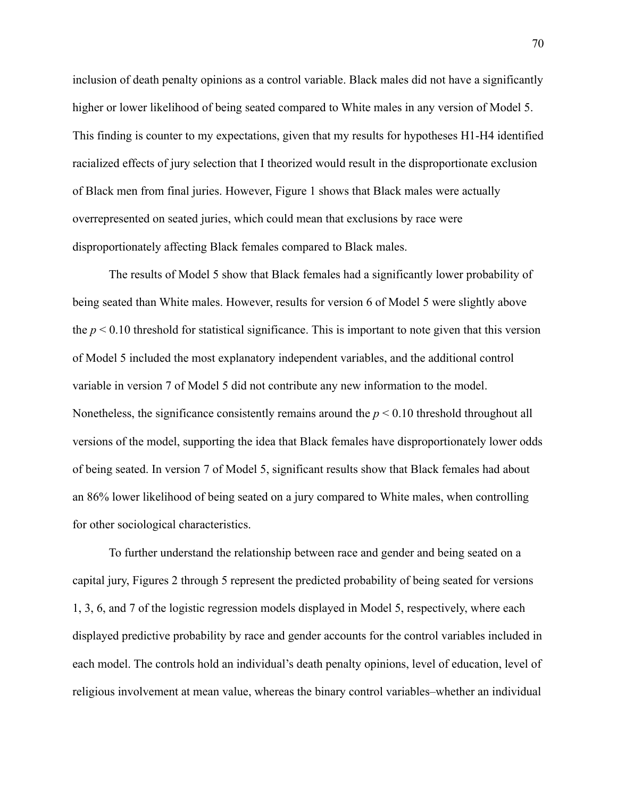inclusion of death penalty opinions as a control variable. Black males did not have a significantly higher or lower likelihood of being seated compared to White males in any version of Model 5. This finding is counter to my expectations, given that my results for hypotheses H1-H4 identified racialized effects of jury selection that I theorized would result in the disproportionate exclusion of Black men from final juries. However, Figure 1 shows that Black males were actually overrepresented on seated juries, which could mean that exclusions by race were disproportionately affecting Black females compared to Black males.

The results of Model 5 show that Black females had a significantly lower probability of being seated than White males. However, results for version 6 of Model 5 were slightly above the  $p < 0.10$  threshold for statistical significance. This is important to note given that this version of Model 5 included the most explanatory independent variables, and the additional control variable in version 7 of Model 5 did not contribute any new information to the model. Nonetheless, the significance consistently remains around the  $p < 0.10$  threshold throughout all versions of the model, supporting the idea that Black females have disproportionately lower odds of being seated. In version 7 of Model 5, significant results show that Black females had about an 86% lower likelihood of being seated on a jury compared to White males, when controlling for other sociological characteristics.

To further understand the relationship between race and gender and being seated on a capital jury, Figures 2 through 5 represent the predicted probability of being seated for versions 1, 3, 6, and 7 of the logistic regression models displayed in Model 5, respectively, where each displayed predictive probability by race and gender accounts for the control variables included in each model. The controls hold an individual's death penalty opinions, level of education, level of religious involvement at mean value, whereas the binary control variables–whether an individual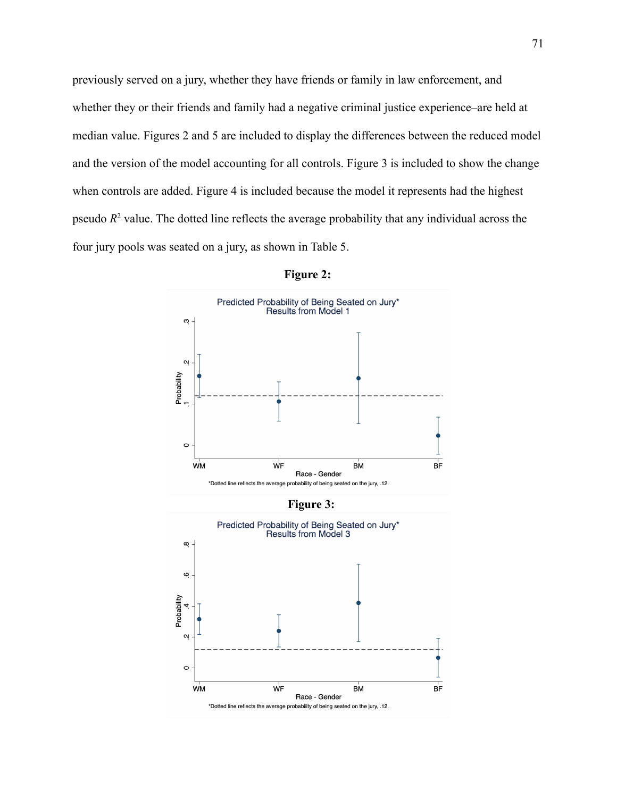previously served on a jury, whether they have friends or family in law enforcement, and whether they or their friends and family had a negative criminal justice experience–are held at median value. Figures 2 and 5 are included to display the differences between the reduced model and the version of the model accounting for all controls. Figure 3 is included to show the change when controls are added. Figure 4 is included because the model it represents had the highest pseudo *R* <sup>2</sup> value. The dotted line reflects the average probability that any individual across the four jury pools was seated on a jury, as shown in Table 5.



**Figure 2:**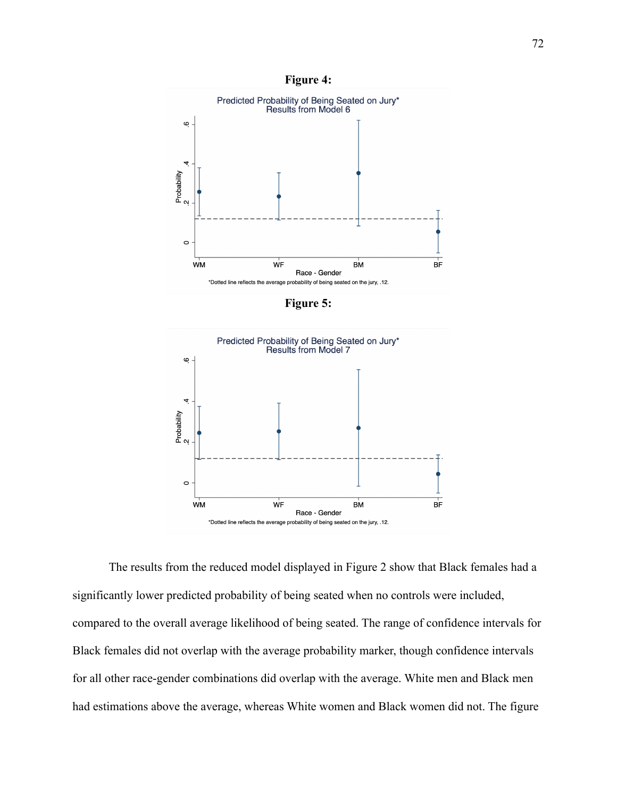**Figure 4:**



**Figure 5:**



The results from the reduced model displayed in Figure 2 show that Black females had a significantly lower predicted probability of being seated when no controls were included, compared to the overall average likelihood of being seated. The range of confidence intervals for Black females did not overlap with the average probability marker, though confidence intervals for all other race-gender combinations did overlap with the average. White men and Black men had estimations above the average, whereas White women and Black women did not. The figure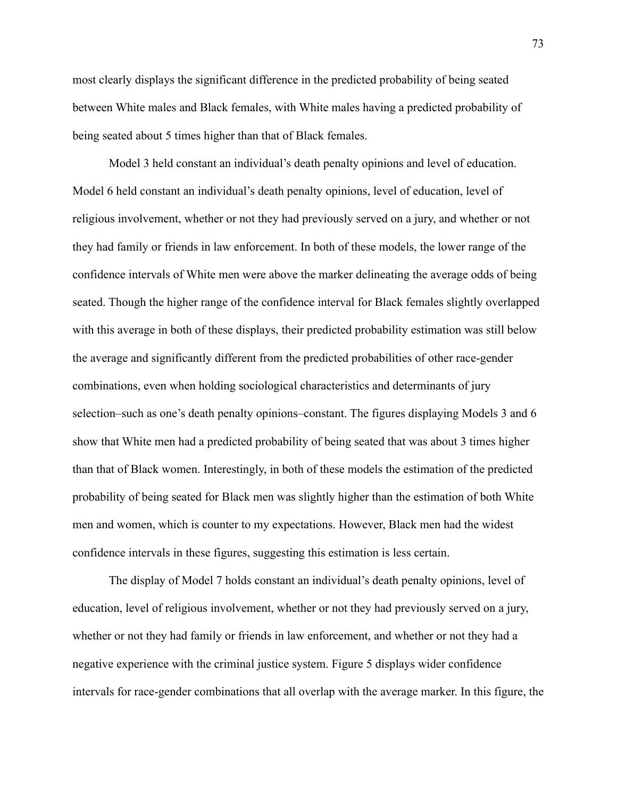most clearly displays the significant difference in the predicted probability of being seated between White males and Black females, with White males having a predicted probability of being seated about 5 times higher than that of Black females.

Model 3 held constant an individual's death penalty opinions and level of education. Model 6 held constant an individual's death penalty opinions, level of education, level of religious involvement, whether or not they had previously served on a jury, and whether or not they had family or friends in law enforcement. In both of these models, the lower range of the confidence intervals of White men were above the marker delineating the average odds of being seated. Though the higher range of the confidence interval for Black females slightly overlapped with this average in both of these displays, their predicted probability estimation was still below the average and significantly different from the predicted probabilities of other race-gender combinations, even when holding sociological characteristics and determinants of jury selection–such as one's death penalty opinions–constant. The figures displaying Models 3 and 6 show that White men had a predicted probability of being seated that was about 3 times higher than that of Black women. Interestingly, in both of these models the estimation of the predicted probability of being seated for Black men was slightly higher than the estimation of both White men and women, which is counter to my expectations. However, Black men had the widest confidence intervals in these figures, suggesting this estimation is less certain.

The display of Model 7 holds constant an individual's death penalty opinions, level of education, level of religious involvement, whether or not they had previously served on a jury, whether or not they had family or friends in law enforcement, and whether or not they had a negative experience with the criminal justice system. Figure 5 displays wider confidence intervals for race-gender combinations that all overlap with the average marker. In this figure, the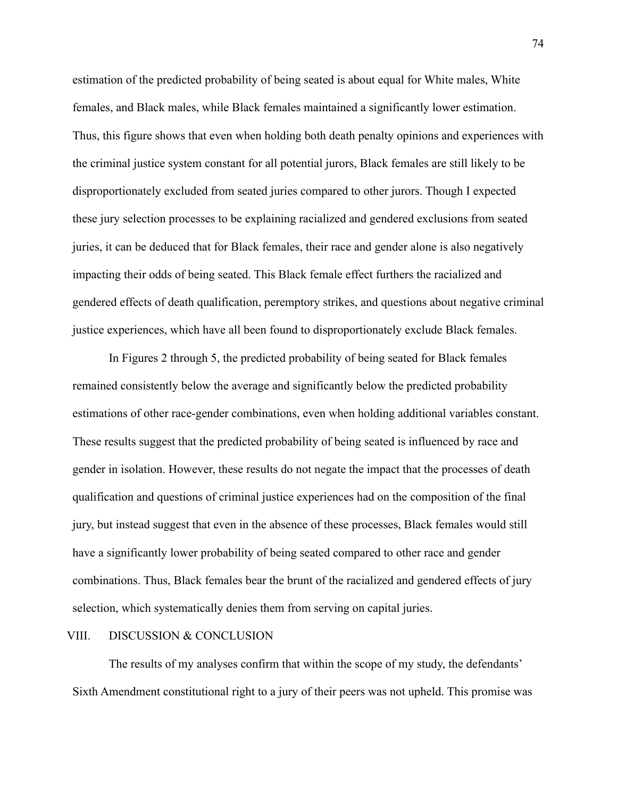estimation of the predicted probability of being seated is about equal for White males, White females, and Black males, while Black females maintained a significantly lower estimation. Thus, this figure shows that even when holding both death penalty opinions and experiences with the criminal justice system constant for all potential jurors, Black females are still likely to be disproportionately excluded from seated juries compared to other jurors. Though I expected these jury selection processes to be explaining racialized and gendered exclusions from seated juries, it can be deduced that for Black females, their race and gender alone is also negatively impacting their odds of being seated. This Black female effect furthers the racialized and gendered effects of death qualification, peremptory strikes, and questions about negative criminal justice experiences, which have all been found to disproportionately exclude Black females.

In Figures 2 through 5, the predicted probability of being seated for Black females remained consistently below the average and significantly below the predicted probability estimations of other race-gender combinations, even when holding additional variables constant. These results suggest that the predicted probability of being seated is influenced by race and gender in isolation. However, these results do not negate the impact that the processes of death qualification and questions of criminal justice experiences had on the composition of the final jury, but instead suggest that even in the absence of these processes, Black females would still have a significantly lower probability of being seated compared to other race and gender combinations. Thus, Black females bear the brunt of the racialized and gendered effects of jury selection, which systematically denies them from serving on capital juries.

### VIII. DISCUSSION & CONCLUSION

The results of my analyses confirm that within the scope of my study, the defendants' Sixth Amendment constitutional right to a jury of their peers was not upheld. This promise was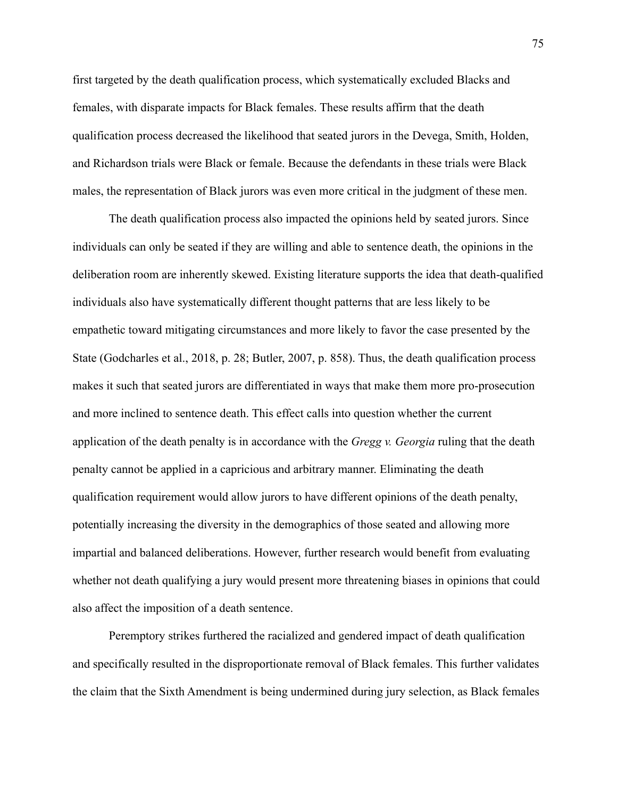first targeted by the death qualification process, which systematically excluded Blacks and females, with disparate impacts for Black females. These results affirm that the death qualification process decreased the likelihood that seated jurors in the Devega, Smith, Holden, and Richardson trials were Black or female. Because the defendants in these trials were Black males, the representation of Black jurors was even more critical in the judgment of these men.

The death qualification process also impacted the opinions held by seated jurors. Since individuals can only be seated if they are willing and able to sentence death, the opinions in the deliberation room are inherently skewed. Existing literature supports the idea that death-qualified individuals also have systematically different thought patterns that are less likely to be empathetic toward mitigating circumstances and more likely to favor the case presented by the State (Godcharles et al., 2018, p. 28; Butler, 2007, p. 858). Thus, the death qualification process makes it such that seated jurors are differentiated in ways that make them more pro-prosecution and more inclined to sentence death. This effect calls into question whether the current application of the death penalty is in accordance with the *Gregg v. Georgia* ruling that the death penalty cannot be applied in a capricious and arbitrary manner. Eliminating the death qualification requirement would allow jurors to have different opinions of the death penalty, potentially increasing the diversity in the demographics of those seated and allowing more impartial and balanced deliberations. However, further research would benefit from evaluating whether not death qualifying a jury would present more threatening biases in opinions that could also affect the imposition of a death sentence.

Peremptory strikes furthered the racialized and gendered impact of death qualification and specifically resulted in the disproportionate removal of Black females. This further validates the claim that the Sixth Amendment is being undermined during jury selection, as Black females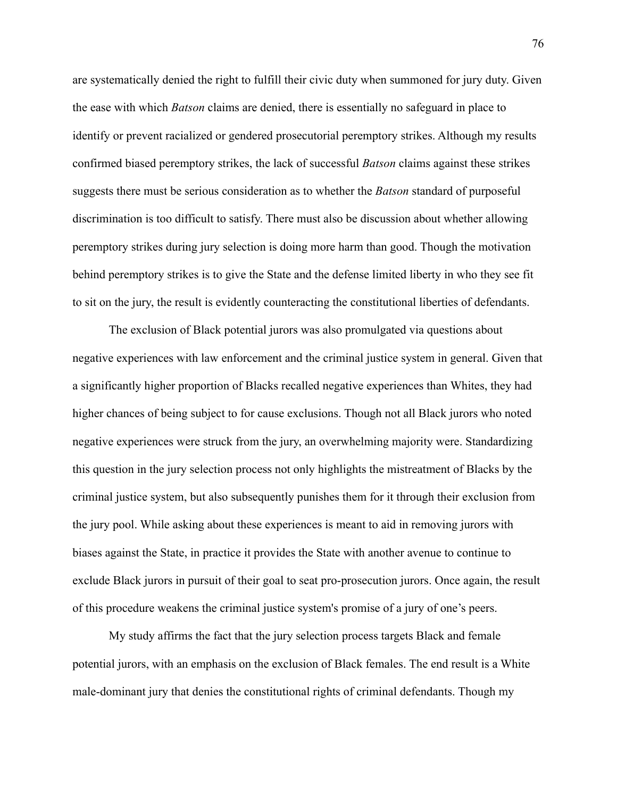are systematically denied the right to fulfill their civic duty when summoned for jury duty. Given the ease with which *Batson* claims are denied, there is essentially no safeguard in place to identify or prevent racialized or gendered prosecutorial peremptory strikes. Although my results confirmed biased peremptory strikes, the lack of successful *Batson* claims against these strikes suggests there must be serious consideration as to whether the *Batson* standard of purposeful discrimination is too difficult to satisfy. There must also be discussion about whether allowing peremptory strikes during jury selection is doing more harm than good. Though the motivation behind peremptory strikes is to give the State and the defense limited liberty in who they see fit to sit on the jury, the result is evidently counteracting the constitutional liberties of defendants.

The exclusion of Black potential jurors was also promulgated via questions about negative experiences with law enforcement and the criminal justice system in general. Given that a significantly higher proportion of Blacks recalled negative experiences than Whites, they had higher chances of being subject to for cause exclusions. Though not all Black jurors who noted negative experiences were struck from the jury, an overwhelming majority were. Standardizing this question in the jury selection process not only highlights the mistreatment of Blacks by the criminal justice system, but also subsequently punishes them for it through their exclusion from the jury pool. While asking about these experiences is meant to aid in removing jurors with biases against the State, in practice it provides the State with another avenue to continue to exclude Black jurors in pursuit of their goal to seat pro-prosecution jurors. Once again, the result of this procedure weakens the criminal justice system's promise of a jury of one's peers.

My study affirms the fact that the jury selection process targets Black and female potential jurors, with an emphasis on the exclusion of Black females. The end result is a White male-dominant jury that denies the constitutional rights of criminal defendants. Though my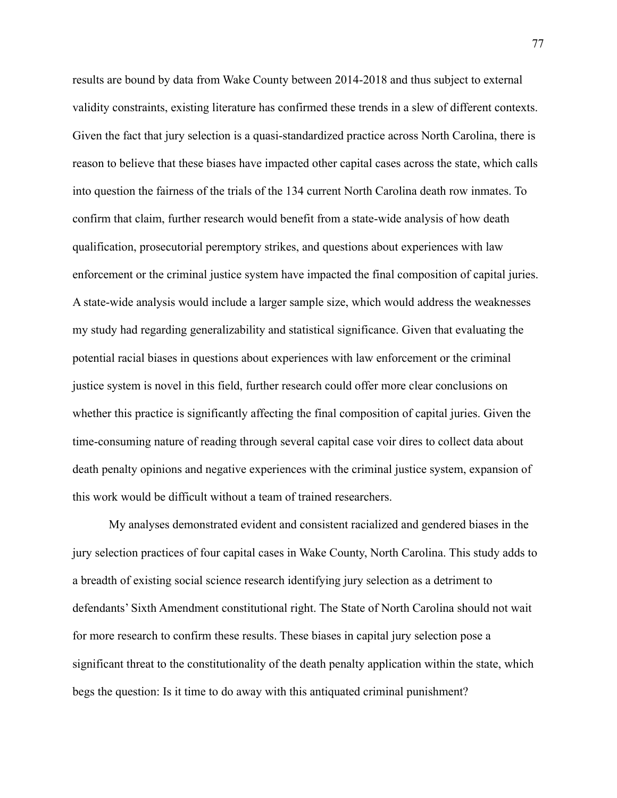results are bound by data from Wake County between 2014-2018 and thus subject to external validity constraints, existing literature has confirmed these trends in a slew of different contexts. Given the fact that jury selection is a quasi-standardized practice across North Carolina, there is reason to believe that these biases have impacted other capital cases across the state, which calls into question the fairness of the trials of the 134 current North Carolina death row inmates. To confirm that claim, further research would benefit from a state-wide analysis of how death qualification, prosecutorial peremptory strikes, and questions about experiences with law enforcement or the criminal justice system have impacted the final composition of capital juries. A state-wide analysis would include a larger sample size, which would address the weaknesses my study had regarding generalizability and statistical significance. Given that evaluating the potential racial biases in questions about experiences with law enforcement or the criminal justice system is novel in this field, further research could offer more clear conclusions on whether this practice is significantly affecting the final composition of capital juries. Given the time-consuming nature of reading through several capital case voir dires to collect data about death penalty opinions and negative experiences with the criminal justice system, expansion of this work would be difficult without a team of trained researchers.

My analyses demonstrated evident and consistent racialized and gendered biases in the jury selection practices of four capital cases in Wake County, North Carolina. This study adds to a breadth of existing social science research identifying jury selection as a detriment to defendants' Sixth Amendment constitutional right. The State of North Carolina should not wait for more research to confirm these results. These biases in capital jury selection pose a significant threat to the constitutionality of the death penalty application within the state, which begs the question: Is it time to do away with this antiquated criminal punishment?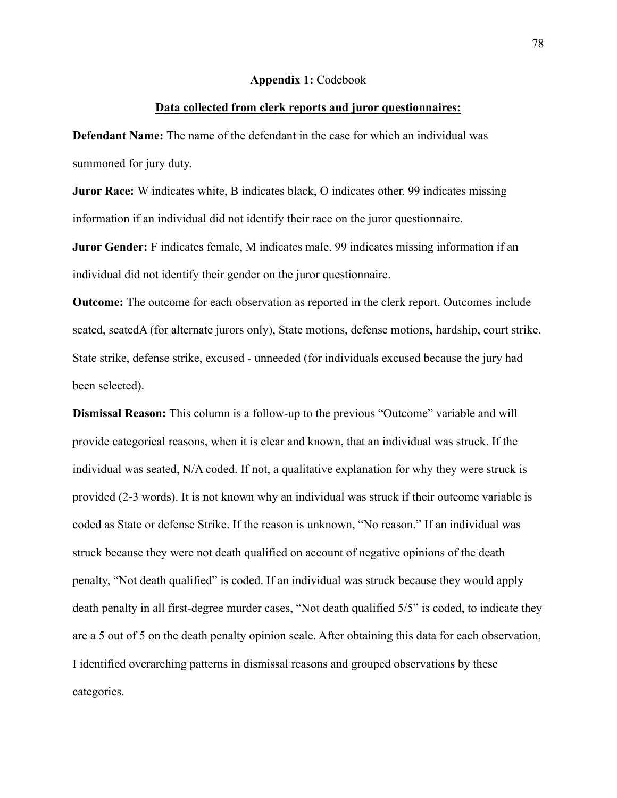#### **Appendix 1:** Codebook

### **Data collected from clerk reports and juror questionnaires:**

**Defendant Name:** The name of the defendant in the case for which an individual was summoned for jury duty.

**Juror Race:** W indicates white, B indicates black, O indicates other. 99 indicates missing information if an individual did not identify their race on the juror questionnaire.

**Juror Gender:** F indicates female, M indicates male. 99 indicates missing information if an individual did not identify their gender on the juror questionnaire.

**Outcome:** The outcome for each observation as reported in the clerk report. Outcomes include seated, seatedA (for alternate jurors only), State motions, defense motions, hardship, court strike, State strike, defense strike, excused - unneeded (for individuals excused because the jury had been selected).

**Dismissal Reason:** This column is a follow-up to the previous "Outcome" variable and will provide categorical reasons, when it is clear and known, that an individual was struck. If the individual was seated, N/A coded. If not, a qualitative explanation for why they were struck is provided (2-3 words). It is not known why an individual was struck if their outcome variable is coded as State or defense Strike. If the reason is unknown, "No reason." If an individual was struck because they were not death qualified on account of negative opinions of the death penalty, "Not death qualified" is coded. If an individual was struck because they would apply death penalty in all first-degree murder cases, "Not death qualified 5/5" is coded, to indicate they are a 5 out of 5 on the death penalty opinion scale. After obtaining this data for each observation, I identified overarching patterns in dismissal reasons and grouped observations by these categories.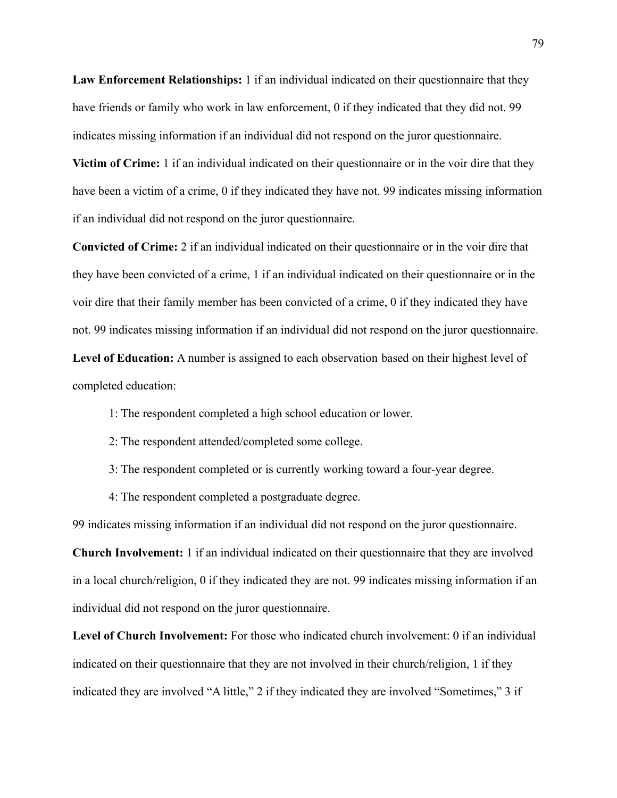**Law Enforcement Relationships:** 1 if an individual indicated on their questionnaire that they have friends or family who work in law enforcement, 0 if they indicated that they did not. 99 indicates missing information if an individual did not respond on the juror questionnaire.

**Victim of Crime:** 1 if an individual indicated on their questionnaire or in the voir dire that they have been a victim of a crime, 0 if they indicated they have not. 99 indicates missing information if an individual did not respond on the juror questionnaire.

**Convicted of Crime:** 2 if an individual indicated on their questionnaire or in the voir dire that they have been convicted of a crime, 1 if an individual indicated on their questionnaire or in the voir dire that their family member has been convicted of a crime, 0 if they indicated they have not. 99 indicates missing information if an individual did not respond on the juror questionnaire.

**Level of Education:** A number is assigned to each observation based on their highest level of completed education:

- 1: The respondent completed a high school education or lower.
- 2: The respondent attended/completed some college.
- 3: The respondent completed or is currently working toward a four-year degree.
- 4: The respondent completed a postgraduate degree.

99 indicates missing information if an individual did not respond on the juror questionnaire.

**Church Involvement:** 1 if an individual indicated on their questionnaire that they are involved in a local church/religion, 0 if they indicated they are not. 99 indicates missing information if an individual did not respond on the juror questionnaire.

Level of Church Involvement: For those who indicated church involvement: 0 if an individual indicated on their questionnaire that they are not involved in their church/religion, 1 if they indicated they are involved "A little," 2 if they indicated they are involved "Sometimes," 3 if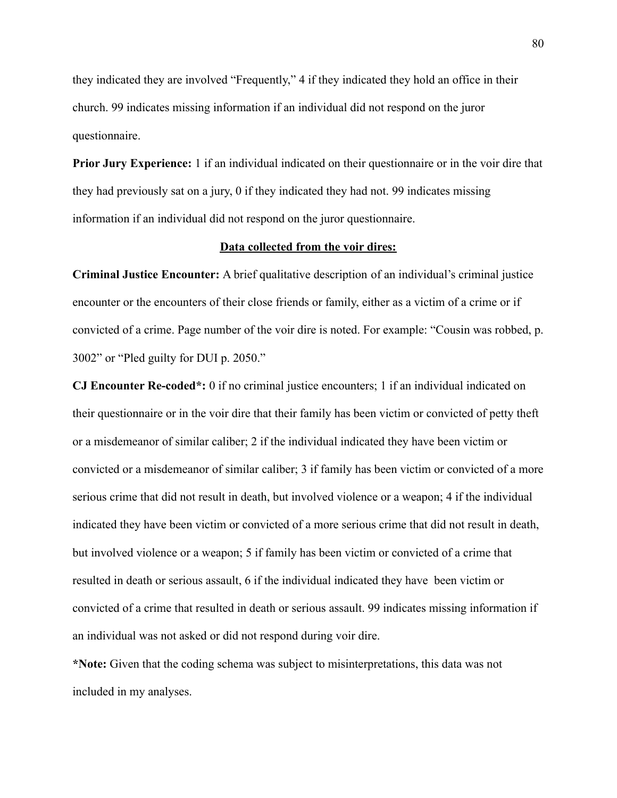they indicated they are involved "Frequently," 4 if they indicated they hold an office in their church. 99 indicates missing information if an individual did not respond on the juror questionnaire.

**Prior Jury Experience:** 1 if an individual indicated on their questionnaire or in the voir dire that they had previously sat on a jury, 0 if they indicated they had not. 99 indicates missing information if an individual did not respond on the juror questionnaire.

## **Data collected from the voir dires:**

**Criminal Justice Encounter:** A brief qualitative description of an individual's criminal justice encounter or the encounters of their close friends or family, either as a victim of a crime or if convicted of a crime. Page number of the voir dire is noted. For example: "Cousin was robbed, p. 3002" or "Pled guilty for DUI p. 2050."

**CJ Encounter Re-coded\*:** 0 if no criminal justice encounters; 1 if an individual indicated on their questionnaire or in the voir dire that their family has been victim or convicted of petty theft or a misdemeanor of similar caliber; 2 if the individual indicated they have been victim or convicted or a misdemeanor of similar caliber; 3 if family has been victim or convicted of a more serious crime that did not result in death, but involved violence or a weapon; 4 if the individual indicated they have been victim or convicted of a more serious crime that did not result in death, but involved violence or a weapon; 5 if family has been victim or convicted of a crime that resulted in death or serious assault, 6 if the individual indicated they have been victim or convicted of a crime that resulted in death or serious assault. 99 indicates missing information if an individual was not asked or did not respond during voir dire.

**\*Note:** Given that the coding schema was subject to misinterpretations, this data was not included in my analyses.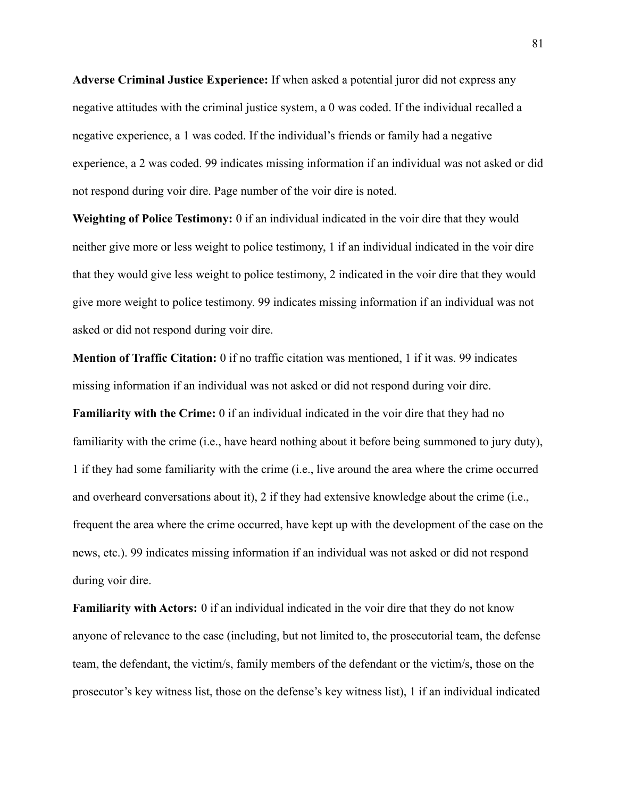**Adverse Criminal Justice Experience:** If when asked a potential juror did not express any negative attitudes with the criminal justice system, a 0 was coded. If the individual recalled a negative experience, a 1 was coded. If the individual's friends or family had a negative experience, a 2 was coded. 99 indicates missing information if an individual was not asked or did not respond during voir dire. Page number of the voir dire is noted.

**Weighting of Police Testimony:** 0 if an individual indicated in the voir dire that they would neither give more or less weight to police testimony, 1 if an individual indicated in the voir dire that they would give less weight to police testimony, 2 indicated in the voir dire that they would give more weight to police testimony. 99 indicates missing information if an individual was not asked or did not respond during voir dire.

**Mention of Traffic Citation:** 0 if no traffic citation was mentioned, 1 if it was. 99 indicates missing information if an individual was not asked or did not respond during voir dire. **Familiarity with the Crime:** 0 if an individual indicated in the voir dire that they had no familiarity with the crime (i.e., have heard nothing about it before being summoned to jury duty), 1 if they had some familiarity with the crime (i.e., live around the area where the crime occurred and overheard conversations about it), 2 if they had extensive knowledge about the crime (i.e., frequent the area where the crime occurred, have kept up with the development of the case on the news, etc.). 99 indicates missing information if an individual was not asked or did not respond during voir dire.

**Familiarity with Actors:** 0 if an individual indicated in the voir dire that they do not know anyone of relevance to the case (including, but not limited to, the prosecutorial team, the defense team, the defendant, the victim/s, family members of the defendant or the victim/s, those on the prosecutor's key witness list, those on the defense's key witness list), 1 if an individual indicated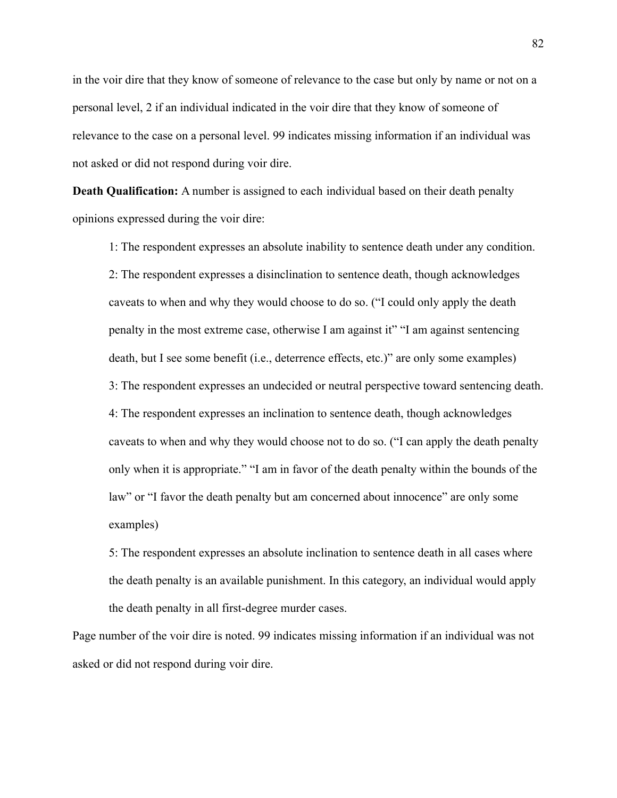in the voir dire that they know of someone of relevance to the case but only by name or not on a personal level, 2 if an individual indicated in the voir dire that they know of someone of relevance to the case on a personal level. 99 indicates missing information if an individual was not asked or did not respond during voir dire.

**Death Qualification:** A number is assigned to each individual based on their death penalty opinions expressed during the voir dire:

1: The respondent expresses an absolute inability to sentence death under any condition. 2: The respondent expresses a disinclination to sentence death, though acknowledges caveats to when and why they would choose to do so. ("I could only apply the death penalty in the most extreme case, otherwise I am against it" "I am against sentencing death, but I see some benefit (i.e., deterrence effects, etc.)" are only some examples) 3: The respondent expresses an undecided or neutral perspective toward sentencing death. 4: The respondent expresses an inclination to sentence death, though acknowledges caveats to when and why they would choose not to do so. ("I can apply the death penalty only when it is appropriate." "I am in favor of the death penalty within the bounds of the law" or "I favor the death penalty but am concerned about innocence" are only some examples)

5: The respondent expresses an absolute inclination to sentence death in all cases where the death penalty is an available punishment. In this category, an individual would apply the death penalty in all first-degree murder cases.

Page number of the voir dire is noted. 99 indicates missing information if an individual was not asked or did not respond during voir dire.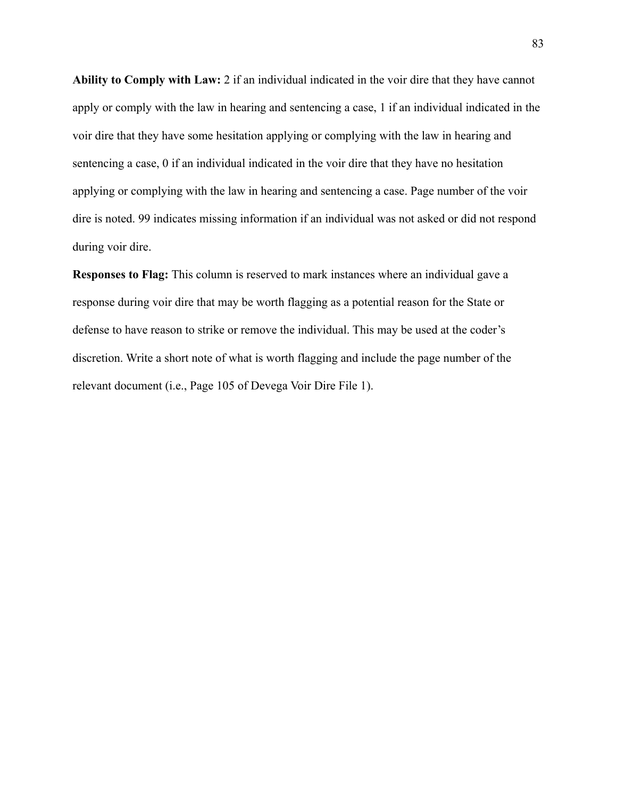**Ability to Comply with Law:** 2 if an individual indicated in the voir dire that they have cannot apply or comply with the law in hearing and sentencing a case, 1 if an individual indicated in the voir dire that they have some hesitation applying or complying with the law in hearing and sentencing a case, 0 if an individual indicated in the voir dire that they have no hesitation applying or complying with the law in hearing and sentencing a case. Page number of the voir dire is noted. 99 indicates missing information if an individual was not asked or did not respond during voir dire.

**Responses to Flag:** This column is reserved to mark instances where an individual gave a response during voir dire that may be worth flagging as a potential reason for the State or defense to have reason to strike or remove the individual. This may be used at the coder's discretion. Write a short note of what is worth flagging and include the page number of the relevant document (i.e., Page 105 of Devega Voir Dire File 1).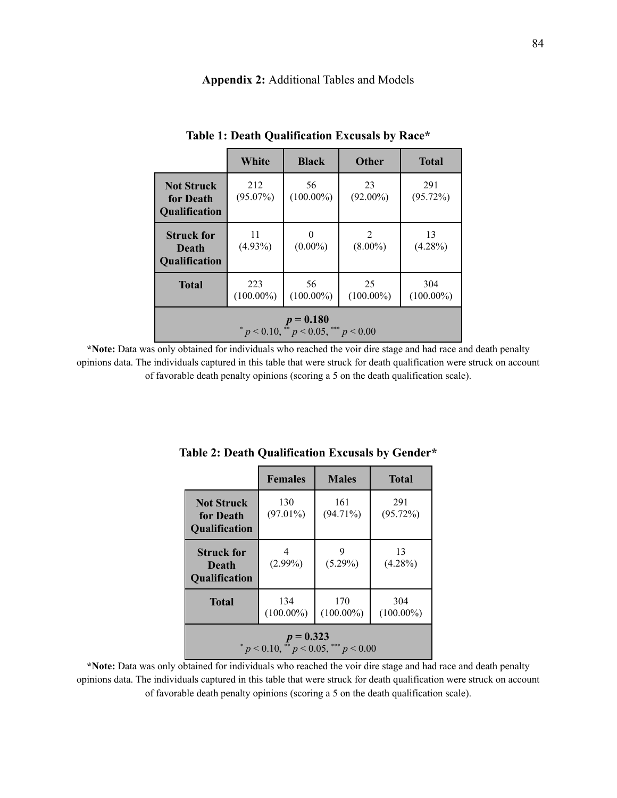# **Appendix 2:** Additional Tables and Models

|                                                              | White               | <b>Black</b>       | <b>Other</b>       | <b>Total</b>        |  |
|--------------------------------------------------------------|---------------------|--------------------|--------------------|---------------------|--|
| <b>Not Struck</b><br>for Death<br><b>Qualification</b>       | 212<br>$(95.07\%)$  | 56<br>$(100.00\%)$ | 23<br>$(92.00\%)$  | 291<br>(95.72%)     |  |
| <b>Struck for</b><br>Death<br>Qualification                  | 11<br>$(4.93\%)$    | $(0.00\%)$         | 2<br>$(8.00\%)$    | 13<br>$(4.28\%)$    |  |
| <b>Total</b>                                                 | 223<br>$(100.00\%)$ | 56<br>$(100.00\%)$ | 25<br>$(100.00\%)$ | 304<br>$(100.00\%)$ |  |
| $p = 0.180$<br>* $p < 0.10$ , ** $p < 0.05$ , *** $p < 0.00$ |                     |                    |                    |                     |  |

**Table 1: Death Qualification Excusals by Race\***

**\*Note:** Data was only obtained for individuals who reached the voir dire stage and had race and death penalty opinions data. The individuals captured in this table that were struck for death qualification were struck on account of favorable death penalty opinions (scoring a 5 on the death qualification scale).

|                                                        | <b>Females</b>      | <b>Males</b>        | <b>Total</b>        |  |
|--------------------------------------------------------|---------------------|---------------------|---------------------|--|
| <b>Not Struck</b><br>for Death<br><b>Qualification</b> | 130<br>$(97.01\%)$  | 161<br>$(94.71\%)$  | 291<br>(95.72%)     |  |
| <b>Struck for</b><br>Death<br><b>Qualification</b>     | 4<br>$(2.99\%)$     | 9<br>$(5.29\%)$     | 13<br>$(4.28\%)$    |  |
| <b>Total</b>                                           | 134<br>$(100.00\%)$ | 170<br>$(100.00\%)$ | 304<br>$(100.00\%)$ |  |
| $p = 0.323$<br>* p < 0.10, ** p < 0.05, *** p < 0.00   |                     |                     |                     |  |

**Table 2: Death Qualification Excusals by Gender\***

**\*Note:** Data was only obtained for individuals who reached the voir dire stage and had race and death penalty opinions data. The individuals captured in this table that were struck for death qualification were struck on account of favorable death penalty opinions (scoring a 5 on the death qualification scale).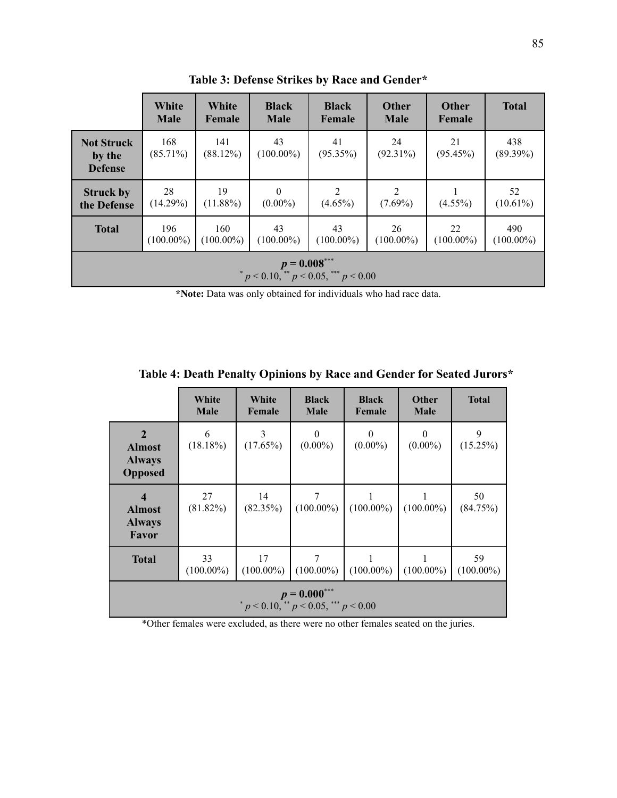|                                                        | White<br><b>Male</b> | White<br>Female     | <b>Black</b><br><b>Male</b> | <b>Black</b><br>Female       | <b>Other</b><br><b>Male</b>  | <b>Other</b><br>Female | <b>Total</b>        |
|--------------------------------------------------------|----------------------|---------------------|-----------------------------|------------------------------|------------------------------|------------------------|---------------------|
| <b>Not Struck</b><br>by the<br><b>Defense</b>          | 168<br>$(85.71\%)$   | 141<br>(88.12%)     | 43<br>$(100.00\%)$          | 41<br>$(95.35\%)$            | 24<br>$(92.31\%)$            | 21<br>(95.45%)         | 438<br>$(89.39\%)$  |
| <b>Struck by</b><br>the Defense                        | 28<br>(14.29%)       | 19<br>$(11.88\%)$   | $\theta$<br>$(0.00\%)$      | $\overline{2}$<br>$(4.65\%)$ | $\overline{2}$<br>$(7.69\%)$ | $(4.55\%)$             | 52<br>$(10.61\%)$   |
| <b>Total</b>                                           | 196<br>$(100.00\%)$  | 160<br>$(100.00\%)$ | 43<br>$(100.00\%)$          | 43<br>$(100.00\%)$           | 26<br>$(100.00\%)$           | 22<br>$(100.00\%)$     | 490<br>$(100.00\%)$ |
| $p = 0.008***$<br>$p < 0.10$ , $p < 0.05$ , $p < 0.00$ |                      |                     |                             |                              |                              |                        |                     |

**Table 3: Defense Strikes by Race and Gender\***

**\*Note:** Data was only obtained for individuals who had race data.

|                                                                  | White<br><b>Male</b> | White<br>Female    | <b>Black</b><br><b>Male</b> | <b>Black</b><br>Female | <b>Other</b><br><b>Male</b> | <b>Total</b>       |
|------------------------------------------------------------------|----------------------|--------------------|-----------------------------|------------------------|-----------------------------|--------------------|
| $\mathbf{2}$<br><b>Almost</b><br><b>Always</b><br><b>Opposed</b> | 6<br>(18.18%)        | 3<br>$(17.65\%)$   | $\Omega$<br>$(0.00\%)$      | $\theta$<br>$(0.00\%)$ | $\theta$<br>$(0.00\%)$      | 9<br>$(15.25\%)$   |
| $\boldsymbol{4}$<br><b>Almost</b><br><b>Always</b><br>Favor      | 27<br>$(81.82\%)$    | 14<br>(82.35%)     | 7<br>$(100.00\%)$           | $(100.00\%)$           | $(100.00\%)$                | 50<br>(84.75%)     |
| <b>Total</b>                                                     | 33<br>$(100.00\%)$   | 17<br>$(100.00\%)$ | 7<br>$(100.00\%)$           | $(100.00\%)$           | $(100.00\%)$                | 59<br>$(100.00\%)$ |
| $p = 0.000***$<br>$p < 0.10$ , $p < 0.05$ , $p < 0.00$           |                      |                    |                             |                        |                             |                    |

**Table 4: Death Penalty Opinions by Race and Gender for Seated Jurors\***

\*Other females were excluded, as there were no other females seated on the juries.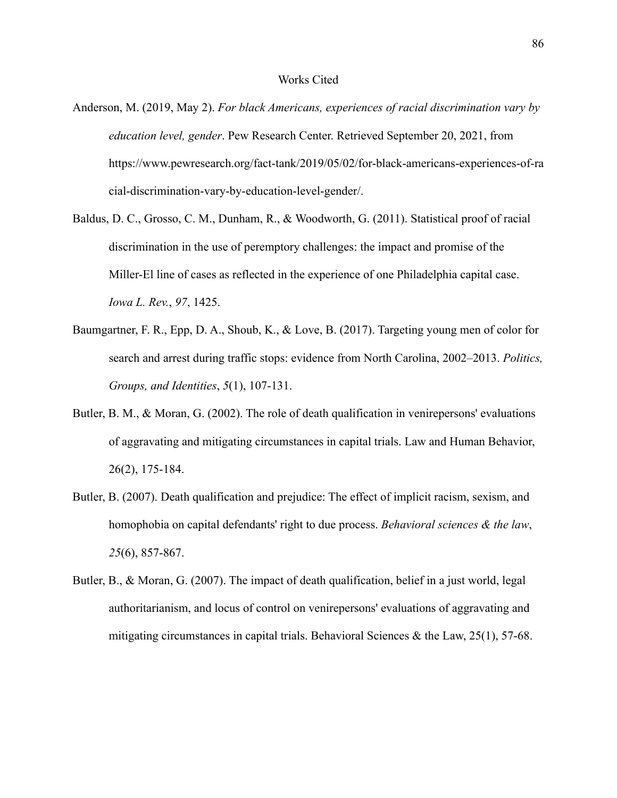- Anderson, M. (2019, May 2). *For black Americans, experiences of racial discrimination vary by education level, gender*. Pew Research Center. Retrieved September 20, 2021, from https://www.pewresearch.org/fact-tank/2019/05/02/for-black-americans-experiences-of-ra cial-discrimination-vary-by-education-level-gender/.
- Baldus, D. C., Grosso, C. M., Dunham, R., & Woodworth, G. (2011). Statistical proof of racial discrimination in the use of peremptory challenges: the impact and promise of the Miller-El line of cases as reflected in the experience of one Philadelphia capital case. *Iowa L. Rev.*, *97*, 1425.
- Baumgartner, F. R., Epp, D. A., Shoub, K., & Love, B. (2017). Targeting young men of color for search and arrest during traffic stops: evidence from North Carolina, 2002–2013. *Politics, Groups, and Identities*, *5*(1), 107-131.
- Butler, B. M., & Moran, G. (2002). The role of death qualification in venirepersons' evaluations of aggravating and mitigating circumstances in capital trials. Law and Human Behavior, 26(2), 175-184.
- Butler, B. (2007). Death qualification and prejudice: The effect of implicit racism, sexism, and homophobia on capital defendants' right to due process. *Behavioral sciences & the law*, *25*(6), 857-867.
- Butler, B., & Moran, G. (2007). The impact of death qualification, belief in a just world, legal authoritarianism, and locus of control on venirepersons' evaluations of aggravating and mitigating circumstances in capital trials. Behavioral Sciences  $\&$  the Law, 25(1), 57-68.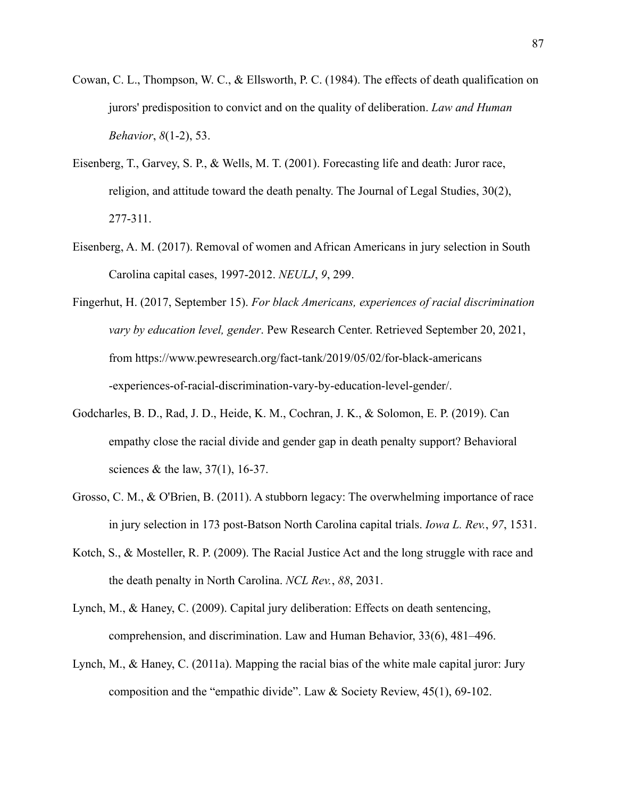- Cowan, C. L., Thompson, W. C., & Ellsworth, P. C. (1984). The effects of death qualification on jurors' predisposition to convict and on the quality of deliberation. *Law and Human Behavior*, *8*(1-2), 53.
- Eisenberg, T., Garvey, S. P., & Wells, M. T. (2001). Forecasting life and death: Juror race, religion, and attitude toward the death penalty. The Journal of Legal Studies, 30(2), 277-311.
- Eisenberg, A. M. (2017). Removal of women and African Americans in jury selection in South Carolina capital cases, 1997-2012. *NEULJ*, *9*, 299.
- Fingerhut, H. (2017, September 15). *For black Americans, experiences of racial discrimination vary by education level, gender*. Pew Research Center. Retrieved September 20, 2021, from https://www.pewresearch.org/fact-tank/2019/05/02/for-black-americans -experiences-of-racial-discrimination-vary-by-education-level-gender/.
- Godcharles, B. D., Rad, J. D., Heide, K. M., Cochran, J. K., & Solomon, E. P. (2019). Can empathy close the racial divide and gender gap in death penalty support? Behavioral sciences & the law, 37(1), 16-37.
- Grosso, C. M., & O'Brien, B. (2011). A stubborn legacy: The overwhelming importance of race in jury selection in 173 post-Batson North Carolina capital trials. *Iowa L. Rev.*, *97*, 1531.
- Kotch, S., & Mosteller, R. P. (2009). The Racial Justice Act and the long struggle with race and the death penalty in North Carolina. *NCL Rev.*, *88*, 2031.
- Lynch, M., & Haney, C. (2009). Capital jury deliberation: Effects on death sentencing, comprehension, and discrimination. Law and Human Behavior, 33(6), 481–496.
- Lynch, M., & Haney, C. (2011a). Mapping the racial bias of the white male capital juror: Jury composition and the "empathic divide". Law & Society Review, 45(1), 69-102.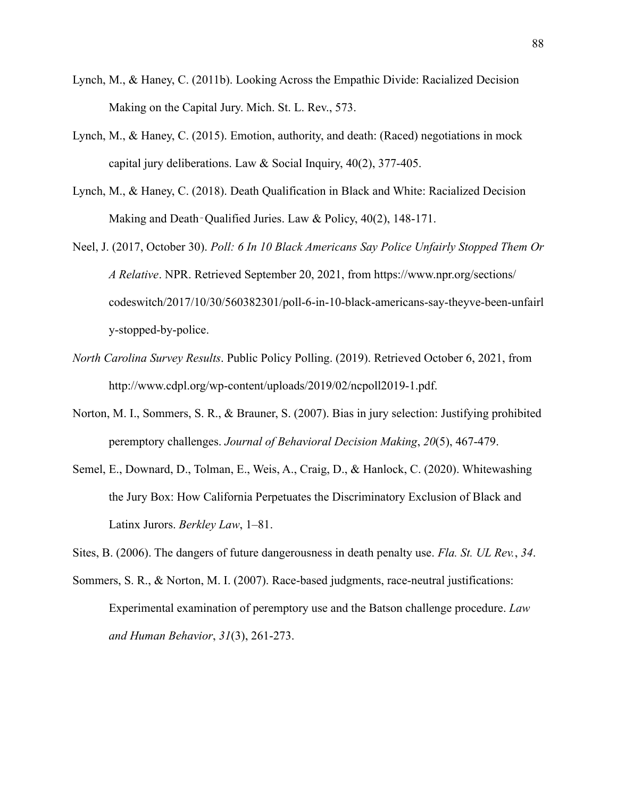- Lynch, M., & Haney, C. (2011b). Looking Across the Empathic Divide: Racialized Decision Making on the Capital Jury. Mich. St. L. Rev., 573.
- Lynch, M., & Haney, C. (2015). Emotion, authority, and death: (Raced) negotiations in mock capital jury deliberations. Law & Social Inquiry, 40(2), 377-405.
- Lynch, M., & Haney, C. (2018). Death Qualification in Black and White: Racialized Decision Making and Death-Qualified Juries. Law & Policy, 40(2), 148-171.

Neel, J. (2017, October 30). *Poll: 6 In 10 Black Americans Say Police Unfairly Stopped Them Or A Relative*. NPR. Retrieved September 20, 2021, from https://www.npr.org/sections/ codeswitch/2017/10/30/560382301/poll-6-in-10-black-americans-say-theyve-been-unfairl y-stopped-by-police.

- *North Carolina Survey Results*. Public Policy Polling. (2019). Retrieved October 6, 2021, from http://www.cdpl.org/wp-content/uploads/2019/02/ncpoll2019-1.pdf.
- Norton, M. I., Sommers, S. R., & Brauner, S. (2007). Bias in jury selection: Justifying prohibited peremptory challenges. *Journal of Behavioral Decision Making*, *20*(5), 467-479.
- Semel, E., Downard, D., Tolman, E., Weis, A., Craig, D., & Hanlock, C. (2020). Whitewashing the Jury Box: How California Perpetuates the Discriminatory Exclusion of Black and Latinx Jurors. *Berkley Law*, 1–81.
- Sites, B. (2006). The dangers of future dangerousness in death penalty use. *Fla. St. UL Rev.*, *34*.
- Sommers, S. R., & Norton, M. I. (2007). Race-based judgments, race-neutral justifications: Experimental examination of peremptory use and the Batson challenge procedure. *Law and Human Behavior*, *31*(3), 261-273.